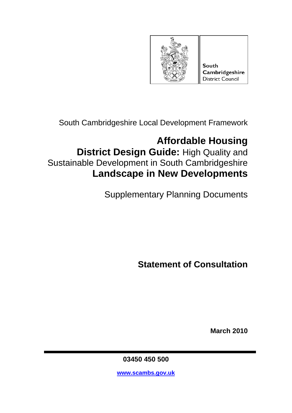

South Cambridgeshire Local Development Framework

# **Affordable Housing District Design Guide:** High Quality and Sustainable Development in South Cambridgeshire **Landscape in New Developments**

Supplementary Planning Documents

**Statement of Consultation** 

**March 2010** 

**03450 450 500** 

**www.scambs.gov.uk**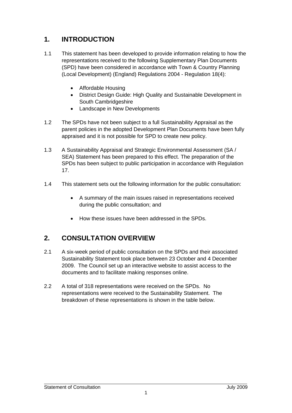# **1. INTRODUCTION**

- 1.1 This statement has been developed to provide information relating to how the representations received to the following Supplementary Plan Documents (SPD) have been considered in accordance with Town & Country Planning (Local Development) (England) Regulations 2004 - Regulation 18(4):
	- Affordable Housing
	- District Design Guide: High Quality and Sustainable Development in South Cambridgeshire
	- Landscape in New Developments
- 1.2 The SPDs have not been subject to a full Sustainability Appraisal as the parent policies in the adopted Development Plan Documents have been fully appraised and it is not possible for SPD to create new policy.
- 1.3 A Sustainability Appraisal and Strategic Environmental Assessment (SA / SEA) Statement has been prepared to this effect. The preparation of the SPDs has been subject to public participation in accordance with Regulation 17.
- 1.4 This statement sets out the following information for the public consultation:
	- A summary of the main issues raised in representations received during the public consultation; and
	- How these issues have been addressed in the SPDs.

# **2. CONSULTATION OVERVIEW**

- 2.1 A six-week period of public consultation on the SPDs and their associated Sustainability Statement took place between 23 October and 4 December 2009. The Council set up an interactive website to assist access to the documents and to facilitate making responses online.
- 2.2 A total of 318 representations were received on the SPDs. No representations were received to the Sustainability Statement. The breakdown of these representations is shown in the table below.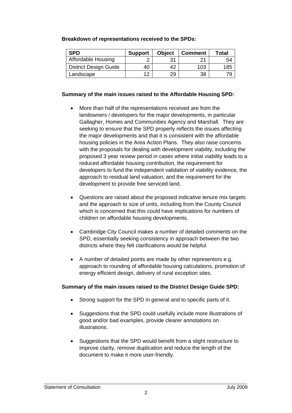| <b>SPD</b>                   | <b>Support</b> | <b>Object</b> | <b>Comment</b> | Total |
|------------------------------|----------------|---------------|----------------|-------|
| <b>Affordable Housing</b>    |                | 21            | ົາ 1           | 54    |
| <b>District Design Guide</b> | 40             | 42            | 103            | 185   |
| Landscape                    | ィっ             | 29            | 38             | 79    |

## **Summary of the main issues raised to the Affordable Housing SPD:**

- More than half of the representations received are from the landowners / developers for the major developments, in particular Gallagher, Homes and Communities Agency and Marshall. They are seeking to ensure that the SPD properly reflects the issues affecting the major developments and that it is consistent with the affordable housing policies in the Area Action Plans. They also raise concerns with the proposals for dealing with development viability, including the proposed 3 year review period in cases where initial viability leads to a reduced affordable housing contribution, the requirement for developers to fund the independent validation of viability evidence, the approach to residual land valuation, and the requirement for the development to provide free serviced land.
- Questions are raised about the proposed indicative tenure mix targets and the approach to size of units, including from the County Council which is concerned that this could have implications for numbers of children on affordable housing developments.
- Cambridge City Council makes a number of detailed comments on the SPD, essentially seeking consistency in approach between the two districts where they felt clarifications would be helpful.
- A number of detailed points are made by other representors e.g. approach to rounding of affordable housing calculations, promotion of energy efficient design, delivery of rural exception sites.

## **Summary of the main issues raised to the District Design Guide SPD:**

- Strong support for the SPD in general and to specific parts of it.
- Suggestions that the SPD could usefully include more illustrations of good and/or bad examples, provide clearer annotations on illustrations.
- Suggestions that the SPD would benefit from a slight restructure to improve clarity, remove duplication and reduce the length of the document to make it more user-friendly.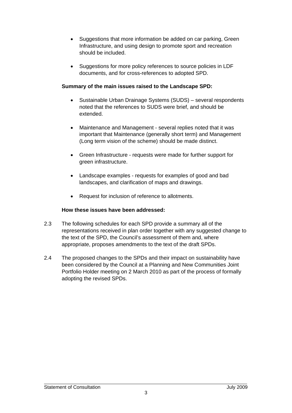- Suggestions that more information be added on car parking, Green Infrastructure, and using design to promote sport and recreation should be included.
- Suggestions for more policy references to source policies in LDF documents, and for cross-references to adopted SPD.

# **Summary of the main issues raised to the Landscape SPD:**

- Sustainable Urban Drainage Systems (SUDS) several respondents noted that the references to SUDS were brief, and should be extended.
- Maintenance and Management several replies noted that it was important that Maintenance (generally short term) and Management (Long term vision of the scheme) should be made distinct.
- Green Infrastructure requests were made for further support for green infrastructure.
- Landscape examples requests for examples of good and bad landscapes, and clarification of maps and drawings.
- Request for inclusion of reference to allotments.

# **How these issues have been addressed:**

- 2.3 The following schedules for each SPD provide a summary all of the representations received in plan order together with any suggested change to the text of the SPD, the Council's assessment of them and, where appropriate, proposes amendments to the text of the draft SPDs.
- 2.4 The proposed changes to the SPDs and their impact on sustainability have been considered by the Council at a Planning and New Communities Joint Portfolio Holder meeting on 2 March 2010 as part of the process of formally adopting the revised SPDs.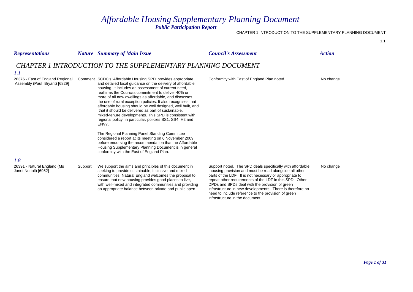# *Affordable Housing Supplementary Planning Document Public Participation Report*

### CHAPTER 1 INTRODUCTION TO THE SUPPLEMENTARY PLANNING DOCUMENT

| <b>Representations</b>                                            |         | <b>Nature</b> Summary of Main Issue                                                                                                                                                                                                                                                                                                                                                                                                                                                                                                                                                                                     | <b>Council's Assessment</b>                                                                                                                                                                                                                                                                                                                                                                                                                        | <b>Action</b> |
|-------------------------------------------------------------------|---------|-------------------------------------------------------------------------------------------------------------------------------------------------------------------------------------------------------------------------------------------------------------------------------------------------------------------------------------------------------------------------------------------------------------------------------------------------------------------------------------------------------------------------------------------------------------------------------------------------------------------------|----------------------------------------------------------------------------------------------------------------------------------------------------------------------------------------------------------------------------------------------------------------------------------------------------------------------------------------------------------------------------------------------------------------------------------------------------|---------------|
| 1.1                                                               |         | CHAPTER 1 INTRODUCTION TO THE SUPPLEMENTARY PLANNING DOCUMENT                                                                                                                                                                                                                                                                                                                                                                                                                                                                                                                                                           |                                                                                                                                                                                                                                                                                                                                                                                                                                                    |               |
| 26376 - East of England Regional<br>Assembly (Paul Bryant) [6829] |         | Comment SCDC's 'Affordable Housing SPD' provides appropriate<br>and detailed local guidance on the delivery of affordable<br>housing. It includes an assessment of current need,<br>reaffirms the Councils commitment to deliver 40% or<br>more of all new dwellings as affordable, and discusses<br>the use of rural exception policies. It also recognises that<br>affordable housing should be well designed, well built, and<br>that it should be delivered as part of sustainable,<br>mixed-tenure developments. This SPD is consistent with<br>regional policy, in particular, policies SS1, SS4, H2 and<br>ENV7. | Conformity with East of England Plan noted.                                                                                                                                                                                                                                                                                                                                                                                                        | No change     |
|                                                                   |         | The Regional Planning Panel Standing Committee<br>considered a report at its meeting on 6 November 2009<br>before endorsing the recommendation that the Affordable<br>Housing Supplementary Planning Document is in general<br>conformity with the East of England Plan.                                                                                                                                                                                                                                                                                                                                                |                                                                                                                                                                                                                                                                                                                                                                                                                                                    |               |
| 1.8<br>26391 - Natural England (Ms<br>Janet Nuttall) [6952]       | Support | We support the aims and principles of this document in<br>seeking to provide sustainable, inclusive and mixed<br>communities. Natural England welcomes the proposal to<br>ensure that new housing provides good places to live,<br>with well-mixed and integrated communities and providing<br>an appropriate balance between private and public open                                                                                                                                                                                                                                                                   | Support noted. The SPD deals specifically with affordable<br>housing provision and must be read alongside all other<br>parts of the LDF. It is not necessary or appropriate to<br>repeat other requirements of the LDF in this SPD. Other<br>DPDs and SPDs deal with the provision of green<br>infrastructure in new developments. There is therefore no<br>need to include reference to the provision of green<br>infrastructure in the document. | No change     |

*Page 1 of 31*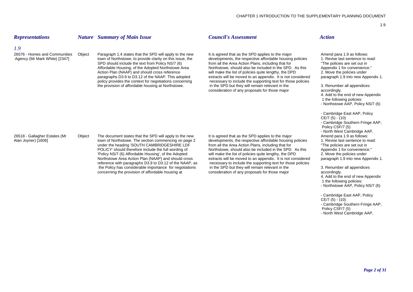### *Representations Nature Summary of Main Issue Council's Assessment Action*

### *1.9*

26576 - Homes and Communities

Object Paragraph 1.4 states that the SPD will apply to the new It is agreed that as the SPD applies to the major Amend para 1.9 as follows:<br>town of Northstowe, to provide clarity on this issue, the developments, the respec Agency (Mr Mark White) [2347] town of Northstowe, to provide clarity on this issue, the developments, the respective affordable housing policies 1. Revise last sentence to read: SPD should include the text from Policy NS/7 (6) from all the Area Action Plans, including that for "The policies are set out in<br>Affordable Housing, of the Adopted Northstowe Area Northstowe, should also be included in the Affordable Housing, of the Adopted Northstowe Area Northstowe, should also be included in the SPD. As this Appendix 1 for convenience<br>Action Plan (NAAP) and should cross reference will make the list of policies quite lengt will make the list of policies quite lengthy, the DPD 2. Move the policies under<br>extracts will be moved to an appendix. It is not considered paragraph 1.9 into new Appendix 1. paragraphs D3.9 to D3.12 of the NAAP. This adopted extracts will be moved to an appendix. It is not considered policy provides the context for negotiations concerning necessary to include the supporting text for those policies<br>the provision of affordable housing at Northstowe.<br>in the SPD but they will remain relevant in the the provision of affordable housing at Northstowe. in the SPD but they will remain relevant in the 3. Renumber all appendices consideration of any proposals for those major accordingly.

4. Add to the end of new Appendix 1 the following policies:

- 
- Northstowe AAP, Policy NS/7 (6)

- Cambridge East AAP, Policy CE/7 (5) - (10) - Cambridge Southern Fringe AAP, Policy CSF/7 (5) - North West Cambridge AAP,

- 4. Add to the end of new Appendix
- 1 the following policies:
- Northstowe AAP, Policy NS/7 (6)
- Cambridge East AAP, Policy
- $CE/7(5) (10)$
- Cambridge Southern Fringe AAP,
- Policy CSF/7 (5)
- North West Cambridge AAP,

26518 - Gallagher Estates (Mr Object The document states that the SPD will apply to the new It is agreed that as the SPD applies to the major Amend para 1.9 as follows:<br>Alan Joyner) [1606] town of Northstowe. The section c reference with paragraphs  $D3.9$  to  $D3.12$  of the NAAP, as

town of Northstowe. The section commencing on page 2 developments, the respective affordable housing policies under the heading 'SOUTH CAMBRIDGESHIRE LDF from all the Area Action Plans, including that for "The policies are set out in<br>POLICY' should therefore include the full wording of Northstowe, should also be included in the SP Northstowe, should also be included in the SPD. As this Appendix 1 for convenience." 'Policy NS/7 (6) Affordable Housing', of the Adopted will make the list of policies quite lengthy, the DPD 2. Move the policies under Northstowe Area Action Plan (NAAP) and should cross extracts will be moved to an appendix. It is not considered paragraph 1.9 into new Appendix 1.<br>
reference with paragraphs D3.9 to D3.12 of the NAAP. as extension necessar the Policy has considerable importance for negotiations in the SPD but they will remain relevant in the 3. Renumber all appendices concerning the provision of affordable housing at consideration of any proposals for those major accordingly.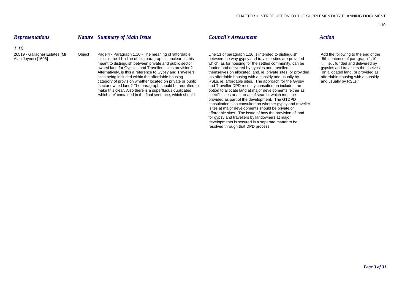### *Representations Nature Summary of Main Issue Council's Assessment Action*

### *1.10*

sites' in the 11th line of this paragraph is unclear. Is this between the way gypsy and traveller sites are provided 5th sentence of paragraph 1.10:<br>meant to distinguish between private and public sector which, as for hous meant to distinguish between private and public sector which, as for housing for the settled community, can be "..., ie., funded and delivered by gypsies and fravellers themselves owned land for Gypsies and Travellers them owned land for Gypsies and Travellers sites provision? funded and delivered by gypsies and travellers gypsies and travellers themselves on allocated land, i.e. private sites, or provided on allocated land, or provided as sites being included within the affordable housing as affordable housing with a subsidy and usually by affordable housing with a subsidy category of provision whether located on private or public RSLs, ie. affordable sites. The approach for the Gypsy and usually by RSLs."<br>sector owned land? The paragraph should be redrafted to and Traveller DPD recently con sector owned land? The paragraph should be redrafted to make this clear. Also there is a superfluous duplicated 'which are' contained in the final sentence, which should specific sites or as areas of search, which must be

26519 - Gallagher Estates (Mr Object Page 4 - Paragraph 1.10 - The meaning of 'affordable Line 11 of paragraph 1.10 is intended to distinguish Add the following to the end of the stres' in the 11th line of this paragraph i themselves on allocated land, ie. private sites, or provided option to allocate land at major developments, either as provided as part of the development. The GTDPD consultation also consulted on whether gypsy and traveller sites at major developments should be private or affordable sites. The issue of how the provision of land for gypsy and travellers by landowners at major developments is secured is a separate matter to be resolved through that DPD process.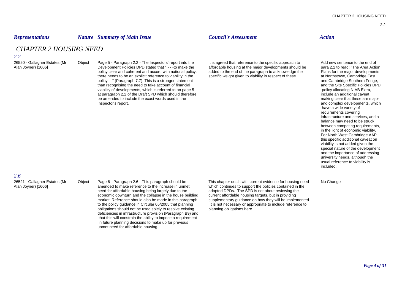### *Representations Nature Summary of Main Issue Council's Assessment Action*

# *CHAPTER 2 HOUSING NEED*

### *2.2*

26520 - Gallagher Estates (Mr Object Page 5 - Paragraph 2.2 - The Inspectors' report into the It is agreed that reference to the specific approach to Add new sentence to the end of<br>Alan Joyner) [1606] Development Policies policy clear and coherent and accord with national policy, added to the end of the paragraph to acknowledge the Plans for the major developments there needs to be an explicit reference to viability in the specific weight given to viability in respect of these at Northstowe, Cambridge East policy - " (Paragraph 7.7). This is a stronger statement and Cambridge Southern Fringe, policy - " (Paragraph 7.7). This is a stronger statement and Cambridge Southern Fringe, and the Site Specific Policies DPD than recognising the need to take account of financial and the Site Specific Policies of the Site Specific Policies of the Site Specific Policies of the Site Specific Policies of the Site Specific Policies of the Site Spec viability of developments, which is referred to on page 5 at paragraph 2.2 of the Draft SPD which should therefore include and additional caveat include an additional caveat<br>
be amended to include the exact words used in the interefore in the include and additional caveat include be amended to include the exact words used in the Inspector's report. The example of the example of the example of the example of the example of the example of the example of the example of the example of the example of the example of the example of the example of the exa

affordable housing at the major developments should be para 2.2 to read: "The Area Action added to the end of the paragraph to acknowledge the Plans for the major developments

 have a wide variety of requirements covering infrastructure and services, and a balance may need to be struck between competing requirements, in the light of economic viability. For North West Cambridge AAP this specific additional caveat on viability is not added given the special nature of the development and the importance of addressing university needs, although the usual reference to viability is included.

*2.6*

26521 - Gallagher Estates (Mr Object Page 6 - Paragraph 2.6 - This paragraph should be This chapter deals with current evidence for housing need No Change Alan Joyner) [1606] amended to make reference to the increase in unmet which continues to support the policies contained in the need for affordable housing being largely due to the adopted DPDs. The SPD is not about reviewing the economic downturn and the collapse in the house building current affordable housing targets, but in providing market. Reference should also be made in this paragraph supplementary guidance on how they will be implemented. to the policy guidance in Circular 05/2005 that planning It is not necessary or appropriate to include reference to obligations should not be used solely to resolve existing planning obligations here. deficiencies in infrastructure provision (Paragraph B9) and that this will constrain the ability to impose a requirement in future planning decisions to make up for previous unmet need for affordable housing.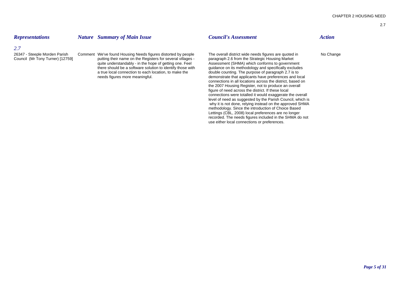## *Representations Nature Summary of Main Issue Council's Assessment Action*

### *2.7*

26347 - Steeple Morden Parish Comment We've found Housing Needs figures distorted by people The overall district wide needs figures are quoted in No Change Council (Mr Tony Turner) [12759] parting their name on the Registe putting their name on the Registers for several villages - paragraph 2.6 from the Strategic Housing Market<br>quite understandably - in the hope of getting one. Feel Assessment (SHMA) which conforms to government quite understandably - in the hope of getting one. Feel Assessment (SHMA) which conforms to government<br>there should be a software solution to identify those with guidance on its methodology and specifically excludes there should be a software solution to identify those with a true local connection to each location, to make the needs figures more meaningful. demonstrate that applicants have preferences and local

double counting. The purpose of paragraph 2.7 is to

connections in all locations across the district, based on the 2007 Housing Register, not to produce an overall figure of need across the district. If these local

connections were totalled it would exaggerate the overall level of need as suggested by the Parish Council, which is why it is not done, relying instead on the approved SHMA methodology. Since the introduction of Choice Based Lettings (CBL, 2008) local preferences are no longer recorded. The needs figures included in the SHMA do not

use either local connections or preferences.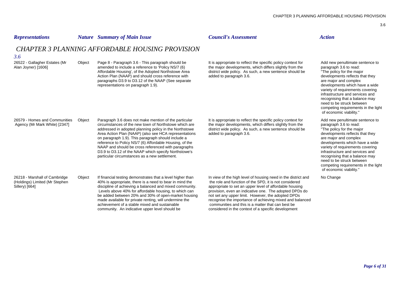Add new penultimate sentence to

developments which have a wide variety of requirements covering infrastructure and services and recognising that a balance may need to be struck between competing requirements in the light

paragraph 3.6 to read: <sup>i</sup>The policy for the major developments reflects that they are major and complex

of economic viability."

| <b>Representations</b>                               |        | <b>Nature</b> Summary of Main Issue                                                                                                                                                                                                                                                                              | <b>Council's Assessment</b>                                                                                                                                                                                   | <b>Action</b>                                                                                                         |
|------------------------------------------------------|--------|------------------------------------------------------------------------------------------------------------------------------------------------------------------------------------------------------------------------------------------------------------------------------------------------------------------|---------------------------------------------------------------------------------------------------------------------------------------------------------------------------------------------------------------|-----------------------------------------------------------------------------------------------------------------------|
| 3.6                                                  |        | <b>CHAPTER 3 PLANNING AFFORDABLE HOUSING PROVISION</b>                                                                                                                                                                                                                                                           |                                                                                                                                                                                                               |                                                                                                                       |
| 26522 - Gallagher Estates (Mr<br>Alan Joyner) [1606] | Object | Page 8 - Paragraph 3.6 - This paragraph should be<br>amended to include a reference to 'Policy NS/7 (6)<br>Affordable Housing', of the Adopted Northstowe Area<br>Action Plan (NAAP) and should cross reference with<br>paragraphs D3.9 to D3.12 of the NAAP (See separate<br>representations on paragraph 1.9). | It is appropriate to reflect the specific policy context for<br>the major developments, which differs slightly from the<br>district wide policy. As such, a new sentence should be<br>added to paragraph 3.6. | Add ne<br>paragra<br>"The pc<br>develop<br>are mai<br>develop<br>variety<br>infrastru<br>recogni<br>need to<br>compat |

| 26579 - Homes and Communities<br>Agency (Mr Mark White) [2347]                    | Object | Paragraph 3.6 does not make mention of the particular<br>circumstances of the new town of Northstowe which are<br>addressed in adopted planning policy in the Northstowe<br>Area Action Plan (NAAP) (also see HCA representations<br>on paragraph 1.9). This paragraph should include a<br>reference to Policy NS/7 (6) Affordable Housing, of the<br>NAAP and should be cross referenced with paragraphs<br>D3.9 to D3.12 of the NAAP which specify Northstowe's<br>particular circumstances as a new settlement. | It is appropriate to reflect the specific policy context for<br>the major developments, which differs slightly from the<br>district wide policy. As such, a new sentence should be<br>added to paragraph 3.6.                                                                                                                                                                                                                                                              | Add new penultimate sentence to<br>paragraph 3.6 to read:<br>"The policy for the major<br>developments reflects that they<br>are major and complex<br>developments which have a wide<br>variety of requirements covering<br>infrastructure and services and<br>recognising that a balance may<br>need to be struck between<br>competing requirements in the ligh<br>of economic viability." |
|-----------------------------------------------------------------------------------|--------|--------------------------------------------------------------------------------------------------------------------------------------------------------------------------------------------------------------------------------------------------------------------------------------------------------------------------------------------------------------------------------------------------------------------------------------------------------------------------------------------------------------------|----------------------------------------------------------------------------------------------------------------------------------------------------------------------------------------------------------------------------------------------------------------------------------------------------------------------------------------------------------------------------------------------------------------------------------------------------------------------------|---------------------------------------------------------------------------------------------------------------------------------------------------------------------------------------------------------------------------------------------------------------------------------------------------------------------------------------------------------------------------------------------|
| 26218 - Marshall of Cambridge<br>(Holdings) Limited (Mr Stephen<br>Sillery) [664] | Object | If financial testing demonstrates that a level higher than<br>40% is appropriate, there is a need to bear in mind the<br>discipline of achieving a balanced and mixed community.<br>Levels above 40% for affordable housing, to which can<br>be added between 20% and 30% of open-market housing<br>made available for private renting, will undermine the<br>achievement of a stable mixed and sustainable<br>community. An indicative upper level should be                                                      | In view of the high level of housing need in the district and<br>the role and function of the SPD, it is not considered<br>appropriate to set an upper level of affordable housing<br>provision, even an indicative one. The adopted DPDs do<br>not set any upper limit. However, the adopted DPDs<br>recognise the importance of achieving mixed and balanced<br>communities and this is a matter that can best be<br>considered in the context of a specific development | No Change                                                                                                                                                                                                                                                                                                                                                                                   |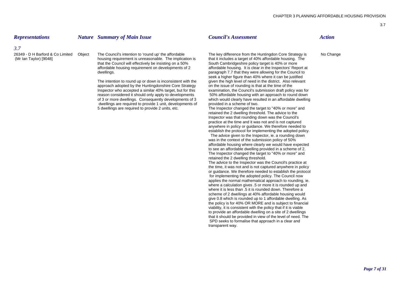### *Representations Nature Summary of Main Issue Council's Assessment Action*

### *3.7*

26349 - D H Barford & Co Limited Object

The Council's intention to 'round up' the affordable The key difference from the Huntingdon Core Strategy is No Change<br>housing requirement is unreasonable. The implication is that it includes a target of 40% affordable hou (Mr Ian Taylor) [9048] housing requirement is unreasonable. The implication is that it includes a target of 40% affordable housing.<br>that the Council will effectively be insisting on a 50% South Cambridgeshire policy target that the Council will effectively be insisting on a 50% affordable housing requirement on developments of 2

> The intention to round up or down is inconsistent with the given the high level of need in the district. Also relevant approach adopted by the Huntingdonshire Core Strategy on the issue of rounding is that at the time of t approach adopted by the Huntingdonshire Core Strategy Inspector who accepted a similar 40% target, but for this examination, the Council's submission draft policy was for reason considered it should only apply to developments 50% affordable housing with an approach to round down dwellings are required to provide 1 unit, developments of 5 dwellings are required to provide 2 units, etc. The Inspector changed the target to "40% or more" and

affordable housing requirement on developments of 2 affordable housing. It is clear in the Inspectors' Report at dwellings.<br>
paragraph 7.7 that they were allowing for the Council to paragraph 7.7 that they were allowing for the Council to seek a higher figure than 40% where it can be justified of 3 or more dwellings. Consequently developments of 3 which would clearly have resulted in an affordable dwelling

> retained the 2 dwelling threshold. The advice to the Inspector was that rounding down was the Council's practice at the time and it was not and is not captured anywhere in policy or guidance. We therefore needed to establish the protocol for implementing the adopted policy.

> The advice given to the Inspector, ie. a rounding down was in the context of the submission policy of 50% affordable housing where clearly we would have expected to see an affordable dwelling provided in a scheme of 2. The Inspector changed the target to "40% or more" and retained the 2 dwelling threshold.

The advice to the Inspector was the Council's practice at the time, it was not and is not captured anywhere in policy or guidance. We therefore needed to establish the protocol for implementing the adopted policy. The Council now applies the normal mathematical approach to rounding, ie. where a calculation gives .5 or more it is rounded up and where it is less than .5 it is rounded down. Therefore a scheme of 2 dwellings at 40% affordable housing would give 0.8 which is rounded up to 1 affordable dwelling. As the policy is for 40% OR MORE and is subject to financial viability, it is consistent with the policy that if it is viable to provide an affordable dwelling on a site of 2 dwellings that it should be provided in view of the level of need. The SPD seeks to formalise that approach in a clear and transparent way.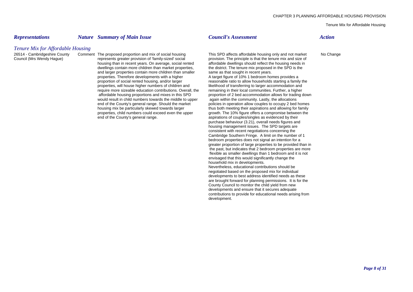Tenure Mix for Affordable Housing

### *Representations Nature Summary of Main Issue Council's Assessment Action*

### *Tenure Mix for Affordable Housing*

housing than in recent years. On average, social rented affordable dwellings should reflect the housing needs in dwellings contain more children than market properties, the district. The tenure mix proposed in the SPD is t dwellings contain more children than market properties, the district. The tenure mix proposed and larger properties contain more children than smaller same as that sought in recent years. and larger properties contain more children than smaller properties. Therefore developments with a higher A target figure of 10% 1 bedroom homes provides a require more sizeable education contributions. Overall, the would result in child numbers towards the middle to upper again within the community. Lastly, the allocations<br>end of the County's general range. Should the market policies in operation allow couples to occupy 2 bed end of the County's general range. As a spirations of couples/singles as evidenced by their

26514 - Cambridgeshire County Comment The proposed proportion and mix of social housing This SPD affects affordable housing only and not market No Change<br>Council (Mrs Wendy Hague) represents greater provision of 'family-si provision. The principle is that the tenure mix and size of proportion of social rented housing, and/or larger reasonable ratio to allow households starting a family the<br>properties, will house higher numbers of children and likelihood of transferring to larger accommodation and likelihood of transferring to larger accommodation and remaining in their local communities. Further, a higher affordable housing proportions and mixes in this SPD proportion of 2 bed accommodation allows for trading down policies in operation allow couples to occupy 2 bed homes housing mix be particularly skewed towards larger thus both meeting their aspirations and allowing for family properties, child numbers could exceed even the upper growth. The 10% figure offers a compromise between the purchase behaviour (3.21), overall needs figures and housing management issues. The SPD targets are consistent with recent negotiations concerning the Cambridge Southern Fringe. A limit on the number of 1 bedroom properties does not signal an intention for a greater proportion of large properties to be provided than in the past, but indicates that 2 bedroom properties are more flexible as smaller dwellings than 1 bedroom and it is not envisaged that this would significantly change the household mix in developments. Nevertheless, educational contributions should be negotiated based on the proposed mix for individual developments to best address identified needs as these are brought forward for planning permissions. It is for the County Council to monitor the child yield from new developments and ensure that it secures adequate contributions to provide for educational needs arising from development.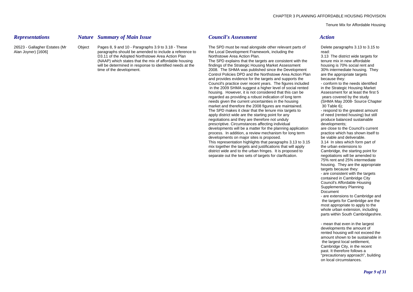Tenure Mix for Affordable Housing

### *Representations Nature Summary of Main Issue Council's Assessment Action*

Alan Joyner) [1606] paragraphs should be amended to include a reference to the Local Development Framework, including the read: D3.11 of the Adopted Northstowe Area Action Plan Northstowe Area Action Plan. 3.13 The district wide targets for<br>(NAAP) which states that the mix of affordable housing The SPD explains that the targets are consistent with

26523 - Gallagher Estates (Mr Object Pages 8, 9 and 10 - Paragraphs 3.9 to 3.18 - These The SPD must be read alongside other relevant parts of Delete paragraphs 3.13 to 3.15 to

The SPD explains that the targets are consistent with the will be determined in response to identified needs at the findings of the Strategic Housing Market Assessment housing is 70% social rent and time of the development. 2008. The SHMA was published since the Development 30% intermediate housing. They Control Policies DPD and the Northstowe Area Action Plan are the appropriate targets<br>and provides evidence for the targets and supports the because they: and provides evidence for the targets and supports the Council's practice over recent years. The figures included - conform to the needs identified in the 2009 SHMA suggest a higher level of social rented in the Strategic Housing Market housing. However, it is not considered that this can be <br>regarded as providing a robust indication of long term vears covered by the study regarded as providing a robust indication of long term needs given the current uncertainties in the housing (SHMA May 2008- Source Chapter market and therefore the 2008 figures are maintained. 30 Table 6);<br>The SPD makes it clear that the tenure mix targets to respond to the greatest amount The SPD makes it clear that the tenure mix targets to apply district wide are the starting point for any of need (rented housing) but still negotiations and they are therefore not unduly **produce balanced** sustainable prescriptive. Circumstances affecting individual developments;<br>developments will be a matter for the planning application are close to the Council's current developments will be a matter for the planning application process. In addition, a review mechanism for long term practice which has shown itself to developments on major sites is proposed. be viable and deliverable. This representation highlights that paragraphs 3.13 to 3.15 3.14 In sites which form part of mix together the targets and justifications that will apply the urban extensions to district wide and to the urban fringes. It is proposed to Cambridge, the starting point for separate out the two sets of targets for clarification. The negotiations will be amended to

75% rent and 25% intermediate housing. They are the appropriate targets because they:

- are consistent with the targets contained in Cambridge City Council's Affordable Housing Supplementary Planning Document

- are extensions to Cambridge and the targets for Cambridge are the most appropriate to apply to the whole urban extension, including parts within South Cambridgeshire.

- mean that even in the largest developments the amount of rented housing will not exceed the amount shown to be sustainable in the largest local settlement, Cambridge City, in the recent past. It therefore follows a "precautionary approach", building on local circumstances.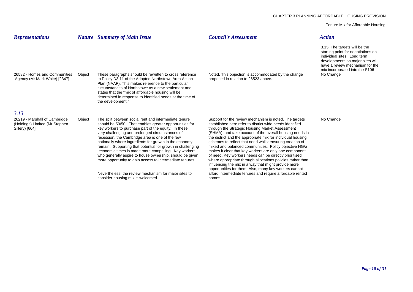Tenure Mix for Affordable Housing

| <b>Representations</b>                                                                    |        | <b>Nature</b> Summary of Main Issue                                                                                                                                                                                                                                                                                                                                                                                                                                                                                                                                                     | <b>Council's Assessment</b>                                                                                                                                                                                                                                                                                                                                                                                                                                                                                                                                                                                                                                     | <b>Action</b>                                                                                                                                                                                                           |
|-------------------------------------------------------------------------------------------|--------|-----------------------------------------------------------------------------------------------------------------------------------------------------------------------------------------------------------------------------------------------------------------------------------------------------------------------------------------------------------------------------------------------------------------------------------------------------------------------------------------------------------------------------------------------------------------------------------------|-----------------------------------------------------------------------------------------------------------------------------------------------------------------------------------------------------------------------------------------------------------------------------------------------------------------------------------------------------------------------------------------------------------------------------------------------------------------------------------------------------------------------------------------------------------------------------------------------------------------------------------------------------------------|-------------------------------------------------------------------------------------------------------------------------------------------------------------------------------------------------------------------------|
| 26582 - Homes and Communities<br>Agency (Mr Mark White) [2347]                            | Object | These paragraphs should be rewritten to cross reference<br>to Policy D3.11 of the Adopted Northstowe Area Action<br>Plan (NAAP). This makes reference to the particular<br>circumstances of Northstowe as a new settlement and<br>states that the "mix of affordable housing will be<br>determined in response to identified needs at the time of<br>the development."                                                                                                                                                                                                                  | Noted. This objection is accommodated by the change<br>proposed in relation to 26523 above.                                                                                                                                                                                                                                                                                                                                                                                                                                                                                                                                                                     | 3.15 The targets will be the<br>starting point for negotiations on<br>individual sites. Long term<br>developments on major sites will<br>have a review mechanism for the<br>mix incorporated into the S106<br>No Change |
| 3.13<br>26219 - Marshall of Cambridge<br>(Holdings) Limited (Mr Stephen<br>Sillery) [664] | Object | The split between social rent and intermediate tenure<br>should be 50/50. That enables greater opportunities for<br>key workers to purchase part of the equity. In these<br>very challenging and prolonged circumstances of<br>recession, the Cambridge area is one of the few<br>nationally where ingredients for growth in the economy<br>remain. Supporting that potential for growth in challenging<br>economic times is made more compelling. Key workers,<br>who generally aspire to house ownership, should be given<br>more opportunity to gain access to intermediate tenures. | Support for the review mechanism is noted. The targets<br>established here refer to district wide needs identified<br>through the Strategic Housing Market Assessment<br>(SHMA), and take account of the overall housing needs in<br>the district and the appropriate mix for individual housing<br>schemes to reflect that need whilst ensuring creation of<br>mixed and balanced communities. Policy objective HG/a<br>makes it clear that key workers are only one component<br>of need. Key workers needs can be directly prioritised<br>where appropriate through allocations policies rather than<br>influencing the mix in a way that might provide more | No Change                                                                                                                                                                                                               |
|                                                                                           |        | Nevertheless, the review mechanism for major sites to<br>consider housing mix is welcomed.                                                                                                                                                                                                                                                                                                                                                                                                                                                                                              | opportunities for them. Also, many key workers cannot<br>afford intermediate tenures and require affordable rented<br>homes.                                                                                                                                                                                                                                                                                                                                                                                                                                                                                                                                    |                                                                                                                                                                                                                         |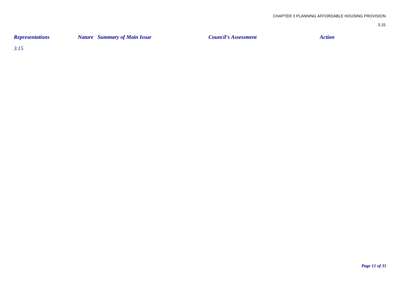| <b>Representations</b> | <b>Nature</b> Summary of Main Issue | <b>Council's Assessment</b> | Action |
|------------------------|-------------------------------------|-----------------------------|--------|
|                        |                                     |                             |        |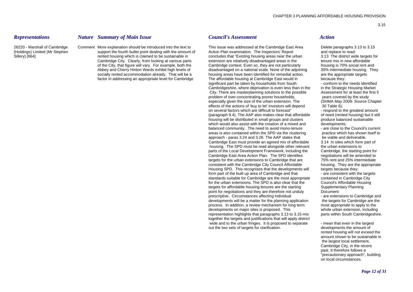### *Representations Nature Summary of Main Issue Council's Assessment Action*

Cambridge City. Clearly, from looking at various parts

26220 - Marshall of Cambridge Comment More explanation should be introduced into the text to This issue was addressed at the Cambridge East Area Delete paragraphs 3.13 to 3.15 (Holdings) Limited (Mr Stephen support the fourth bullet point dealing with the amount of Action Plan examination. The Inspectors' Report and replace to read: Sillery) [664] rented housing which is claimed to be sustainable in concludes that "Existing housing areas near the urban 3.13 The district wide targets for concludes that "Existing housing areas near the urban 3.13 The di of the City, that figure will vary. For example, both the Cambridge context. Even so, they are not particularly housing is 70% social rent and Abbey and Cherry Hinton Wards exhibit high levels of disadvantaged on a national scale. None of the adjoining 30% intermediate housing. They socially rented accommodation already. That will be a housing areas have been identified for remedial action. <br>
factor in addressing an appropriate level for Cambridge The affordable housing at Cambridge East would in beca factor in addressing an appropriate level for Cambridge The affordable housing at Cambridge East would in because they: significant part be taken by households from South - conform to the needs identified Cambridgeshire, where deprivation is even less than in the in the Strategic Housing Market City. There are masterplanning solutions to the possible Assessment for at least the first 5<br>
Supplem of over-concentrating poorer households.<br>
Nears covered by the study problem of over-concentrating poorer households. especially given the size of the urban extension. The (SHMA May 2008- Source Chapter effects of the actions of 'buy to let' investors will depend 30 Table 6); on several factors which are difficult to forecast" - respond to the greatest amount (paragraph 9.4). The AAP also makes clear that affordable of need (rented housing) but it still housing will be distributed in small groups and clusters produce balanced sustainable which would also assist with the creation of a mixed and developments: balanced community. The need to avoid mono-tenure - are close to the Council's current areas is also contained within the SPD via the clustering practice which has shown itself to approach - paras 3.24 and 3.26. The AAP states that be viable and deliverable. Cambridge East must provide an agreed mix of affordable 3.14 In sites which form part of housing. The SPD must be read alongside other relevant the urban extensions to parts of the Local Development Framework, including the Cambridge, the starting point for Cambridge East Area Action Plan. The SPD identifies negotiations will be amended to targets for the urban extensions to Cambridge that are 75% rent and 25% intermediate consistent with the Cambridge City Council Affordable housing. They are the appropriate Housing SPD. This recognises that the developments will targets because they: form part of the built up area of Cambridge and that - are consistent with the targets standards suitable for Cambridge are the most appropriate contained in Cambridge City for the urban extensions. The SPD is also clear that the Council's Affordable Housing targets for affordable housing tenures are the starting Supplementary Planning point for negotiations and they are therefore not unduly Document prescriptive. Circumstances affecting individual - are extensions to Cambridge and developments will be a matter for the planning application the targets for Cambridge are the process. In addition, a review mechanism for long term most appropriate to apply to the developments on major sites is proposed. This whole urban extension, including representation highlights that paragraphs 3.13 to 3.15 mix parts within South Cambridgeshire. together the targets and justifications that will apply district wide and to the urban fringes. It is proposed to separate - mean that even in the largest out the two sets of targets for clarification. The developments the amount of

rented housing will not exceed the amount shown to be sustainable in the largest local settlement, Cambridge City, in the recent past. It therefore follows a "precautionary approach", building on local circumstances.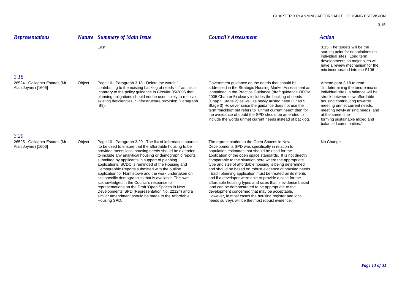| <b>Representations</b>                               |        | <b>Nature</b> Summary of Main Issue                                                                                                                                                                                                                                                                                                                                                                                                                                                                                                                                                                                                                                                  | <b>Council's Assessment</b>                                                                                                                                                                                                                                                                                                                                                                                                                                                                                                                                                                                                                                                                                                                             | <b>Action</b>                                                                                                                                                                                                                                                                                                            |
|------------------------------------------------------|--------|--------------------------------------------------------------------------------------------------------------------------------------------------------------------------------------------------------------------------------------------------------------------------------------------------------------------------------------------------------------------------------------------------------------------------------------------------------------------------------------------------------------------------------------------------------------------------------------------------------------------------------------------------------------------------------------|---------------------------------------------------------------------------------------------------------------------------------------------------------------------------------------------------------------------------------------------------------------------------------------------------------------------------------------------------------------------------------------------------------------------------------------------------------------------------------------------------------------------------------------------------------------------------------------------------------------------------------------------------------------------------------------------------------------------------------------------------------|--------------------------------------------------------------------------------------------------------------------------------------------------------------------------------------------------------------------------------------------------------------------------------------------------------------------------|
| 3.18                                                 |        | East.                                                                                                                                                                                                                                                                                                                                                                                                                                                                                                                                                                                                                                                                                |                                                                                                                                                                                                                                                                                                                                                                                                                                                                                                                                                                                                                                                                                                                                                         | 3.15 The targets will be the<br>starting point for negotiations on<br>individual sites. Long term<br>developments on major sites will<br>have a review mechanism for the<br>mix incorporated into the S106                                                                                                               |
| 26524 - Gallagher Estates (Mr<br>Alan Joyner) [1606] | Object | Page 10 - Paragraph 3.18 - Delete the words " - -<br>contributing to the existing backlog of needs - -" as this is<br>contrary to the policy guidance in Circular 05/2005 that<br>planning obligations should not be used solely to resolve<br>existing deficiencies in infrastructure provision (Paragraph<br>B9).                                                                                                                                                                                                                                                                                                                                                                  | Government guidance on the needs that should be<br>addressed in the Strategic Housing Market Assessment as<br>contained in the Practice Guidance (draft guidance ODPM<br>2005 Chapter 5) clearly includes the backlog of needs<br>(Chap 5 Stage 2) as well as newly arising need (Chap 5<br>Stage 3) However since the guidance does not use the<br>term "backlog" but refers to "unmet current need" then for<br>the avoidance of doubt the SPD should be amended to<br>include the words unmet current needs instead of backlog.                                                                                                                                                                                                                      | Amend para 3.18 to read:<br>"In determining the tenure mix on<br>individual sites, a balance will be<br>struck between new affordable<br>housing contributing towards<br>meeting unmet current needs,<br>meeting newly arising needs, and<br>at the same time<br>forming sustainable mixed and<br>balanced communities." |
| 3.20<br>26525 - Gallagher Estates (Mr                | Object | Page 10 - Paragraph 3.20 - The list of information sources                                                                                                                                                                                                                                                                                                                                                                                                                                                                                                                                                                                                                           | The representation to the Open Spaces in New                                                                                                                                                                                                                                                                                                                                                                                                                                                                                                                                                                                                                                                                                                            | No Change                                                                                                                                                                                                                                                                                                                |
| Alan Joyner) [1606]                                  |        | to be used to ensure that the affordable housing to be<br>provided meets local housing needs should be extended<br>to include any analytical housing or demographic reports<br>submitted by applicants in support of planning<br>applications. SCDC is reminded of the Housing and<br>Demographic Reports submitted with the outline<br>application for Northstowe and the work undertaken on<br>site specific demographics that is available. This was<br>acknowledged in the Council's response to<br>representations on the Draft 'Open Spaces in New<br>Developments' SPD (Representation No: 22124) and a<br>similar amendment should be made to the Affordable<br>Housing SPD. | Developments SPD was specifically in relation to<br>population estimates that should be used for the<br>application of the open space standards. It is not directly<br>comparable to the situation here where the appropriate<br>type and size of affordable housing is being determined<br>and should be based on robust evidence of housing needs.<br>Each planning application must be treated on its merits<br>and if a developer were able to provide a case for the<br>affordable housing types and sizes that is evidence based<br>and can be demonstrated to be appropriate to the<br>development concerned that may be acceptable.<br>However, in most cases the housing register and local<br>needs surveys will be the most robust evidence. |                                                                                                                                                                                                                                                                                                                          |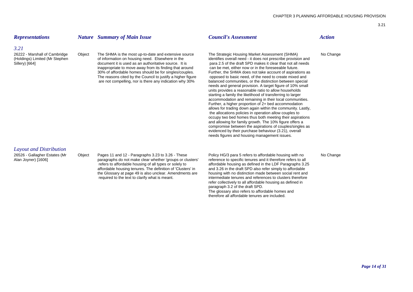| <b>Representations</b>                                                                    |        | <b>Nature</b> Summary of Main Issue                                                                                                                                                                                                                                                                                                                                                                              | <b>Council's Assessment</b>                                                                                                                                                                                                                                                                                                                                                                                                                                                                                                                                                                                                                                                                                                                                                                                                                                                                                                                                                                                                                                                                                                                           | <b>Action</b> |
|-------------------------------------------------------------------------------------------|--------|------------------------------------------------------------------------------------------------------------------------------------------------------------------------------------------------------------------------------------------------------------------------------------------------------------------------------------------------------------------------------------------------------------------|-------------------------------------------------------------------------------------------------------------------------------------------------------------------------------------------------------------------------------------------------------------------------------------------------------------------------------------------------------------------------------------------------------------------------------------------------------------------------------------------------------------------------------------------------------------------------------------------------------------------------------------------------------------------------------------------------------------------------------------------------------------------------------------------------------------------------------------------------------------------------------------------------------------------------------------------------------------------------------------------------------------------------------------------------------------------------------------------------------------------------------------------------------|---------------|
| 3.21<br>26222 - Marshall of Cambridge<br>(Holdings) Limited (Mr Stephen<br>Sillery) [664] | Object | The SHMA is the most up-to-date and extensive source<br>of information on housing need. Elsewhere in the<br>document it is used as an authoritative source. It is<br>inappropriate to move away from its finding that around<br>30% of affordable homes should be for singles/couples.<br>The reasons cited by the Council to justify a higher figure<br>are not compelling, nor is there any indication why 30% | The Strategic Housing Market Assessment (SHMA)<br>identifies overall need - it does not prescribe provision and<br>para 2.5 of the draft SPD makes it clear that not all needs<br>can be met, either now or in the foreseeable future.<br>Further, the SHMA does not take account of aspirations as<br>opposed to basic need, of the need to create mixed and<br>balanced communities, or the distinction between special<br>needs and general provision. A target figure of 10% small<br>units provides a reasonable ratio to allow households<br>starting a family the likelihood of transferring to larger<br>accommodation and remaining in their local communities.<br>Further, a higher proportion of 2+ bed accommodation<br>allows for trading down again within the community. Lastly,<br>the allocations policies in operation allow couples to<br>occupy two bed homes thus both meeting their aspirations<br>and allowing for family growth. The 10% figure offers a<br>compromise between the aspirations of couples/singles as<br>evidenced by their purchase behaviour (3.21), overall<br>needs figures and housing management issues. | No Change     |
| Layout and Distribution<br>26526 - Gallagher Estates (Mr<br>Alan Joyner) [1606]           | Object | Pages 11 and 12 - Paragraphs 3.23 to 3.26 - These<br>paragraphs do not make clear whether 'groups or clusters'<br>refers to affordable housing of all types or solely to<br>affordable housing tenures. The definition of 'Clusters' in<br>the Glossary at page 49 is also unclear. Amendments are<br>required to the text to clarify what is meant.                                                             | Policy HG/3 para 5 refers to affordable housing with no<br>reference to specific tenures and it therefore refers to all<br>affordable housing as defined in the LDF Paragraphs 3.25<br>and 3.26 in the draft SPD also refer simply to affordable<br>housing with no distinction made between social rent and<br>intermediate tenures and references to clusters therefore<br>refer collectively to all affordable housing as defined in<br>paragraph 3.2 of the draft SPD.<br>The glossary also refers to affordable homes and<br>therefore all affordable tenures are included.                                                                                                                                                                                                                                                                                                                                                                                                                                                                                                                                                                      | No Change     |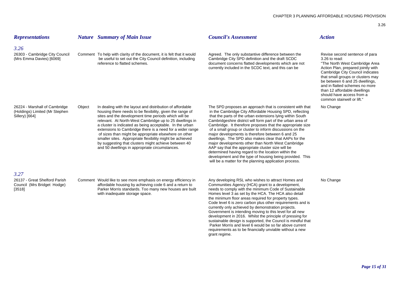| <b>Representations</b>                                                            |        | <b>Nature</b> Summary of Main Issue                                                                                                                                                                                                                                                                                                                                                                                                                                                                                                                                                               | <b>Council's Assessment</b>                                                                                                                                                                                                                                                                                                                                                                                                                                                                                                                                                                                                                                                                                                                                                      | <b>Action</b>                                                                                                                                                                                                                                                                                                                                                   |
|-----------------------------------------------------------------------------------|--------|---------------------------------------------------------------------------------------------------------------------------------------------------------------------------------------------------------------------------------------------------------------------------------------------------------------------------------------------------------------------------------------------------------------------------------------------------------------------------------------------------------------------------------------------------------------------------------------------------|----------------------------------------------------------------------------------------------------------------------------------------------------------------------------------------------------------------------------------------------------------------------------------------------------------------------------------------------------------------------------------------------------------------------------------------------------------------------------------------------------------------------------------------------------------------------------------------------------------------------------------------------------------------------------------------------------------------------------------------------------------------------------------|-----------------------------------------------------------------------------------------------------------------------------------------------------------------------------------------------------------------------------------------------------------------------------------------------------------------------------------------------------------------|
| 3.26<br>26303 - Cambridge City Council<br>(Mrs Emma Davies) [6069]                |        | Comment To help with clarity of the document, it is felt that it would<br>be useful to set out the City Council definition, including<br>reference to flatted schemes.                                                                                                                                                                                                                                                                                                                                                                                                                            | Agreed. The only substantive difference between the<br>Cambridge City SPD definition and the draft SCDC<br>document concerns flatted developments which are not<br>currently included in the SCDC text, and this can be                                                                                                                                                                                                                                                                                                                                                                                                                                                                                                                                                          | Revise second sentence of para<br>3.26 to read:<br>"The North West Cambridge Area<br>Action Plan, prepared jointly with<br>Cambridge City Council indicates<br>that small groups or clusters may<br>be between 6 and 25 dwellings,<br>and in flatted schemes no more<br>than 12 affordable dwellings<br>should have access from a<br>common stairwell or lift." |
| 26224 - Marshall of Cambridge<br>(Holdings) Limited (Mr Stephen<br>Sillery) [664] | Object | In dealing with the layout and distribution of affordable<br>housing there needs to be flexibility, given the range of<br>sites and the development time periods which will be<br>relevant. At North-West Cambridge up to 25 dwellings in<br>a cluster is indicated as being acceptable. In the urban<br>extensions to Cambridge there is a need for a wider range<br>of sizes than might be appropriate elsewhere on other<br>smaller sites. Appropriate flexibility might be achieved<br>by suggesting that clusters might achieve between 40<br>and 50 dwellings in appropriate circumstances. | The SPD proposes an approach that is consistent with that<br>in the Cambridge City Affordable Housing SPD, reflecting<br>that the parts of the urban extensions lying within South<br>Cambridgeshire district will form part of the urban area of<br>Cambridge. It therefore proposes that the appropriate size<br>of a small group or cluster to inform discussions on the<br>major developments is therefore between 6 and 25<br>dwellings. The SPD also makes clear that AAPs for the<br>major developments other than North West Cambridge<br>AAP say that the appropriate cluster size will be<br>determined having regard to the location within the<br>development and the type of housing being provided. This<br>will be a matter for the planning application process. | No Change                                                                                                                                                                                                                                                                                                                                                       |
| 3.27<br>26137 - Great Shelford Parish<br>Council (Mrs Bridget Hodge)<br>[3518]    |        | Comment Would like to see more emphasis on energy efficiency in<br>affordable housing by achieving code 6 and a return to<br>Parker Morris standards. Too many new houses are built<br>with inadequate storage space.                                                                                                                                                                                                                                                                                                                                                                             | Any developing RSL who wishes to attract Homes and<br>Communities Agency (HCA) grant to a development,<br>needs to comply with the minimum Code of Sustainable<br>Homes level 3 as set by the HCA. The HCA also detail<br>the minimum floor areas required for property types.<br>Code level 6 is zero carbon plus other requirements and is<br>currently only achieved by demonstration projects.<br>Government is intending moving to this level for all new<br>development in 2016. Whilst the principle of pressing for                                                                                                                                                                                                                                                      | No Change                                                                                                                                                                                                                                                                                                                                                       |

sustainable design is supported, the Council is mindful that Parker Morris and level 6 would be so far above current requirements as to be financially unviable without a new

grant regime.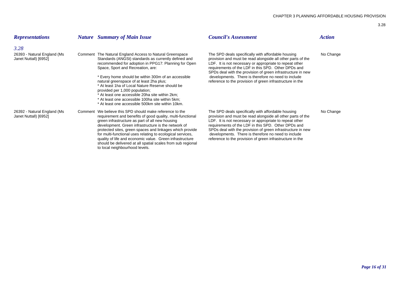| <b>Representations</b>                               | <b>Nature</b> Summary of Main Issue                                                                                                                                                                                                                                                                                                                                                                                                                                                                                                                                | <b>Council's Assessment</b>                                                                                                                                                                                                                                                                                                                                                                                            | Action    |
|------------------------------------------------------|--------------------------------------------------------------------------------------------------------------------------------------------------------------------------------------------------------------------------------------------------------------------------------------------------------------------------------------------------------------------------------------------------------------------------------------------------------------------------------------------------------------------------------------------------------------------|------------------------------------------------------------------------------------------------------------------------------------------------------------------------------------------------------------------------------------------------------------------------------------------------------------------------------------------------------------------------------------------------------------------------|-----------|
| 3.28                                                 |                                                                                                                                                                                                                                                                                                                                                                                                                                                                                                                                                                    |                                                                                                                                                                                                                                                                                                                                                                                                                        |           |
| 26393 - Natural England (Ms<br>Janet Nuttall) [6952] | Comment The Natural England Access to Natural Greenspace<br>Standards (ANGSt) standards as currently defined and<br>recommended for adoption in PPG17: Planning for Open<br>Space, Sport and Recreation, are:<br>* Every home should be within 300m of an accessible<br>natural greenspace of at least 2ha plus;<br>* At least 1ha of Local Nature Reserve should be<br>provided per 1,000 population;<br>* At least one accessible 20ha site within 2km;<br>* At least one accessible 100ha site within 5km;<br>* At least one accessible 500km site within 10km. | The SPD deals specifically with affordable housing<br>provision and must be read alongside all other parts of the<br>LDF. It is not necessary or appropriate to repeat other<br>requirements of the LDF in this SPD. Other DPDs and<br>SPDs deal with the provision of green infrastructure in new<br>developments. There is therefore no need to include<br>reference to the provision of green infrastructure in the | No Change |
| 26392 - Natural England (Ms<br>Janet Nuttall) [6952] | Comment We believe this SPD should make reference to the<br>requirement and benefits of good quality, multi-functional<br>green infrastructure as part of all new housing<br>development. Green infrastructure is the network of<br>protected sites, green spaces and linkages which provide<br>for multi-functional uses relating to ecological services,<br>quality of life and economic value. Green infrastructure<br>should be delivered at all spatial scales from sub regional<br>to local neighbourhood levels.                                            | The SPD deals specifically with affordable housing<br>provision and must be read alongside all other parts of the<br>LDF. It is not necessary or appropriate to repeat other<br>requirements of the LDF in this SPD. Other DPDs and<br>SPDs deal with the provision of green infrastructure in new<br>developments. There is therefore no need to include<br>reference to the provision of green infrastructure in the | No Change |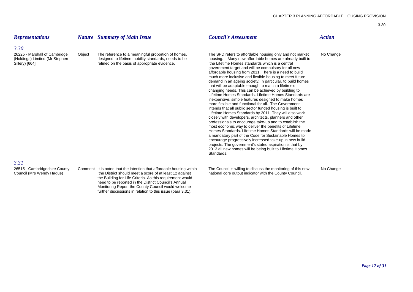| <b>Representations</b>                                                            |        | <b>Nature</b> Summary of Main Issue                                                                                                                                                                                                                                                                                                                                       | <b>Council's Assessment</b>                                                                                                                                                                                                                                                                                                                                                                                                                                                                                                                                                                                                                                                                                                                                                                                                                                                                                                                                                                                                                                                                                                                                                                                                                                                                                                     | <b>Action</b> |
|-----------------------------------------------------------------------------------|--------|---------------------------------------------------------------------------------------------------------------------------------------------------------------------------------------------------------------------------------------------------------------------------------------------------------------------------------------------------------------------------|---------------------------------------------------------------------------------------------------------------------------------------------------------------------------------------------------------------------------------------------------------------------------------------------------------------------------------------------------------------------------------------------------------------------------------------------------------------------------------------------------------------------------------------------------------------------------------------------------------------------------------------------------------------------------------------------------------------------------------------------------------------------------------------------------------------------------------------------------------------------------------------------------------------------------------------------------------------------------------------------------------------------------------------------------------------------------------------------------------------------------------------------------------------------------------------------------------------------------------------------------------------------------------------------------------------------------------|---------------|
| 3.30                                                                              |        |                                                                                                                                                                                                                                                                                                                                                                           |                                                                                                                                                                                                                                                                                                                                                                                                                                                                                                                                                                                                                                                                                                                                                                                                                                                                                                                                                                                                                                                                                                                                                                                                                                                                                                                                 |               |
| 26225 - Marshall of Cambridge<br>(Holdings) Limited (Mr Stephen<br>Sillery) [664] | Object | The reference to a meaningful proportion of homes,<br>designed to lifetime mobility standards, needs to be<br>refined on the basis of appropriate evidence.                                                                                                                                                                                                               | The SPD refers to affordable housing only and not market<br>housing. Many new affordable homes are already built to<br>the Lifetime Homes standards which is a central<br>government target and will be compulsory for all new<br>affordable housing from 2011. There is a need to build<br>much more inclusive and flexible housing to meet future<br>demand in an ageing society. In particular, to build homes<br>that will be adaptable enough to match a lifetime's<br>changing needs. This can be achieved by building to<br>Lifetime Homes Standards, Lifetime Homes Standards are<br>inexpensive, simple features designed to make homes<br>more flexible and functional for all. The Government<br>intends that all public sector funded housing is built to<br>Lifetime Homes Standards by 2011. They will also work<br>closely with developers, architects, planners and other<br>professionals to encourage take-up and to establish the<br>most economic way to deliver the benefits of Lifetime<br>Homes Standards. Lifetime Homes Standards will be made<br>a mandatory part of the Code for Sustainable Homes to<br>encourage progressively increased take-up in new build<br>projects. The government's stated aspiration is that by<br>2013 all new homes will be being built to Lifetime Homes<br>Standards. | No Change     |
| 3.31                                                                              |        |                                                                                                                                                                                                                                                                                                                                                                           |                                                                                                                                                                                                                                                                                                                                                                                                                                                                                                                                                                                                                                                                                                                                                                                                                                                                                                                                                                                                                                                                                                                                                                                                                                                                                                                                 |               |
| 26515 - Cambridgeshire County<br>Council (Mrs Wendy Hague)                        |        | Comment It is noted that the intention that affordable housing within<br>the District should meet a score of at least 12 against<br>the Building for Life Criteria. As this requirement would<br>need to be reported in the District Council's Annual<br>Monitoring Report the County Council would welcome<br>further discussions in relation to this issue (para 3.31). | The Council is willing to discuss the monitoring of this new<br>national core output indicator with the County Council.                                                                                                                                                                                                                                                                                                                                                                                                                                                                                                                                                                                                                                                                                                                                                                                                                                                                                                                                                                                                                                                                                                                                                                                                         | No Change     |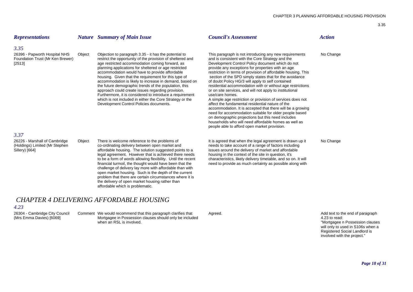| <b>Representations</b>                                                                    |        | <b>Nature</b> Summary of Main Issue                                                                                                                                                                                                                                                                                                                                                                                                                                                                                                                                                                                                                                                   | <b>Council's Assessment</b>                                                                                                                                                                                                                                                                                                                                                                                                                                                                                                                                                                                                                                                                                                                                                                                                                                                                                                                              | <b>Action</b> |
|-------------------------------------------------------------------------------------------|--------|---------------------------------------------------------------------------------------------------------------------------------------------------------------------------------------------------------------------------------------------------------------------------------------------------------------------------------------------------------------------------------------------------------------------------------------------------------------------------------------------------------------------------------------------------------------------------------------------------------------------------------------------------------------------------------------|----------------------------------------------------------------------------------------------------------------------------------------------------------------------------------------------------------------------------------------------------------------------------------------------------------------------------------------------------------------------------------------------------------------------------------------------------------------------------------------------------------------------------------------------------------------------------------------------------------------------------------------------------------------------------------------------------------------------------------------------------------------------------------------------------------------------------------------------------------------------------------------------------------------------------------------------------------|---------------|
| 3.35<br>26396 - Papworth Hospital NHS<br>Foundation Trust (Mr Ken Brewer)<br>[2513]       | Object | Objection to paragraph 3.35 - it has the potential to<br>restrict the opportunity of the provision of sheltered and<br>age restricted accommodation coming forward, as<br>planning applications for sheltered or age restricted<br>accommodation would have to provide affordable<br>housing. Given that the requirement for this type of<br>accommodation is likely to increase in demand, based on<br>the future demographic trends of the population, this<br>approach could create issues regarding provision.<br>Furthermore, it is considered to introduce a requirement<br>which is not included in either the Core Strategy or the<br>Development Control Policies documents. | This paragraph is not introducing any new requirements<br>and is consistent with the Core Strategy and the<br>Development Control Policy document which do not<br>provide any exceptions for properties with an age<br>restriction in terms of provision of affordable housing. This<br>section of the SPD simply states that for the avoidance<br>of doubt Policy HG/3 will apply to self contained<br>residential accommodation with or without age restrictions<br>or on site services, and will not apply to institutional<br>use/care homes.<br>A simple age restriction or provision of services does not<br>affect the fundamental residential nature of the<br>accommodation. It is accepted that there will be a growing<br>need for accommodation suitable for older people based<br>on demographic projections but this need includes<br>households who will need affordable homes as well as<br>people able to afford open market provision. | No Change     |
| 3.37<br>26226 - Marshall of Cambridge<br>(Holdings) Limited (Mr Stephen<br>Sillery) [664] | Object | There is welcome reference to the problems of<br>co-ordinating delivery between open market and<br>affordable housing. The solution suggested points to a<br>legal agreement. However that is achieved there needs<br>to be a form of words allowing flexibility. Until the recent<br>financial turmoil, the thought would have been that the<br>challenge of delivery lay more with affordable than with<br>open market housing. Such is the depth of the current<br>problem that there are certain circumstances where it is<br>the delivery of open market housing rather than<br>affordable which is problematic.                                                                 | It is agreed that when the legal agreement is drawn up it<br>needs to take account of a range of factors including<br>issues around the delivery of market and affordable<br>housing in the context of the site in question, it's<br>characteristics, likely delivery timetable, and so on. It will<br>need to provide as much certainty as possible along with                                                                                                                                                                                                                                                                                                                                                                                                                                                                                                                                                                                          | No Change     |
|                                                                                           |        | <b>CHAPTER 4 DELIVERING AFFORDABLE HOUSING</b>                                                                                                                                                                                                                                                                                                                                                                                                                                                                                                                                                                                                                                        |                                                                                                                                                                                                                                                                                                                                                                                                                                                                                                                                                                                                                                                                                                                                                                                                                                                                                                                                                          |               |

26304 - Cambridge City Council Comment We would recommend that this paragraph clarifies that Agreed. Agreed and the end of paragraph clarifies that Agreed. Add text to the end of paragraph (Mrs Emma Davies) [6069] Mortgagee in Possession clauses should only be included 4.23 to read: 4.23 to read: when an RSL is involved.

 "Mortgagee n Possession clauses will only to used in S106s when a Registered Social Landlord is involved with the project."

*Page 18 of 31*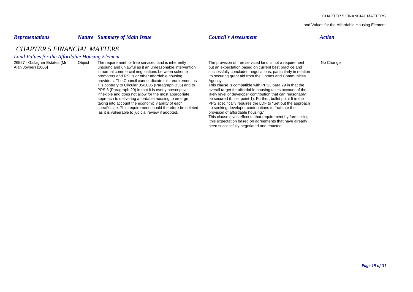Land Values for the Affordable Housing Element

### *Representations Nature Summary of Main Issue Council's Assessment Action*

# *CHAPTER 5 FINANCIAL MATTERS*

### *Land Values for the Affordable Housing Element*

26527 - Gallagher Estates (Mr Object The requirement for free serviced land is inherently The provision of free serviced land is not a requirement No Change<br>Alan Joyner) [1606] Intervention but an expectation based on curr unsound and unlawful as it an unreasonable intervention but an expectation based on current best practice and<br>in normal commercial negotiations between scheme<br>successfully concluded negotiations, particularly in relations promoters and RSL's or other affordable housing to securing grant aid from the Homes and Communities providers. The Council cannot dictate this requirement as Agency.<br>
it is contrary to Circular 05/2005 (Paragraph B35) and to This clause is compatible with PPS3 para 29 in that the it is contrary to Circular 05/2005 (Paragraph B35) and to PPS 3 (Paragraph 29) in that it is overly prescriptive, overall target for affordable housing takes account of the inflexible and does not allow for the most appropriate likely level of developer contribution that can reasonably<br>approach to delivering affordable housing to emerge be secured (bullet point 1). Further, bullet point 5 in approach to delivering affordable housing to emerge be secured (bullet point 1). Further, bullet point 5 in the taking into account the economic viability of each PPS specifically requires the LDF to "Set out the approach specific site. This requirement should therefore be deleted as it is vulnerable to judicial review if adopted. provision of affordable housing."

successfully concluded negotiations, particularly in relation

PPS specifically requires the LDF to "Set out the approach to seeking developer contributions to facilitate the This clause gives effect to that requirement by formalising

 this expectation based on agreements that have already been successfully negotiated and enacted.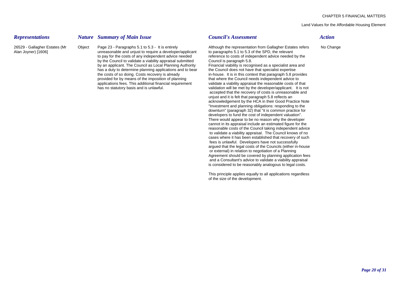### Land Values for the Affordable Housing Element

*Representations Nature Summary of Main Issue Council's Assessment Action*

Alan Joyner) [1606] unreasonable and unjust to require a developer/applicant to paragraphs 5.1 to 5.3 of the SPD, the relevant to pay for the costs of any independent advice needed reference to costs of independent advice needed by the by the council to validate a viability appraisal submitted Council is paragraph 5.8. by the Council to validate a viability appraisal submitted by an applicant. The Council as Local Planning Authority Financial viability is recognised as a specialist area and has a duty to determine planning applications and to bear the Council does not have that specialist expertise the costs of so doing. Costs recovery is already in-house. It is in this context that paragraph 5.8 provides<br>provided for by means of the imposition of planning that where the Council needs independent advice to applications fees. This additional financial requirement validate a viability appraisal the reasonable costs of that has no statutory basis and is unlawful.  $\blacksquare$  validation will be met by the developer/applicant. It is not

26529 - Gallagher Estates (Mr Object Page 23 - Paragraphs 5.1 to 5.3 - It is entirely Although the representation from Gallagher Estates refers No Change

that where the Council needs independent advice to accepted that the recovery of costs is unreasonable and unjust and it is felt that paragraph 5.8 reflects an acknowledgement by the HCA in their Good Practice Note "Investment and planning obligations: responding to the downturn" (paragraph 32) that "it is common practice for developers to fund the cost of independent valuation". There would appear to be no reason why the developer cannot in its appraisal include an estimated figure for the reasonable costs of the Council taking independent advice to validate a viability appraisal. The Council knows of no cases where it has been established that recovery of such fees is unlawful. Developers have not successfully argued that the legal costs of the Councils (either in-house or external) in relation to negotiation of a Planning Agreement should be covered by planning application fees and a Consultant's advice to validate a viability appraisal is considered to be reasonably analogous to legal costs.

This principle applies equally to all applications regardless of the size of the development.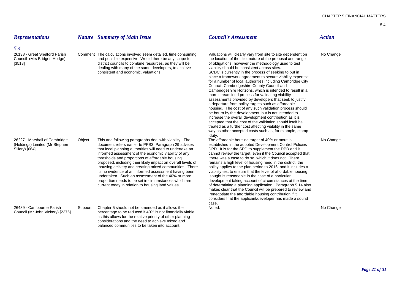| <b>Representations</b>                                                            |         | <b>Nature</b> Summary of Main Issue                                                                                                                                                                                                                                                                                                                                                                                                                                                                                                                                                                                                           | <b>Council's Assessment</b>                                                                                                                                                                                                                                                                                                                                                                                                                                                                                                                                                                                                                                                                                                                                                                                                                                                                                                                                                                                                                                                      | <b>Action</b> |
|-----------------------------------------------------------------------------------|---------|-----------------------------------------------------------------------------------------------------------------------------------------------------------------------------------------------------------------------------------------------------------------------------------------------------------------------------------------------------------------------------------------------------------------------------------------------------------------------------------------------------------------------------------------------------------------------------------------------------------------------------------------------|----------------------------------------------------------------------------------------------------------------------------------------------------------------------------------------------------------------------------------------------------------------------------------------------------------------------------------------------------------------------------------------------------------------------------------------------------------------------------------------------------------------------------------------------------------------------------------------------------------------------------------------------------------------------------------------------------------------------------------------------------------------------------------------------------------------------------------------------------------------------------------------------------------------------------------------------------------------------------------------------------------------------------------------------------------------------------------|---------------|
| 5.4                                                                               |         |                                                                                                                                                                                                                                                                                                                                                                                                                                                                                                                                                                                                                                               |                                                                                                                                                                                                                                                                                                                                                                                                                                                                                                                                                                                                                                                                                                                                                                                                                                                                                                                                                                                                                                                                                  |               |
| 26138 - Great Shelford Parish<br>Council (Mrs Bridget Hodge)<br>[3518]            |         | Comment The calculations involved seem detailed, time consuming<br>and possible expensive. Would there be any scope for<br>district councils to combine resources, as they will be<br>dealing with many of the same developers, to achieve<br>consistent and economic, valuations                                                                                                                                                                                                                                                                                                                                                             | Valuations will clearly vary from site to site dependent on<br>the location of the site, nature of the proposal and range<br>of obligations, however the methodology used to test<br>viability should be consistent across sites.<br>SCDC is currently in the process of seeking to put in<br>place a framework agreement to secure viability expertise<br>for a number of local authorities including Cambridge City<br>Council, Cambridgeshire County Council and<br>Cambridgeshire Horizons, which is intended to result in a<br>more streamlined process for validating viability<br>assessments provided by developers that seek to justify<br>a departure from policy targets such as affordable<br>housing. The cost of any such validation process should<br>be bourn by the development, but is not intended to<br>increase the overall development contribution as it is<br>accepted that the cost of the validation should itself be<br>treated as a further cost affecting viability in the same<br>way as other accepted costs such as, for example, stamp<br>duty. | No Change     |
| 26227 - Marshall of Cambridge<br>(Holdings) Limited (Mr Stephen<br>Sillery) [664] | Object  | This and following paragraphs deal with viability. The<br>document refers earlier to PPS3. Paragraph 29 advises<br>that local planning authorities will need to undertake an<br>informed assessment of the economic viability of any<br>thresholds and proportions of affordable housing<br>proposed, including their likely impact on overall levels of<br>housing delivery and creating mixed communities. There<br>is no evidence of an informed assessment having been<br>undertaken. Such an assessment of the 40% or more<br>proportion needs to be set in circumstances which are<br>current today in relation to housing land values. | The affordable housing target of 40% or more is<br>established in the adopted Development Control Policies<br>DPD. It is for the SPD to supplement the DPD and it<br>cannot review the target, even if the Council accepted that<br>there was a case to do so, which it does not. There<br>remains a high level of housing need in the district, the<br>policy applies to the plan period to 2016, and it includes a<br>viability test to ensure that the level of affordable housing<br>sought is reasonable in the case of a particular<br>development taking account of circumstances at the time<br>of determining a planning application. Paragraph 5.14 also<br>makes clear that the Council will be prepared to review and<br>renegotiate the affordable housing contribution if it<br>considers that the applicant/developer has made a sound<br>case.                                                                                                                                                                                                                   | No Change     |
| 26439 - Cambourne Parish<br>Council (Mr John Vickery) [2376]                      | Support | Chapter 5 should not be amended as it allows the<br>percentage to be reduced if 40% is not financially viable<br>as this allows for the relative priority of other planning<br>considerations and the need to achieve mixed and<br>balanced communities to be taken into account.                                                                                                                                                                                                                                                                                                                                                             | Noted.                                                                                                                                                                                                                                                                                                                                                                                                                                                                                                                                                                                                                                                                                                                                                                                                                                                                                                                                                                                                                                                                           | No Change     |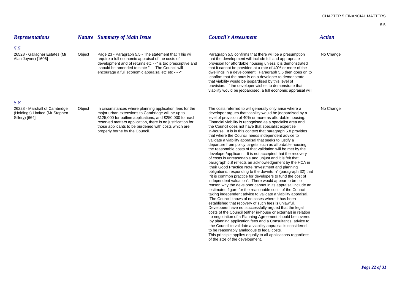| <b>Representations</b>                                                            |        | <b>Nature</b> Summary of Main Issue                                                                                                                                                                                                                                                                                                | <b>Council's Assessment</b>                                                                                                                                                                                                                                                                                                                                                                                                                                                                                                                                                                                                                                                                                                                                                                                                                                                                                                                                                                                                                                                                                                                                                                                                                                                                                                                                                                                                                                                                                                                                                                                                                                                                                                                                                                                            | <b>Action</b> |
|-----------------------------------------------------------------------------------|--------|------------------------------------------------------------------------------------------------------------------------------------------------------------------------------------------------------------------------------------------------------------------------------------------------------------------------------------|------------------------------------------------------------------------------------------------------------------------------------------------------------------------------------------------------------------------------------------------------------------------------------------------------------------------------------------------------------------------------------------------------------------------------------------------------------------------------------------------------------------------------------------------------------------------------------------------------------------------------------------------------------------------------------------------------------------------------------------------------------------------------------------------------------------------------------------------------------------------------------------------------------------------------------------------------------------------------------------------------------------------------------------------------------------------------------------------------------------------------------------------------------------------------------------------------------------------------------------------------------------------------------------------------------------------------------------------------------------------------------------------------------------------------------------------------------------------------------------------------------------------------------------------------------------------------------------------------------------------------------------------------------------------------------------------------------------------------------------------------------------------------------------------------------------------|---------------|
| 5.5                                                                               |        |                                                                                                                                                                                                                                                                                                                                    |                                                                                                                                                                                                                                                                                                                                                                                                                                                                                                                                                                                                                                                                                                                                                                                                                                                                                                                                                                                                                                                                                                                                                                                                                                                                                                                                                                                                                                                                                                                                                                                                                                                                                                                                                                                                                        |               |
| 26528 - Gallagher Estates (Mr<br>Alan Joyner) [1606]                              | Object | Page 23 - Paragraph 5.5 - The statement that 'This will<br>require a full economic appraisal of the costs of<br>development and of returns etc - -" is too prescriptive and<br>should be amended to state " - - The Council will<br>encourage a full economic appraisal etc etc - --"                                              | Paragraph 5.5 confirms that there will be a presumption<br>that the development will include full and appropriate<br>provision for affordable housing unless it is demonstrated<br>that it cannot be provided at a rate of 40% or more of the<br>dwellings in a development. Paragraph 5.5 then goes on to<br>confirm that the onus is on a developer to demonstrate<br>that viability would be jeopardised by this level of<br>provision. If the developer wishes to demonstrate that<br>viability would be jeopardised, a full economic appraisal will                                                                                                                                                                                                                                                                                                                                                                                                                                                                                                                                                                                                                                                                                                                                                                                                                                                                                                                                                                                                                                                                                                                                                                                                                                                               | No Change     |
| 5.8                                                                               |        |                                                                                                                                                                                                                                                                                                                                    |                                                                                                                                                                                                                                                                                                                                                                                                                                                                                                                                                                                                                                                                                                                                                                                                                                                                                                                                                                                                                                                                                                                                                                                                                                                                                                                                                                                                                                                                                                                                                                                                                                                                                                                                                                                                                        |               |
| 26228 - Marshall of Cambridge<br>(Holdings) Limited (Mr Stephen<br>Sillery) [664] | Object | In circumstances where planning application fees for the<br>major urban extensions to Cambridge will be up to<br>£125,000 for outline applications, and £250,000 for each<br>reserved matters application, there is no justification for<br>those applicants to be burdened with costs which are<br>properly borne by the Council. | The costs referred to will generally only arise where a<br>developer argues that viability would be jeopardised by a<br>level of provision of 40% or more as affordable housing.<br>Financial viability is recognised as a specialist area and<br>the Council does not have that specialist expertise<br>in-house. It is in this context that paragraph 5.8 provides<br>that where the Council needs independent advice to<br>validate a viability appraisal that seeks to justify a<br>departure from policy targets such as affordable housing,<br>the reasonable costs of that validation will be met by the<br>developer/applicant. It is not accepted that the recovery<br>of costs is unreasonable and unjust and it is felt that<br>paragraph 5.8 reflects an acknowledgement by the HCA in<br>their Good Practice Note "Investment and planning<br>obligations: responding to the downturn" (paragraph 32) that<br>"it is common practice for developers to fund the cost of<br>independent valuation". There would appear to be no<br>reason why the developer cannot in its appraisal include an<br>estimated figure for the reasonable costs of the Council<br>taking independent advice to validate a viability appraisal.<br>The Council knows of no cases where it has been<br>established that recovery of such fees is unlawful.<br>Developers have not successfully argued that the legal<br>costs of the Council (either in-house or external) in relation<br>to negotiation of a Planning Agreement should be covered<br>by planning application fees and a Consultant's advice to<br>the Council to validate a viability appraisal is considered<br>to be reasonably analogous to legal costs.<br>This principle applies equally to all applications regardless<br>of the size of the development. | No Change     |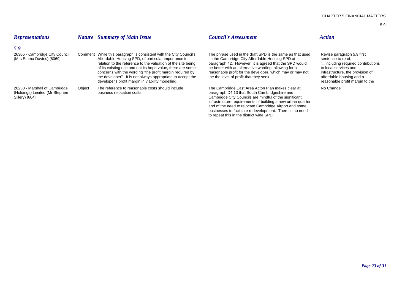| <b>Representations</b>                                                            |        | <b>Nature</b> Summary of Main Issue                                                                                                                                                                                                                                                                                                                                                                                                    | <b>Council's Assessment</b>                                                                                                                                                                                                                                                                                                                       | <b>Action</b>                                                                                                                                                                                                    |
|-----------------------------------------------------------------------------------|--------|----------------------------------------------------------------------------------------------------------------------------------------------------------------------------------------------------------------------------------------------------------------------------------------------------------------------------------------------------------------------------------------------------------------------------------------|---------------------------------------------------------------------------------------------------------------------------------------------------------------------------------------------------------------------------------------------------------------------------------------------------------------------------------------------------|------------------------------------------------------------------------------------------------------------------------------------------------------------------------------------------------------------------|
| 5.9<br>26305 - Cambridge City Council<br>(Mrs Emma Davies) [6069]                 |        | Comment While this paragraph is consistent with the City Council's<br>Affordable Housing SPD, of particular importance in<br>relation to the reference to the valuation of the site being<br>of its existing use and not its hope value, there are some<br>concerns with the wording "the profit margin required by<br>the developer". It is not always appropriate to accept the<br>developer's profit margin in viability modelling. | The phrase used in the draft SPD is the same as that used<br>in the Cambridge City Affordable Housing SPD at<br>paragraph 42. However, it is agreed that the SPD would<br>be better with an alternative wording, allowing for a<br>reasonable profit for the developer, which may or may not<br>be the level of profit that they seek.            | Revise paragraph 5.9 first<br>sentence to read:<br>"including required contributions<br>to local services and<br>infrastructure, the provision of<br>affordable housing and a<br>reasonable profit margin to the |
| 26230 - Marshall of Cambridge<br>(Holdings) Limited (Mr Stephen<br>Sillery) [664] | Object | The reference to reasonable costs should include<br>business relocation costs.                                                                                                                                                                                                                                                                                                                                                         | The Cambridge East Area Acton Plan makes clear at<br>paragraph D4.13 that South Cambridgeshire and<br>Cambridge City Councils are mindful of the significant<br>infrastructure requirements of building a new urban quarter<br>and of the need to relocate Cambridge Airport and some<br>businesses to facilitate redevelopment. There is no need | No Change                                                                                                                                                                                                        |

to repeat this in the district wide SPD.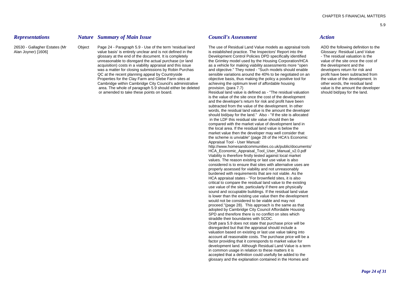*Representations Nature Summary of Main Issue Council's Assessment Action*

Alan Joyner) [1606] value basis' is entirely unclear and is not defined in the is established practice. The Inspectors' Report into the Glossary: Residual Land Value glossary at the end of the document. It is completely endled be provelopment Control Policies DPD specifically identified - The residual valuation is the proversidual valuation is the site once the cost of the site once th acquisition) costs in a viability appraisal and this issue as a vehicle for making viability assessments more "open the development and the was a matter for closing submissions by Robin Purchas and objective." They noted - "Such models should enable developers return for risk and QC at the recent planning appeal by Countryside sensible variations around the 40% to be negotiated on an profit have been subtracted from Properties for the Clay Farm and Glebe Farm sites at objective basis, thus making t Cambridge within Cambridge City Council's administrative achieving the optimum level of affordable housing other words, the residual land area. The whole of paragraph 5.9 should either be deleted provision. (para 7.7) value is the amount the developer

26530 - Gallagher Estates (Mr Object Page 24 - Paragraph 5.9 - Use of the term 'residual land The use of Residual Land Value models as appraisal tools ADD the following definition to the the Grimley model used by the Housing Corporation/HCA objective basis, thus making the policy a positive tool for achieving the optimum level of affordable housing

> or amended to take these points on board. Residual land value is defined as - "The residual valuation should bid/pay for the land. is the value of the site once the cost of the development and the developer's return for risk and profit have been subtracted from the value of the development. In other words, the residual land value is the amount the developer should bid/pay for the land." Also - "If the site is allocated in the LDF this residual site value should then be compared with the market value of development land in the local area. If the residual land value is below the market value then the developer may well consider that the scheme is unviable" (page 28 of the HCA's Economic Appraisal Tool - User Manual:

http://www.homesandcommunities.co.uk/public/documents/ HCA Economic Appraisal Tool User Manual v2.0.pdf Viability is therefore firstly tested against local market values. The reason existing or last use value is also considered is to ensure that sites with alternative uses are properly assessed for viability and not unreasonably burdened with requirements that are not viable. As the HCA appraisal states - "For brownfield sites, it is also critical to compare the residual land value to the existing use value of the site, particularly if there are physically sound and occupiable buildings. If the residual land value is lower than the existing use value then the development would not be considered to be viable and may not proceed."(page 28). This approach is the same as that adopted by Cambridge City Council Affordable Housing SPD and therefore there is no conflict on sites which straddle their boundaries with SCDC. Draft para 5.9 does not state that purchase price will be disregarded but that the appraisal should include a valuation based on existing or last use value taking into account all reasonable costs. The purchase price will be a factor providing that it corresponds to market value for development land. Although Residual Land Value is a term in common usage in relation to these matters it is accepted that a definition could usefully be added to the glossary and the explanation contained in the Homes and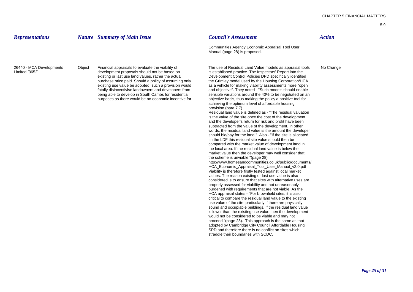| <b>Representations</b>                     |        | <b>Nature</b> Summary of Main Issue                                                                                                                                                                                                                                                                                                                                                                                                                 | <b>Council's Assessment</b>                                                                                                                                                                                                                                                                                                                                                                                                                                                                                                                                                                                                                                                                                                                                                                                                                                                                                                                                                                                                                                                                                                                                                                                                                                                                                                                                                                                                                                                                                                                                                                                                                                                                                                                                                                                                                                                                                                                                                                                                                                                                                                                                                                                       | <b>Action</b> |
|--------------------------------------------|--------|-----------------------------------------------------------------------------------------------------------------------------------------------------------------------------------------------------------------------------------------------------------------------------------------------------------------------------------------------------------------------------------------------------------------------------------------------------|-------------------------------------------------------------------------------------------------------------------------------------------------------------------------------------------------------------------------------------------------------------------------------------------------------------------------------------------------------------------------------------------------------------------------------------------------------------------------------------------------------------------------------------------------------------------------------------------------------------------------------------------------------------------------------------------------------------------------------------------------------------------------------------------------------------------------------------------------------------------------------------------------------------------------------------------------------------------------------------------------------------------------------------------------------------------------------------------------------------------------------------------------------------------------------------------------------------------------------------------------------------------------------------------------------------------------------------------------------------------------------------------------------------------------------------------------------------------------------------------------------------------------------------------------------------------------------------------------------------------------------------------------------------------------------------------------------------------------------------------------------------------------------------------------------------------------------------------------------------------------------------------------------------------------------------------------------------------------------------------------------------------------------------------------------------------------------------------------------------------------------------------------------------------------------------------------------------------|---------------|
|                                            |        |                                                                                                                                                                                                                                                                                                                                                                                                                                                     | Communities Agency Economic Appraisal Tool User<br>Manual (page 28) is proposed.                                                                                                                                                                                                                                                                                                                                                                                                                                                                                                                                                                                                                                                                                                                                                                                                                                                                                                                                                                                                                                                                                                                                                                                                                                                                                                                                                                                                                                                                                                                                                                                                                                                                                                                                                                                                                                                                                                                                                                                                                                                                                                                                  |               |
| 26440 - MCA Developments<br>Limited [3652] | Object | Financial appraisals to evaluate the viability of<br>development proposals should not be based on<br>existing or last use land values, rather the actual<br>purchase price paid. Should a policy of assuming only<br>existing use value be adopted, such a provision would<br>fatally disincentivise landowners and developers from<br>being able to develop in South Cambs for residential<br>purposes as there would be no economic incentive for | The use of Residual Land Value models as appraisal tools<br>is established practice. The Inspectors' Report into the<br>Development Control Policies DPD specifically identified<br>the Grimley model used by the Housing Corporation/HCA<br>as a vehicle for making viability assessments more "open"<br>and objective". They noted - "Such models should enable<br>sensible variations around the 40% to be negotiated on an<br>objective basis, thus making the policy a positive tool for<br>achieving the optimum level of affordable housing<br>provision (para 7.7).<br>Residual land value is defined as - "The residual valuation"<br>is the value of the site once the cost of the development<br>and the developer's return for risk and profit have been<br>subtracted from the value of the development. In other<br>words, the residual land value is the amount the developer<br>should bid/pay for the land." Also - "If the site is allocated<br>in the LDF this residual site value should then be<br>compared with the market value of development land in<br>the local area. If the residual land value is below the<br>market value then the developer may well consider that<br>the scheme is unviable."(page 28)<br>http://www.homesandcommunities.co.uk/public/documents/<br>HCA_Economic_Appraisal_Tool_User_Manual_v2.0.pdf<br>Viability is therefore firstly tested against local market<br>values. The reason existing or last use value is also<br>considered is to ensure that sites with alternative uses are<br>properly assessed for viability and not unreasonably<br>burdened with requirements that are not viable. As the<br>HCA appraisal states - "For brownfield sites, it is also<br>critical to compare the residual land value to the existing<br>use value of the site, particularly if there are physically<br>sound and occupiable buildings. If the residual land value<br>is lower than the existing use value then the development<br>would not be considered to be viable and may not<br>proceed."(page 28). This approach is the same as that<br>adopted by Cambridge City Council Affordable Housing<br>SPD and therefore there is no conflict on sites which | No Change     |

straddle their boundaries with SCDC.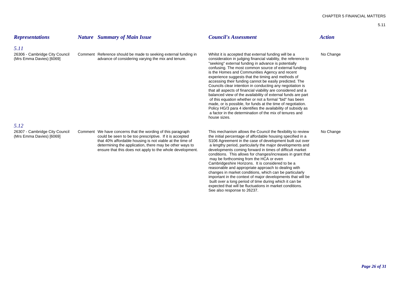| <b>Representations</b>                                             | <b>Nature</b> Summary of Main Issue                                                                                                                                                                                                                                                                        | <b>Council's Assessment</b>                                                                                                                                                                                                                                                                                                                                                                                                                                                                                                                                                                                                                                                                                                                                                                                                                                                   | <b>Action</b> |
|--------------------------------------------------------------------|------------------------------------------------------------------------------------------------------------------------------------------------------------------------------------------------------------------------------------------------------------------------------------------------------------|-------------------------------------------------------------------------------------------------------------------------------------------------------------------------------------------------------------------------------------------------------------------------------------------------------------------------------------------------------------------------------------------------------------------------------------------------------------------------------------------------------------------------------------------------------------------------------------------------------------------------------------------------------------------------------------------------------------------------------------------------------------------------------------------------------------------------------------------------------------------------------|---------------|
| 5.11<br>26306 - Cambridge City Council<br>(Mrs Emma Davies) [6069] | Comment Reference should be made to seeking external funding in<br>advance of considering varying the mix and tenure.                                                                                                                                                                                      | Whilst it is accepted that external funding will be a<br>consideration in judging financial viability, the reference to<br>"seeking" external funding in advance is potentially<br>confusing. The most common source of external funding<br>is the Homes and Communities Agency and recent<br>experience suggests that the timing and methods of<br>accessing their funding cannot be easily predicted. The<br>Councils clear intention in conducting any negotiation is<br>that all aspects of financial viability are considered and a<br>balanced view of the availability of external funds are part<br>of this equation whether or not a formal "bid" has been<br>made, or is possible, for funds at the time of negotiation.<br>Policy HG/3 para 4 identifies the availability of subsidy as<br>a factor in the determination of the mix of tenures and<br>house sizes. | No Change     |
| 5.12                                                               |                                                                                                                                                                                                                                                                                                            |                                                                                                                                                                                                                                                                                                                                                                                                                                                                                                                                                                                                                                                                                                                                                                                                                                                                               |               |
| 26307 - Cambridge City Council<br>(Mrs Emma Davies) [6069]         | Comment We have concerns that the wording of this paragraph<br>could be seen to be too prescriptive. If it is accepted<br>that 40% affordable housing is not viable at the time of<br>determining the application, there may be other ways to<br>ensure that this does not apply to the whole development. | This mechanism allows the Council the flexibility to review<br>the initial percentage of affordable housing specified in a<br>S106 Agreement in the case of development built out over<br>a lengthy period, particularly the major developments and<br>developments coming forward in times of difficult market<br>conditions. This allows for changes/increases in grant that<br>may be forthcoming from the HCA or even<br>Cambridgeshire Horizons. It is considered to be a<br>reasonable and appropriate approach to dealing with<br>changes in market conditions, which can be particularly<br>important in the context of major developments that will be<br>built over a long period of time during which it can be<br>expected that will be fluctuations in market conditions.<br>See also response to 26237.                                                         | No Change     |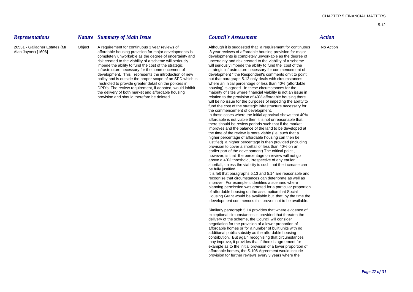### *Representations Nature Summary of Main Issue Council's Assessment Action*

26531 - Gallagher Estates (Mr Object A requirement for continuous 3 year reviews of Although it is suggested that "a requirement for continuous No Action Alan Joyner) [1606] **affordable housing provision for major developments is** 3 year reviews of affordable housing provision for major completely unworkable as the degree of uncertainty and developments is completely unworkable as the degree of<br>
risk created to the viability of a scheme will seriously uncertainty and risk created to the viability of a sch impede the ability to fund the cost of the strategic will seriously impede the ability to fund the cost of the infrastructure necessary for the commencement of strategic infrastructure necessary for commencement of development. This represents the introduction of new development " the Respondent's comments omit to point policy and is outside the proper scope of an SPD which is out that paragraph 5.12 only deals with circumstances policy and is outside the proper scope of an SPD which is restricted to provide greater detail on the policies in where an initial percentage of less than 40% (affordable DPD's. The review requirement, if adopted, would inhibit housing) is agreed. In these circumstances for the the delivery of both market and affordable housing majority of sites where financial viability is not an issue in<br>
relation to the provision of 40% affordable housing there

uncertainty and risk created to the viability of a scheme relation to the provision of 40% affordable housing there will be no issue for the purposes of impeding the ability to fund the cost of the strategic infrastructure necessary for the commencement of development.

In those cases where the initial appraisal shows that 40% affordable is not viable then it is not unreasonable that there should be review periods such that if the market improves and the balance of the land to be developed at the time of the review is more viable (i.e. such that a higher percentage of affordable housing can then be justified) a higher percentage is then provided (including provision to cover a shortfall of less than 40% on an earlier part of the development) The critical point , however, is that the percentage on review will not go above a 40% threshold, irrespective of any earlier shortfall, unless the viability is such that the increase can be fully justified.

It is felt that paragraphs 5.13 and 5.14 are reasonable and recognise that circumstances can deteriorate as well as improve. For example it identifies a scenario where planning permission was granted for a particular proportion of affordable housing on the assumption that Social Housing Grant would be available but that by the time the development commences this proves not to be available.

Similarly paragraph 5.14 provides that where evidence of exceptional circumstances is provided that threaten the delivery of the scheme, the Council will consider negotiation for the provision of a lower proportion of affordable homes or for a number of built units with no additional public subsidy as the affordable housing contribution. But again recognising that circumstances may improve, it provides that if there is agreement for example as to the initial provision of a lower proportion of affordable homes, the S.106 Agreement would include provision for further reviews every 3 years where the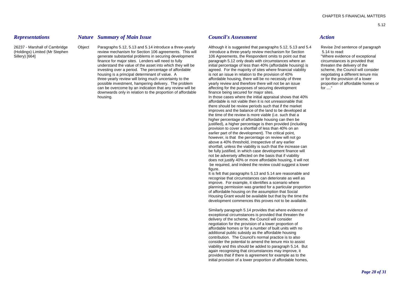### *Representations Nature Summary of Main Issue Council's Assessment Action*

(Holdings) Limited (Mr Stephen review mechanism for Section 106 agreements. This will introduce a three-yearly review mechanism for Section 5.14 to read: Sillery) [664] Sillery) [664] generate substantial problems in securing development 106 Agreements, the Respondent omits to point out that "Where evidence of exceptional finance for maior sites. Lenders will need to fully understand the value of the asset into which they will be initial percentage of less than 40% (affordable housing) is threaten the delivery of the investing over a period. The percentage of affordable agreed. For the majority of sites where financial viability scheme, the Council will consider housing is a principal determinant of value. A is not an issue in relation to the provision of 40% negotiating a different tenure mix three-yearly review will bring much uncertainty to the affordable housing, there will be no necessity of three or for the provision of a lower possible investment, hampering delivery. The problem vearly review and therefore there will not be an issue proportion of affordable homes or can be overcome by an indication that any review will be affecting for the purposes of securing development for  $\ldots$ " downwards only in relation to the proportion of affordable finance being secured for major sites. housing. In those cases where the initial appraisal shows that 40%

26237 - Marshall of Cambridge Object Paragraphs 5.12, 5.13 and 5.14 introduce a three-yearly Although it is suggested that paragraphs 5.12, 5.13 and 5.4 Revise 2nd sentence of paragraph paragraph 5.12 only deals with circumstances where an

> affordable is not viable then it is not unreasonable that there should be review periods such that if the market improves and the balance of the land to be developed at the time of the review is more viable (i.e. such that a higher percentage of affordable housing can then be justified), a higher percentage is then provided (including provision to cover a shortfall of less than 40% on an earlier part of the development). The critical point, however, is that the percentage on review will not go above a 40% threshold, irrespective of any earlier shortfall, unless the viability is such that the increase can be fully justified, in which case development finance will not be adversely affected on the basis that if viability does not justify 40% or more affordable housing, it will not be required, and indeed the review could suggest a lower figure.

It is felt that paragraphs 5.13 and 5.14 are reasonable and recognise that circumstances can deteriorate as well as improve. For example, it identifies a scenario where planning permission was granted for a particular proportion of affordable housing on the assumption that Social Housing Grant would be available but that by the time the development commences this proves not to be available.

Similarly paragraph 5.14 provides that where evidence of exceptional circumstances is provided that threaten the delivery of the scheme, the Council will consider negotiation for the provision of a lower proportion of affordable homes or for a number of built units with no additional public subsidy as the affordable housing contribution. The Council's normal practice is to also consider the potential to amend the tenure mix to assist viability and this should be added to paragraph 5.14. But again recognising that circumstances may improve, it provides that if there is agreement for example as to the initial provision of a lower proportion of affordable homes,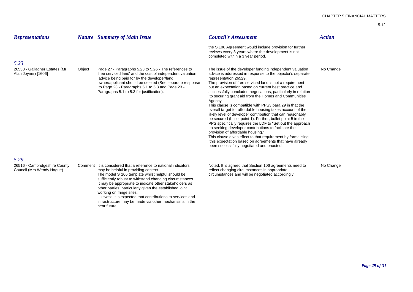| <b>Representations</b>                                     |        | <b>Nature</b> Summary of Main Issue                                                                                                                                                                                                                                                                                             | <b>Council's Assessment</b>                                                                                                                                                                                                                                                                                                                                                                                                                                                                                                                                                                                                                                                                                                                                                                                                                                                                                                                                                                      | <b>Action</b> |
|------------------------------------------------------------|--------|---------------------------------------------------------------------------------------------------------------------------------------------------------------------------------------------------------------------------------------------------------------------------------------------------------------------------------|--------------------------------------------------------------------------------------------------------------------------------------------------------------------------------------------------------------------------------------------------------------------------------------------------------------------------------------------------------------------------------------------------------------------------------------------------------------------------------------------------------------------------------------------------------------------------------------------------------------------------------------------------------------------------------------------------------------------------------------------------------------------------------------------------------------------------------------------------------------------------------------------------------------------------------------------------------------------------------------------------|---------------|
|                                                            |        |                                                                                                                                                                                                                                                                                                                                 | the S.106 Agreement would include provision for further<br>reviews every 3 years where the development is not<br>completed within a 3 year period.                                                                                                                                                                                                                                                                                                                                                                                                                                                                                                                                                                                                                                                                                                                                                                                                                                               |               |
| 5.23                                                       |        |                                                                                                                                                                                                                                                                                                                                 |                                                                                                                                                                                                                                                                                                                                                                                                                                                                                                                                                                                                                                                                                                                                                                                                                                                                                                                                                                                                  |               |
| 26533 - Gallagher Estates (Mr<br>Alan Joyner) [1606]       | Object | Page 27 - Paragraphs 5.23 to 5.26 - The references to<br>'free serviced land' and the cost of independent valuation<br>advice being paid for by the developer/land<br>owner/applicant should be deleted (See separate response<br>to Page 23 - Paragraphs 5.1 to 5.3 and Page 23 -<br>Paragraphs 5.1 to 5.3 for justification). | The issue of the developer funding independent valuation<br>advice is addressed in response to the objector's separate<br>representation 26529.<br>The provision of free serviced land is not a requirement<br>but an expectation based on current best practice and<br>successfully concluded negotiations, particularly in relation<br>to securing grant aid from the Homes and Communities<br>Agency.<br>This clause is compatible with PPS3 para 29 in that the<br>overall target for affordable housing takes account of the<br>likely level of developer contribution that can reasonably<br>be secured (bullet point 1). Further, bullet point 5 in the<br>PPS specifically requires the LDF to "Set out the approach"<br>to seeking developer contributions to facilitate the<br>provision of affordable housing."<br>This clause gives effect to that requirement by formalising<br>this expectation based on agreements that have already<br>been successfully negotiated and enacted. | No Change     |
| 5.29                                                       |        |                                                                                                                                                                                                                                                                                                                                 |                                                                                                                                                                                                                                                                                                                                                                                                                                                                                                                                                                                                                                                                                                                                                                                                                                                                                                                                                                                                  |               |
| 26516 - Cambridgeshire County<br>Council (Mrs Wendy Hague) |        | Comment It is considered that a reference to national indicators<br>may be helpful in providing context.<br>The model S'106 template whilst helpful should be<br>sufficiently robust to withstand changing circumstances.<br>It may be appropriate to indicate other stakeholders as                                            | Noted. It is agreed that Section 106 agreements need to<br>reflect changing circumstances in appropriate<br>circumstances and will be negotiated accordingly.                                                                                                                                                                                                                                                                                                                                                                                                                                                                                                                                                                                                                                                                                                                                                                                                                                    | No Change     |

other parties, particularly given the established joint

Likewise it is expected that contributions to services and infrastructure may be made via other mechanisms in the

working on fringe sites.

near future.

*Page 29 of 31*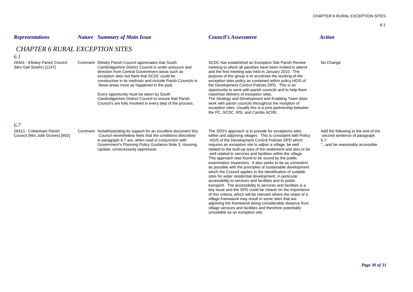### *Representations Nature Summary of Main Issue Council's Assessment Action*

# *CHAPTER 6 RURAL EXCEPTION SITES*

### *6.1*

Cambridgeshire District Council is under pressure and meeting to which all parishes have been invited to attend<br>direction from Central Government areas such as and the first meeting was held in January 2010. The exception sites but feels that SCDC could be purpose of the group is to scrutinise the working of the constructive in its methods and include Parish Councils inthese areas more as happened in the past. the Development Control Policies DPD. This is an

Every opportunity must be taken by South maximise delivery of exception sites.<br>
Cambridgeshire District Council to ensure that Parish The Strategy and Development and E Council's are fully involved in every step of the process.

26441 - Eltisley Parish Council Comment Eltisley Parish Council appreciates that South SCDC has established an Exception Site Parish Review No Change<br>(Mrs Gail Stoehr) [1147] Cambridgeshire District Council is under pressu and the first meeting was held in January 2010. The exception sites policy as contained within policy HG/5 of opportunity to work with parish councils and to help them The Strategy and Development and Enabling Team does work with parish councils throughout the inception of exception sites. Usually this is a joint partnership between the PC, SCDC, RSL and Cambs ACRE.

# *6.7*

26313 - Cottenham Parish

Comment Notwithstanding its support for an excellent document this The SPD's approach is to provide for exceptions sites Add the following to the end of the Council (Mrs Julie Groves) [692] Council nevertheless feels that the conditions described within and adjoining villages. This is consistent with Policy second sentence of paragraph Government's Planning Policy Guidance Note 3: Housing requires an exception site to adjoin a village, be well<br>Update, unnecessarily oppressive.<br>
Update, unnecessarily oppressive.

in paragraph 6.7 are, when read in conjunction with HG/5 of the Development Control Policies DPD which 6.7:<br>Government's Planning Policy Guidance Note 3: Housing requires an exception site to adioin a village, be well related to the built-up area of the settlement and also to be well related to services and facilities within the village. This approach was found to be sound by the public examination Inspectors. It also seeks to be as consistent as possible with the principles of sustainable development which the Council applies in the identification of suitable sites for wider residential development, in particular accessibility to services and facilities and to public transport. The accessibility to services and facilities is a key issue and the SPD could be clearer on the importance of this criteria, which will be relevant where the share of a village framework may result in some sites that are adjoining the framework being considerable distance from village services and facilities and therefore potentially unsuitable as an exception site.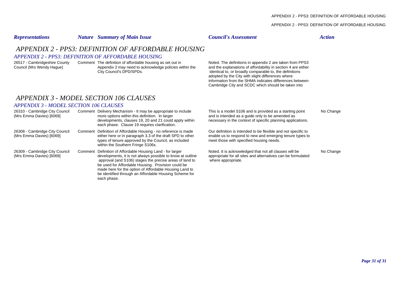### APPENDIX 2 - PPS3: DEFINITION OF AFFORDABLE HOUSING

| <b>Representations</b>                                     | <b>Nature</b> Summary of Main Issue                                                                                                                                                                                                                                                                                                                                          | <b>Council's Assessment</b>                                                                                                                                                                                                                                                                                                                                | <b>Action</b> |
|------------------------------------------------------------|------------------------------------------------------------------------------------------------------------------------------------------------------------------------------------------------------------------------------------------------------------------------------------------------------------------------------------------------------------------------------|------------------------------------------------------------------------------------------------------------------------------------------------------------------------------------------------------------------------------------------------------------------------------------------------------------------------------------------------------------|---------------|
|                                                            | APPENDIX 2 - PPS3: DEFINITION OF AFFORDABLE HOUSING                                                                                                                                                                                                                                                                                                                          |                                                                                                                                                                                                                                                                                                                                                            |               |
|                                                            | <b>APPENDIX 2 - PPS3: DEFINITION OF AFFORDABLE HOUSING</b>                                                                                                                                                                                                                                                                                                                   |                                                                                                                                                                                                                                                                                                                                                            |               |
| 26517 - Cambridgeshire County<br>Council (Mrs Wendy Hague) | Comment The definition of affordable housing as set out in<br>Appendix 2 may need to acknowledge policies within the<br>City Council's DPD/SPDs.                                                                                                                                                                                                                             | Noted. The definitions in appendix 2 are taken from PPS3<br>and the explanations of affordability in section 4 are either<br>identical to, or broadly comparable to, the definitions<br>adopted by the City with slight differences where<br>information from the SHMA indicates differences between<br>Cambridge City and SCDC which should be taken into |               |
|                                                            | APPENDIX 3 - MODEL SECTION 106 CLAUSES                                                                                                                                                                                                                                                                                                                                       |                                                                                                                                                                                                                                                                                                                                                            |               |
| <b>APPENDIX 3 - MODEL SECTION 106 CLAUSES</b>              |                                                                                                                                                                                                                                                                                                                                                                              |                                                                                                                                                                                                                                                                                                                                                            |               |
| 26310 - Cambridge City Council<br>(Mrs Emma Davies) [6069] | Comment Delivery Mechanism - It may be appropriate to include<br>more options within this definition. In larger<br>developments, clauses 19, 20 and 21 could apply within<br>each phase. Clause 19 requires clarification.                                                                                                                                                   | This is a model S106 and is provided as a starting point<br>and is intended as a guide only to be amended as<br>necessary in the context of specific planning applications.                                                                                                                                                                                | No Change     |
| 26308 - Cambridge City Council<br>(Mrs Emma Davies) [6069] | Comment Definition of Affordable Housing - no reference is made<br>either here or in paragraph 3.3 of the draft SPD to other<br>types of tenure approved by the Council, as included<br>within the Southern Fringe S106s.                                                                                                                                                    | Our definition is intended to be flexible and not specific to<br>enable us to respond to new and emerging tenure types to<br>meet those with specified housing needs.                                                                                                                                                                                      |               |
| 26309 - Cambridge City Council<br>(Mrs Emma Davies) [6069] | Comment Definition of Affordable Housing Land - for larger<br>developments, it is not always possible to know at outline<br>approval (and S106) stages the precise areas of land to<br>be used for Affordable Housing. Provision could be<br>made here for the option of Affordable Housing Land to<br>be identified through an Affordable Housing Scheme for<br>each phase. | Noted. It is acknowledged that not all clauses will be<br>appropriate for all sites and alternatives can be formulated<br>where appropriate.                                                                                                                                                                                                               | No Change     |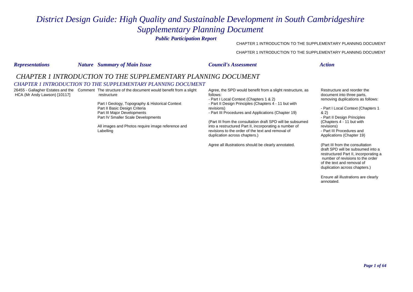# *District Design Guide: High Quality and Sustainable Development in South Cambridgeshire Supplementary Planning Document*

*Public Participation Report*

CHAPTER 1 INTRODUCTION TO THE SUPPLEMENTARY PLANNING DOCUMENT

CHAPTER 1 INTRODUCTION TO THE SUPPLEMENTARY PLANNING DOCUMENT

| <b>Representations</b>       | <b>Nature</b> Summary of Main Issue                                                                                                                                                                                                                                                                                                                                                                                  | <b>Council's Assessment</b>                                                                                                                                                                                                                     | <b>Action</b>                                                                                                                                                                                                    |
|------------------------------|----------------------------------------------------------------------------------------------------------------------------------------------------------------------------------------------------------------------------------------------------------------------------------------------------------------------------------------------------------------------------------------------------------------------|-------------------------------------------------------------------------------------------------------------------------------------------------------------------------------------------------------------------------------------------------|------------------------------------------------------------------------------------------------------------------------------------------------------------------------------------------------------------------|
| HCA (Mr Andy Lawson) [10117] | CHAPTER 1 INTRODUCTION TO THE SUPPLEMENTARY PLANNING DOCUMENT<br><b>CHAPTER 1 INTRODUCTION TO THE SUPPLEMENTARY PLANNING DOCUMENT</b><br>26455 - Gallagher Estates and the Comment The structure of the document would benefit from a slight<br>restructure<br>Part I Geology, Topography & Historical Context<br>Part II Basic Design Criteria<br>Part III Major Developments<br>Part IV Smaller Scale Developments | Agree, the SPD would benefit from a slight restructure, as<br>follows:<br>- Part I Local Context (Chapters 1 & 2)<br>- Part II Design Principles (Chapters 4 - 11 but with<br>revisions)<br>- Part III Procedures and Applications (Chapter 19) | Restructure and reorder the<br>document into three parts,<br>removing duplications as follows:<br>- Part I Local Context (Chapters 1<br>82)<br>- Part II Design Principles                                       |
|                              | All images and Photos require image reference and<br>Labelling                                                                                                                                                                                                                                                                                                                                                       | (Part III from the consultation draft SPD will be subsumed<br>into a restructured Part II, incorporating a number of<br>revisions to the order of the text and removal of<br>duplication across chapters.)                                      | (Chapters 4 - 11 but with<br>revisions)<br>- Part III Procedures and<br>Applications (Chapter 19)                                                                                                                |
|                              |                                                                                                                                                                                                                                                                                                                                                                                                                      | Agree all illustrations should be clearly annotated.                                                                                                                                                                                            | (Part III from the consultation<br>draft SPD will be subsumed into a<br>restructured Part II, incorporating a<br>number of revisions to the order<br>of the text and removal of<br>duplication across chapters.) |
|                              |                                                                                                                                                                                                                                                                                                                                                                                                                      |                                                                                                                                                                                                                                                 | Ensure all illustrations are clearly<br>annotated.                                                                                                                                                               |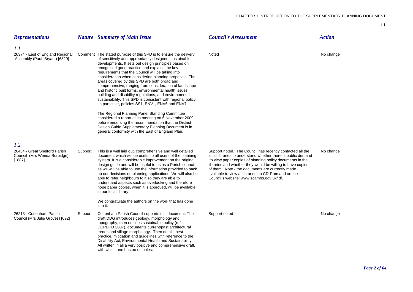| <b>Representations</b>                                                  |         | <b>Nature</b> Summary of Main Issue                                                                                                                                                                                                                                                                                                                                                                                                                                                                                                                                                                                                                                                                                                                                                                                                                                                                                                                                                  | <b>Council's Assessment</b>                                                                                                                                                                                                                                                                                                                                                                                 | <b>Action</b> |
|-------------------------------------------------------------------------|---------|--------------------------------------------------------------------------------------------------------------------------------------------------------------------------------------------------------------------------------------------------------------------------------------------------------------------------------------------------------------------------------------------------------------------------------------------------------------------------------------------------------------------------------------------------------------------------------------------------------------------------------------------------------------------------------------------------------------------------------------------------------------------------------------------------------------------------------------------------------------------------------------------------------------------------------------------------------------------------------------|-------------------------------------------------------------------------------------------------------------------------------------------------------------------------------------------------------------------------------------------------------------------------------------------------------------------------------------------------------------------------------------------------------------|---------------|
| 1.1                                                                     |         |                                                                                                                                                                                                                                                                                                                                                                                                                                                                                                                                                                                                                                                                                                                                                                                                                                                                                                                                                                                      |                                                                                                                                                                                                                                                                                                                                                                                                             |               |
| 26374 - East of England Regional<br>Assembly (Paul Bryant) [6829]       |         | Comment The stated purpose of this SPD is to ensure the delivery<br>of sensitively and appropriately designed, sustainable<br>developments. It sets out design principles based on<br>recognised good practice and explains the key<br>requirements that the Council will be taking into<br>consideration when considering planning proposals. The<br>areas covered by this SPD are both broad and<br>comprehensive, ranging from consideration of landscape<br>and historic built forms, environmental health issues,<br>building and disability regulations, and environmental<br>sustainability. This SPD is consistent with regional policy,<br>in particular, policies SS1, ENV1, ENV6 and ENV7.<br>The Regional Planning Panel Standing Committee<br>considered a report at its meeting on 6 November 2009<br>before endorsing the recommendation that the District<br>Design Guide Supplementary Planning Document is in<br>general conformity with the East of England Plan. | Noted                                                                                                                                                                                                                                                                                                                                                                                                       | No change     |
| 1.2                                                                     |         |                                                                                                                                                                                                                                                                                                                                                                                                                                                                                                                                                                                                                                                                                                                                                                                                                                                                                                                                                                                      |                                                                                                                                                                                                                                                                                                                                                                                                             |               |
| 26434 - Great Shelford Parish<br>Council (Mrs Wenda Burbidge)<br>[1887] | Support | This is a well laid out, comprehensive and well detailed<br>document which will be useful to all users of the planning<br>system. It is a considerable improvement on the original<br>design guide and will be useful to us as a Parish council<br>as we will be able to use the information provided to back<br>up our decisions on planning applications. We will also be<br>able to refer neighbours to it so they are able to<br>understand aspects such as overlooking and therefore<br>hope paper copies, when it is approved, will be available<br>in our local library.                                                                                                                                                                                                                                                                                                                                                                                                      | Support noted. The Council has recently contacted all the<br>local libraries to understand whether there is public demand<br>to view paper copies of planning policy documents in the<br>libraries and whether they would be willing to have copies<br>of them. Note - the documents are currently made<br>available to view at libraries on CD-Rom and on the<br>Council's website: www.scambs.gov.uk/ldf. | No change     |
|                                                                         |         | We congratulate the authors on the work that has gone<br>into it.                                                                                                                                                                                                                                                                                                                                                                                                                                                                                                                                                                                                                                                                                                                                                                                                                                                                                                                    |                                                                                                                                                                                                                                                                                                                                                                                                             |               |
| 26213 - Cottenham Parish<br>Council (Mrs Julie Groves) [692]            | Support | Cottenham Parish Council supports this document. The<br>draft DDG introduces geology, morphology and<br>topography, then outlines sustainable policy (ref<br>DCPDPD 2007), documents current/past architectural<br>trends and village morphology. Then details best<br>practice, mitigation and guidelines with reference to the<br>Disability Act, Environmental Health and Sustainability.<br>All written in all a very positive and comprehensive draft,<br>with which one has no quibbles.                                                                                                                                                                                                                                                                                                                                                                                                                                                                                       | Support noted                                                                                                                                                                                                                                                                                                                                                                                               | No change     |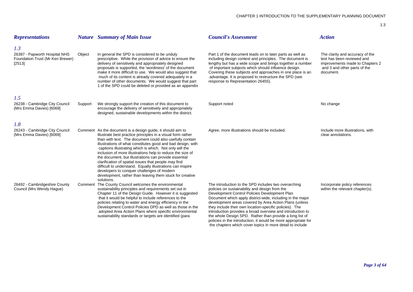| <b>Representations</b>                                                             |         | <b>Nature</b> Summary of Main Issue                                                                                                                                                                                                                                                                                                                                                                                                                                                                                                                                                                                                                                                   | <b>Council's Assessment</b>                                                                                                                                                                                                                                                                                                                                                                                                                                                                                                                                                                         | <b>Action</b>                                                                                                                                 |
|------------------------------------------------------------------------------------|---------|---------------------------------------------------------------------------------------------------------------------------------------------------------------------------------------------------------------------------------------------------------------------------------------------------------------------------------------------------------------------------------------------------------------------------------------------------------------------------------------------------------------------------------------------------------------------------------------------------------------------------------------------------------------------------------------|-----------------------------------------------------------------------------------------------------------------------------------------------------------------------------------------------------------------------------------------------------------------------------------------------------------------------------------------------------------------------------------------------------------------------------------------------------------------------------------------------------------------------------------------------------------------------------------------------------|-----------------------------------------------------------------------------------------------------------------------------------------------|
| 1.3<br>26397 - Papworth Hospital NHS<br>Foundation Trust (Mr Ken Brewer)<br>[2513] | Object  | In general the SPD is considered to be unduly<br>prescriptive. While the provision of advice to ensure the<br>delivery of sensitively and appropriately designed<br>proposals is supported, the 'wordiness' of the document<br>make it more difficult to use. We would also suggest that<br>much of its content is already covered adequately in a<br>number of other documents. We would suggest that part<br>1 of the SPD could be deleted or provided as an appendix                                                                                                                                                                                                               | Part 1 of the document leads on to later parts as well as<br>including design context and principles. The document is<br>lengthy but has a wide scope and brings together a number<br>of important subjects which should influence design.<br>Covering these subjects and approaches in one place is an<br>advantage. It is proposed to restructure the SPD (see<br>response to Representation 26455).                                                                                                                                                                                              | The clarity and accuracy of the<br>text has been reviewed and<br>improvements made to Chapters 2<br>and 3 and other parts of the<br>document. |
| 1.5                                                                                |         |                                                                                                                                                                                                                                                                                                                                                                                                                                                                                                                                                                                                                                                                                       |                                                                                                                                                                                                                                                                                                                                                                                                                                                                                                                                                                                                     |                                                                                                                                               |
| 26238 - Cambridge City Council<br>(Mrs Emma Davies) [6069]                         | Support | We strongly support the creation of this document to<br>encourage the delivery of sensitively and appropriately<br>designed, sustainable developments within the district.                                                                                                                                                                                                                                                                                                                                                                                                                                                                                                            | Support noted                                                                                                                                                                                                                                                                                                                                                                                                                                                                                                                                                                                       | No change                                                                                                                                     |
| 1.8                                                                                |         |                                                                                                                                                                                                                                                                                                                                                                                                                                                                                                                                                                                                                                                                                       |                                                                                                                                                                                                                                                                                                                                                                                                                                                                                                                                                                                                     |                                                                                                                                               |
| 26243 - Cambridge City Council<br>(Mrs Emma Davies) [6069]                         |         | Comment As the document is a design guide, it should aim to<br>illustrate best practice principles in a visual form rather<br>than with text. The document could also usefully contain<br>illustrations of what constitutes good and bad design, with<br>captions illustrating which is which. Not only will the<br>inclusion of more illustrations help to reduce the size of<br>the document, but illustrations can provide essential<br>clarification of spatial issues that people may find<br>difficult to understand. Equally illustrations can inspire<br>developers to conquer challenges of modern<br>development, rather than leaving them stuck for creative<br>solutions. | Agree, more illustrations should be included.                                                                                                                                                                                                                                                                                                                                                                                                                                                                                                                                                       | Include more illustrations, with<br>clear annotations.                                                                                        |
| 26492 - Cambridgeshire County<br>Council (Mrs Wendy Hague)                         |         | Comment The County Council welcomes the environmental<br>sustainability principles and requirements set out in<br>Chapter 11 of the Design Guide. However it is suggested<br>that it would be helpful to include references to the<br>policies relating to water and energy efficiency in the<br>Development Control Policies DPD as well as those in the<br>adopted Area Action Plans where specific environmental<br>sustainability standards or targets are identified (para                                                                                                                                                                                                       | The introduction to the SPD includes two overarching<br>policies on sustainability and design from the<br>Development Control Policies Development Plan<br>Document which apply district-wide, including in the major<br>development areas covered by Area Action Plans (unless<br>they include their own location-specific policies). The<br>introduction provides a broad overview and introduction to<br>the whole Design SPD. Rather than provide a long list of<br>policies in the introduction, it would be more appropriate for<br>the chapters which cover topics in more detail to include | Incorporate policy references<br>within the relevant chapter(s).                                                                              |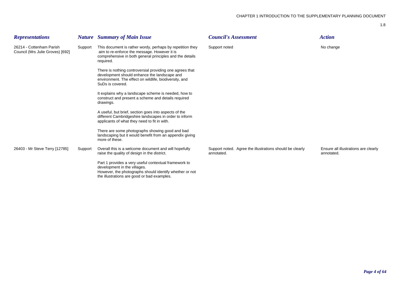| <b>Representations</b>                                       |         | <b>Nature</b> Summary of Main Issue                                                                                                                                                             | <b>Council's Assessment</b>                                            | <b>Action</b>                                      |
|--------------------------------------------------------------|---------|-------------------------------------------------------------------------------------------------------------------------------------------------------------------------------------------------|------------------------------------------------------------------------|----------------------------------------------------|
| 26214 - Cottenham Parish<br>Council (Mrs Julie Groves) [692] | Support | This document is rather wordy, perhaps by repetition they<br>aim to re-enforce the message. However it is<br>comprehensive in both general principles and the details<br>required.              | Support noted                                                          | No change                                          |
|                                                              |         | There is nothing controversial providing one agrees that<br>development should enhance the landscape and<br>environment. The effect on wildlife, biodiversity, and<br>SuDs is covered.          |                                                                        |                                                    |
|                                                              |         | It explains why a landscape scheme is needed, how to<br>construct and present a scheme and details required<br>drawings.                                                                        |                                                                        |                                                    |
|                                                              |         | A useful, but brief, section goes into aspects of the<br>different Cambridgeshire landscapes in order to inform<br>applicants of what they need to fit in with.                                 |                                                                        |                                                    |
|                                                              |         | There are some photographs showing good and bad<br>landscaping but it would benefit from an appendix giving<br>more of these.                                                                   |                                                                        |                                                    |
| 26403 - Mr Steve Terry [12785]                               | Support | Overall this is a welcome document and will hopefully<br>raise the quality of design in the district.                                                                                           | Support noted. Agree the illustrations should be clearly<br>annotated. | Ensure all illustrations are clearly<br>annotated. |
|                                                              |         | Part 1 provides a very useful contextual framework to<br>development in the villages.<br>However, the photographs should identify whether or not<br>the illustrations are good or bad examples. |                                                                        |                                                    |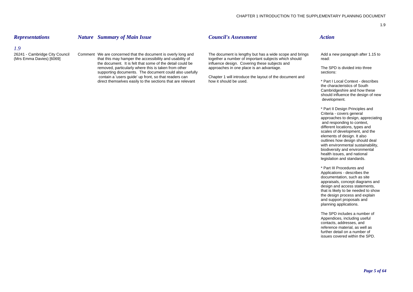*Representations Nature Summary of Main Issue Council's Assessment Action*

the document. It is felt that some of the detail could be influence design. Covering these subjects and removed, particularly where this is taken from other approaches in one place is an advantage. removed, particularly where this is taken from other approaches in one place is an advantage. The SPD is divided into three<br>supporting documents. The document could also usefully supporting documents. The document could also usefully contain a 'users guide' up front, so that readers can Chapter 1 will introduce the layout of the document and direct themselves easily to the sections that are relevant how it should be used. direct themselves easily to the sections that are relevant how it should be used. The metal of the state of the section of the sections that are relevant how it should be used.

26241 - Cambridge City Council Comment We are concerned that the document is overly long and The document is lengthy but has a wide scope and brings Add a new paragraph after 1.15 to the Scope and brings Add a new paragrap together a number of important subjects which should read:

the characteristics of South Cambridgeshire and how these should influence the design of new development.

\* Part II Design Principles and Criteria - covers general approaches to design, appreciating and responding to context, different locations, types and scales of development, and the elements of design. It also outlines how design should deal with environmental sustainability. biodiversity and environmental health issues, and national legislation and standards.

\* Part III Procedures and Applications - describes the documentation, such as site appraisals, concept diagrams and design and access statements. that is likely to be needed to show the design process and explain and support proposals and planning applications.

The SPD includes a number of Appendices, including useful contacts, addresses, and reference material, as well as further detail on a number of issues covered within the SPD.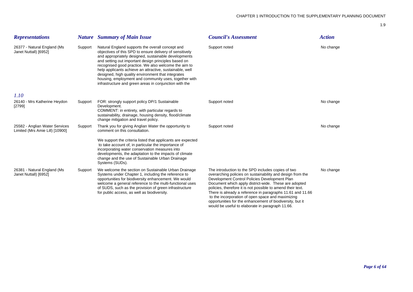| <b>Representations</b>                                            |         | <b>Nature</b> Summary of Main Issue                                                                                                                                                                                                                                                                                                                                                                                                                                                                                       | <b>Council's Assessment</b>                                                                                                                                                                                                                                                                                                                                                                                                                                               | <b>Action</b> |
|-------------------------------------------------------------------|---------|---------------------------------------------------------------------------------------------------------------------------------------------------------------------------------------------------------------------------------------------------------------------------------------------------------------------------------------------------------------------------------------------------------------------------------------------------------------------------------------------------------------------------|---------------------------------------------------------------------------------------------------------------------------------------------------------------------------------------------------------------------------------------------------------------------------------------------------------------------------------------------------------------------------------------------------------------------------------------------------------------------------|---------------|
| 26377 - Natural England (Ms<br>Janet Nuttall) [6952]              | Support | Natural England supports the overall concept and<br>objectives of this SPD to ensure delivery of sensitively<br>and appropriately designed, sustainable developments<br>and setting out important design principles based on<br>recognised good practice. We also welcome the aim to<br>help applicants achieve an attractive, sustainable, well<br>designed, high quality environment that integrates<br>housing, employment and community uses, together with<br>infrastructure and green areas in conjunction with the | Support noted                                                                                                                                                                                                                                                                                                                                                                                                                                                             | No change     |
| 1.10                                                              |         |                                                                                                                                                                                                                                                                                                                                                                                                                                                                                                                           |                                                                                                                                                                                                                                                                                                                                                                                                                                                                           |               |
| 26140 - Mrs Katherine Heydon<br>[2799]                            | Support | FOR: strongly support policy DP/1 Sustainable<br>Development.<br>COMMENT: in entirety, with particular regards to<br>sustainability, drainage, housing density, flood/climate<br>change mitigation and travel policy.                                                                                                                                                                                                                                                                                                     | Support noted                                                                                                                                                                                                                                                                                                                                                                                                                                                             | No change     |
| 25582 - Anglian Water Services<br>Limited (Mrs Amie Lill) [10900] | Support | Thank you for giving Anglian Water the opportunity to<br>comment on this consultation.                                                                                                                                                                                                                                                                                                                                                                                                                                    | Support noted                                                                                                                                                                                                                                                                                                                                                                                                                                                             | No change     |
|                                                                   |         | We support the criteria listed that applicants are expected<br>to take account of, in particular the importance of<br>incorporating water conservation measures into<br>developments, the adaptation to the impacts of climate<br>change and the use of Sustainable Urban Drainage<br>Systems (SUDs).                                                                                                                                                                                                                     |                                                                                                                                                                                                                                                                                                                                                                                                                                                                           |               |
| 26381 - Natural England (Ms<br>Janet Nuttall) [6952]              | Support | We welcome the section on Sustainable Urban Drainage<br>Systems under Chapter 1, including the reference to<br>opportunities for biodiversity enhancement. We would<br>welcome a general reference to the multi-functional uses<br>of SUDS, such as the provision of green infrastructure<br>for public access, as well as biodiversity.                                                                                                                                                                                  | The introduction to the SPD includes copies of two<br>overarching policies on sustainability and design from the<br>Development Control Policies Development Plan<br>Document which apply district-wide. These are adopted<br>policies, therefore it is not possible to amend their text.<br>There is already a reference in paragraphs 11.61 and 11.66<br>to the incorporation of open space and maximizing<br>opportunities for the enhancement of biodiversity, but it | No change     |

would be useful to elaborate in paragraph 11.66.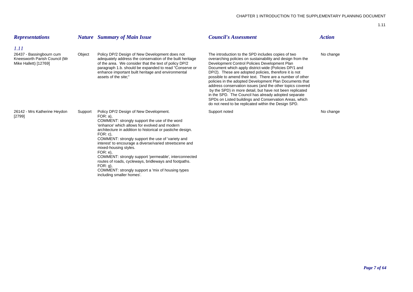| <b>Representations</b>                                                                     |         | <b>Nature</b> Summary of Main Issue                                                                                                                                                                                                                                                                                                                                                                                                                                                                                                                                                                         | <b>Council's Assessment</b>                                                                                                                                                                                                                                                                                                                                                                                                                                                                                                                                                                                                                                                                                    | <b>Action</b> |
|--------------------------------------------------------------------------------------------|---------|-------------------------------------------------------------------------------------------------------------------------------------------------------------------------------------------------------------------------------------------------------------------------------------------------------------------------------------------------------------------------------------------------------------------------------------------------------------------------------------------------------------------------------------------------------------------------------------------------------------|----------------------------------------------------------------------------------------------------------------------------------------------------------------------------------------------------------------------------------------------------------------------------------------------------------------------------------------------------------------------------------------------------------------------------------------------------------------------------------------------------------------------------------------------------------------------------------------------------------------------------------------------------------------------------------------------------------------|---------------|
| 1.11<br>26437 - Bassingbourn cum<br>Kneesworth Parish Council (Mr<br>Mike Hallett) [12769] | Object  | Policy DP/2 Design of New Development does not<br>adequately address the conservation of the built heritage<br>of the area. We consider that the text of policy DP/2<br>paragraph 1.b. should be expanded to read "Conserve or<br>enhance important built heritage and environmental<br>assets of the site:"                                                                                                                                                                                                                                                                                                | The introduction to the SPD includes copies of two<br>overarching policies on sustainability and design from the<br>Development Control Policies Development Plan<br>Document which apply district-wide (Policies DP/1 and<br>DP/2). These are adopted policies, therefore it is not<br>possible to amend their text. There are a number of other<br>policies in the adopted Development Plan Documents that<br>address conservation issues (and the other topics covered<br>by the SPD) in more detail, but have not been replicated<br>in the SPD. The Council has already adopted separate<br>SPDs on Listed buildings and Conservation Areas, which<br>do not need to be replicated within the Design SPD. | No change     |
| 26142 - Mrs Katherine Heydon<br>$[2799]$                                                   | Support | Policy DP/2 Design of New Development.<br>$FOR: a$ ),<br>COMMENT: strongly support the use of the word<br>'enhance' which allows for evolved and modern<br>architecture in addition to historical or pastiche design.<br>$FOR: c$ ),<br>COMMENT: strongly support the use of 'variety and<br>interest' to encourage a diverse/varied streetscene and<br>mixed-housing styles.<br>FOR: e),<br>COMMENT: strongly support 'permeable', interconnected<br>routes of roads, cycleways, bridleways and footpaths.<br>$FOR: g$ ,<br>COMMENT: strongly support a 'mix of housing types<br>including smaller homes'. | Support noted                                                                                                                                                                                                                                                                                                                                                                                                                                                                                                                                                                                                                                                                                                  | No change     |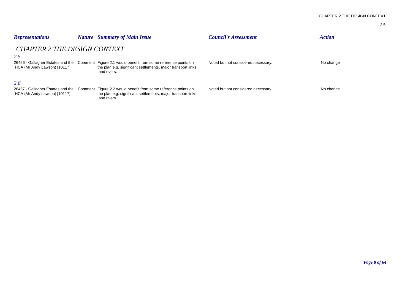| I |  |
|---|--|

| <b>Representations</b>                                                                                          | <i>Nature</i> | <b>Summary of Main Issue</b>                                                                                                                  | <b>Council's Assessment</b>         | <b>Action</b> |
|-----------------------------------------------------------------------------------------------------------------|---------------|-----------------------------------------------------------------------------------------------------------------------------------------------|-------------------------------------|---------------|
| <b>CHAPTER 2 THE DESIGN CONTEXT</b><br>2.5<br>26456 - Gallagher Estates and the<br>HCA (Mr Andy Lawson) [10117] |               | Comment Figure 2.1 would benefit from some reference points on<br>the plan e.g. significant settlements, major transport links<br>and rivers. | Noted but not considered necessary. | No change     |
| 2.8<br>26457 - Gallagher Estates and the<br>HCA (Mr Andy Lawson) [10117]                                        |               | Comment Figure 2.2 would benefit from some reference points on<br>the plan e.g. significant settlements, major transport links<br>and rivers. | Noted but not considered necessary. | No change     |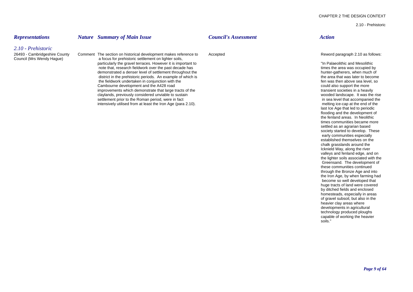established themselves on the chalk grasslands around the Icknield Way, along the river valleys and fenland edge, and on the lighter soils associated with the Greensand. The development of these communities continued through the Bronze Age and into the Iron Age, by when farming had become so well developed that huge tracts of land were covered by ditched fields and enclosed homesteads, especially in areas of gravel subsoil, but also in the heavier clay areas where developments in agricultural technology produced ploughs capable of working the heavier soils."

2.10 - Prehistoric

| <b>Representations</b>                                                           | <b>Nature</b> Summary of Main Issue                                                                                                                                                                                                                                                                                                                                                                                                                                                                                                                                                                                                                                                                                   | <b>Council's Assessment</b> | <b>Action</b>                                                                                                                                                                                                                                                                                                                                                                                                                                                                                                                                                                                                                                        |
|----------------------------------------------------------------------------------|-----------------------------------------------------------------------------------------------------------------------------------------------------------------------------------------------------------------------------------------------------------------------------------------------------------------------------------------------------------------------------------------------------------------------------------------------------------------------------------------------------------------------------------------------------------------------------------------------------------------------------------------------------------------------------------------------------------------------|-----------------------------|------------------------------------------------------------------------------------------------------------------------------------------------------------------------------------------------------------------------------------------------------------------------------------------------------------------------------------------------------------------------------------------------------------------------------------------------------------------------------------------------------------------------------------------------------------------------------------------------------------------------------------------------------|
| 2.10 - Prehistoric<br>26493 - Cambridgeshire County<br>Council (Mrs Wendy Hague) | Comment The section on historical development makes reference to<br>a focus for prehistoric settlement on lighter soils,<br>particularly the gravel terraces. However it is important to<br>note that, research fieldwork over the past decade has<br>demonstrated a denser level of settlement throughout the<br>district in the prehistoric periods. An example of which is<br>the fieldwork undertaken in conjunction with the<br>Cambourne development and the A428 road<br>improvements which demonstrate that large tracts of the<br>claylands, previously considered unviable to sustain<br>settlement prior to the Roman period, were in fact<br>intensively utilised from at least the Iron Age (para 2.10). | Accepted                    | Reword paragraph 2.10 as follows:<br>"In Palaeolithic and Mesolithic<br>times the area was occupied by<br>hunter-gatherers, when much of<br>the area that was later to become<br>fen was then above sea level, so<br>could also support the more<br>transient societies in a heavily<br>wooded landscape. It was the rise<br>in sea level that accompanied the<br>melting ice-cap at the end of the<br>last Ice Age that led to periodic<br>flooding and the development of<br>the fenland areas. In Neolithic<br>times communities became more<br>settled as an agrarian based<br>society started to develop. These<br>early communities especially |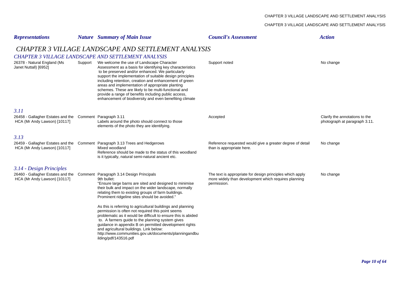#### CHAPTER 3 VILLAGE LANDSCAPE AND SETTLEMENT ANALYSIS

| <b>Representations</b>                                                                                     |                                                     | <b>Nature</b> Summary of Main Issue                                                                                                                                                                                                                                                                                                                                                                                                                                                                                                                                                                                                            | <b>Council's Assessment</b>                                                                                                      | <b>Action</b>                                                   |  |  |  |
|------------------------------------------------------------------------------------------------------------|-----------------------------------------------------|------------------------------------------------------------------------------------------------------------------------------------------------------------------------------------------------------------------------------------------------------------------------------------------------------------------------------------------------------------------------------------------------------------------------------------------------------------------------------------------------------------------------------------------------------------------------------------------------------------------------------------------------|----------------------------------------------------------------------------------------------------------------------------------|-----------------------------------------------------------------|--|--|--|
|                                                                                                            | CHAPTER 3 VILLAGE LANDSCAPE AND SETTLEMENT ANALYSIS |                                                                                                                                                                                                                                                                                                                                                                                                                                                                                                                                                                                                                                                |                                                                                                                                  |                                                                 |  |  |  |
|                                                                                                            |                                                     | CHAPTER 3 VILLAGE LANDSCAPE AND SETTLEMENT ANALYSIS                                                                                                                                                                                                                                                                                                                                                                                                                                                                                                                                                                                            |                                                                                                                                  |                                                                 |  |  |  |
| 26378 - Natural England (Ms<br>Janet Nuttall) [6952]                                                       |                                                     | Support We welcome the use of Landscape Character<br>Assessment as a basis for identifying key characteristics<br>to be preserved and/or enhanced. We particularly<br>support the implementation of suitable design principles<br>including retention, creation and enhancement of green<br>areas and implementation of appropriate planting<br>schemes. These are likely to be multi-functional and<br>provide a range of benefits including public access,<br>enhancement of biodiversity and even benefiting climate                                                                                                                        | Support noted                                                                                                                    | No change                                                       |  |  |  |
| 3.11                                                                                                       |                                                     |                                                                                                                                                                                                                                                                                                                                                                                                                                                                                                                                                                                                                                                |                                                                                                                                  |                                                                 |  |  |  |
| 26458 - Gallagher Estates and the Comment Paragraph 3.11<br>HCA (Mr Andy Lawson) [10117]                   |                                                     | Labels around the photo should connect to those<br>elements of the photo they are identifying.                                                                                                                                                                                                                                                                                                                                                                                                                                                                                                                                                 | Accepted                                                                                                                         | Clarify the annotations to the<br>photograph at paragraph 3.11. |  |  |  |
| 3.13                                                                                                       |                                                     |                                                                                                                                                                                                                                                                                                                                                                                                                                                                                                                                                                                                                                                |                                                                                                                                  |                                                                 |  |  |  |
| HCA (Mr Andy Lawson) [10117]                                                                               |                                                     | 26459 - Gallagher Estates and the Comment Paragraph 3.13 Trees and Hedgerows<br>Mixed woodland<br>Reference should be made to the status of this woodland<br>is it typically, natural semi-natural ancient etc.                                                                                                                                                                                                                                                                                                                                                                                                                                | Reference requested would give a greater degree of detail<br>than is appropriate here.                                           | No change                                                       |  |  |  |
| 3.14 - Design Principles                                                                                   |                                                     |                                                                                                                                                                                                                                                                                                                                                                                                                                                                                                                                                                                                                                                |                                                                                                                                  |                                                                 |  |  |  |
| 26460 - Gallagher Estates and the Comment Paragraph 3.14 Design Principals<br>HCA (Mr Andy Lawson) [10117] |                                                     | 9th bullet:<br>"Ensure large barns are sited and designed to minimise<br>their bulk and impact on the wider landscape, normally<br>relating them to existing groups of farm buildings.<br>Prominent ridgeline sites should be avoided."<br>As this is referring to agricultural buildings and planning<br>permission is often not required this point seems<br>problematic as it would be difficult to ensure this is abided<br>to. A farmers guide to the planning system gives<br>guidance in appendix B on permitted development rights<br>and agricultural buildings. Link below:<br>http://www.communities.gov.uk/documents/planningandbu | The text is appropriate for design principles which apply<br>more widely than development which requires planning<br>permission. | No change                                                       |  |  |  |
|                                                                                                            |                                                     | ilding/pdf/143516.pdf                                                                                                                                                                                                                                                                                                                                                                                                                                                                                                                                                                                                                          |                                                                                                                                  |                                                                 |  |  |  |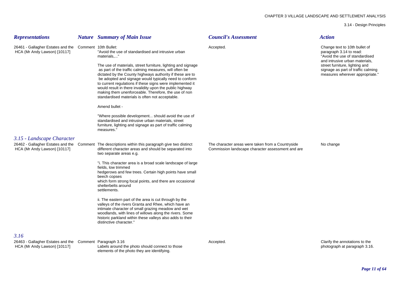3.14 - Design Principles

| <b>Representations</b>                                                                   | <b>Nature</b> Summary of Main Issue                                                                                                                                                                                                                                                                                                                                                                                                                                               | <b>Council's Assessment</b>                                                                            | <b>Action</b>                                                                                                                                                                                                                           |
|------------------------------------------------------------------------------------------|-----------------------------------------------------------------------------------------------------------------------------------------------------------------------------------------------------------------------------------------------------------------------------------------------------------------------------------------------------------------------------------------------------------------------------------------------------------------------------------|--------------------------------------------------------------------------------------------------------|-----------------------------------------------------------------------------------------------------------------------------------------------------------------------------------------------------------------------------------------|
| 26461 - Gallagher Estates and the Comment 10th Bullet:<br>HCA (Mr Andy Lawson) [10117]   | "Avoid the use of standardised and intrusive urban<br>materials,"                                                                                                                                                                                                                                                                                                                                                                                                                 | Accepted.                                                                                              | Change text to 10th bullet of<br>paragraph 3.14 to read:<br>"Avoid the use of standardised<br>and intrusive urban materials,<br>street furniture, lighting and<br>signage as part of traffic calming<br>measures wherever appropriate." |
|                                                                                          | The use of materials, street furniture, lighting and signage<br>as part of the traffic calming measures, will often be<br>dictated by the County highways authority if these are to<br>be adopted and signage would typically need to conform<br>to current regulations if these signs were implemented it<br>would result in there invalidity upon the public highway<br>making them unenforceable. Therefore, the use of non<br>standardised materials is often not acceptable. |                                                                                                        |                                                                                                                                                                                                                                         |
|                                                                                          | Amend bullet -                                                                                                                                                                                                                                                                                                                                                                                                                                                                    |                                                                                                        |                                                                                                                                                                                                                                         |
|                                                                                          | "Where possible development should avoid the use of<br>standardised and intrusive urban materials, street<br>furniture, lighting and signage as part of traffic calming<br>measures.                                                                                                                                                                                                                                                                                              |                                                                                                        |                                                                                                                                                                                                                                         |
| 3.15 - Landscape Character                                                               |                                                                                                                                                                                                                                                                                                                                                                                                                                                                                   |                                                                                                        |                                                                                                                                                                                                                                         |
| 26462 - Gallagher Estates and the<br>HCA (Mr Andy Lawson) [10117]                        | Comment The descriptions within this paragraph give two distinct<br>different character areas and should be separated into<br>two separate areas e.g.                                                                                                                                                                                                                                                                                                                             | The character areas were taken from a Countryside<br>Commission landscape character assessment and are | No change                                                                                                                                                                                                                               |
|                                                                                          | "i. This character area is a broad scale landscape of large<br>fields, low trimmed<br>hedgerows and few trees. Certain high points have small<br>beech copses<br>which form strong focal points, and there are occasional<br>shelterbelts around<br>settlements.                                                                                                                                                                                                                  |                                                                                                        |                                                                                                                                                                                                                                         |
|                                                                                          | ii. The eastern part of the area is cut through by the<br>valleys of the rivers Granta and Rhee, which have an<br>intimate character of small grazing meadow and wet<br>woodlands, with lines of willows along the rivers. Some<br>historic parkland within these valleys also adds to their<br>distinctive character."                                                                                                                                                           |                                                                                                        |                                                                                                                                                                                                                                         |
| 3.16                                                                                     |                                                                                                                                                                                                                                                                                                                                                                                                                                                                                   |                                                                                                        |                                                                                                                                                                                                                                         |
| 26463 - Gallagher Estates and the Comment Paragraph 3.16<br>HCA (Mr Andy Lawson) [10117] | Labels around the photo should connect to those<br>elements of the photo they are identifying.                                                                                                                                                                                                                                                                                                                                                                                    | Accepted.                                                                                              | Clarify the annotations to the<br>photograph at paragraph 3.16.                                                                                                                                                                         |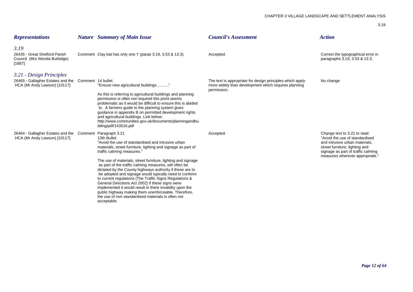| <b>Representations</b>                                                                   |                    | <b>Nature</b> Summary of Main Issue                                                                                                                                                                                                                                                                                                                                                                                                                                                                                                                                                                                                                                                                                       | <b>Council's Assessment</b>                                                                                                      | <b>Action</b>                                                                                                                                                                                               |
|------------------------------------------------------------------------------------------|--------------------|---------------------------------------------------------------------------------------------------------------------------------------------------------------------------------------------------------------------------------------------------------------------------------------------------------------------------------------------------------------------------------------------------------------------------------------------------------------------------------------------------------------------------------------------------------------------------------------------------------------------------------------------------------------------------------------------------------------------------|----------------------------------------------------------------------------------------------------------------------------------|-------------------------------------------------------------------------------------------------------------------------------------------------------------------------------------------------------------|
| 3.19<br>26435 - Great Shelford Parish<br>Council (Mrs Wenda Burbidge)<br>[1887]          |                    | Comment Clay bat has only one 't' (paras 3.19, 3.53 & 13.3).                                                                                                                                                                                                                                                                                                                                                                                                                                                                                                                                                                                                                                                              | Accepted.                                                                                                                        | Correct the typographical error in<br>paragraphs 3.19, 3.53 & 13.3.                                                                                                                                         |
| 3.21 - Design Principles                                                                 |                    |                                                                                                                                                                                                                                                                                                                                                                                                                                                                                                                                                                                                                                                                                                                           |                                                                                                                                  |                                                                                                                                                                                                             |
| 26465 - Gallagher Estates and the<br>HCA (Mr Andy Lawson) [10117]                        | Comment 14 bullet: | "Ensure new agricultural buildings "<br>As this is referring to agricultural buildings and planning<br>permission is often not required this point seems<br>problematic as it would be difficult to ensure this is abided<br>to. A farmers guide to the planning system gives<br>quidance in appendix B on permitted development rights<br>and agricultural buildings. Link below:<br>http://www.communities.gov.uk/documents/planningandbu<br>ilding/pdf/143516.pdf                                                                                                                                                                                                                                                      | The text is appropriate for design principles which apply<br>more widely than development which requires planning<br>permission. | No change                                                                                                                                                                                                   |
| 26464 - Gallagher Estates and the Comment Paragraph 3.21<br>HCA (Mr Andy Lawson) [10117] |                    | 13th Bullet:<br>"Avoid the use of standardised and intrusive urban<br>materials, street furniture, lighting and signage as part of<br>traffic calming measures."<br>The use of materials, street furniture, lighting and signage<br>as part of the traffic calming measures, will often be<br>dictated by the County highways authority if these are to<br>be adopted and signage would typically need to conform<br>to current regulations (The Traffic Signs Regulations &<br>General Directions Act 2002) if these signs were<br>implemented it would result in there invalidity upon the<br>public highway making them unenforceable. Therefore,<br>the use of non standardised materials is often not<br>acceptable. | Accepted.                                                                                                                        | Change text to 3.21 to read:<br>"Avoid the use of standardised<br>and intrusive urban materials,<br>street furniture, lighting and<br>signage as part of traffic calming<br>measures wherever appropriate." |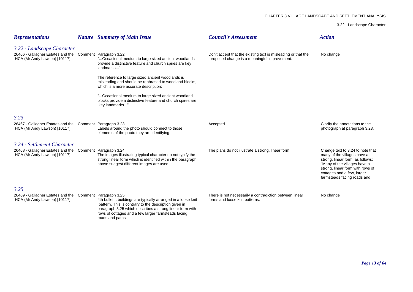3.22 - Landscape Character

| <b>Representations</b>                                                                                                 | <b>Nature</b> Summary of Main Issue                                                                                                                                                                                                                         | <b>Council's Assessment</b>                                                                                   | <b>Action</b>                                                                                                                                                                                                                        |
|------------------------------------------------------------------------------------------------------------------------|-------------------------------------------------------------------------------------------------------------------------------------------------------------------------------------------------------------------------------------------------------------|---------------------------------------------------------------------------------------------------------------|--------------------------------------------------------------------------------------------------------------------------------------------------------------------------------------------------------------------------------------|
| 3.22 - Landscape Character<br>26466 - Gallagher Estates and the Comment Paragraph 3.22<br>HCA (Mr Andy Lawson) [10117] | Occasional medium to large sized ancient woodlands<br>provide a distinctive feature and church spires are key<br>landmarks'                                                                                                                                 | Don't accept that the existing text is misleading or that the<br>proposed change is a meaningful improvement. | No change                                                                                                                                                                                                                            |
|                                                                                                                        | The reference to large sized ancient woodlands is<br>misleading and should be rephrased to woodland blocks,<br>which is a more accurate description:                                                                                                        |                                                                                                               |                                                                                                                                                                                                                                      |
|                                                                                                                        | " Occasional medium to large sized ancient woodland<br>blocks provide a distinctive feature and church spires are<br>key landmarks"                                                                                                                         |                                                                                                               |                                                                                                                                                                                                                                      |
| 3.23                                                                                                                   |                                                                                                                                                                                                                                                             |                                                                                                               |                                                                                                                                                                                                                                      |
| 26467 - Gallagher Estates and the Comment Paragraph 3.23<br>HCA (Mr Andy Lawson) [10117]                               | Labels around the photo should connect to those<br>elements of the photo they are identifying.                                                                                                                                                              | Accepted.                                                                                                     | Clarify the annotations to the<br>photograph at paragraph 3.23.                                                                                                                                                                      |
| 3.24 - Settlement Character                                                                                            |                                                                                                                                                                                                                                                             |                                                                                                               |                                                                                                                                                                                                                                      |
| 26468 - Gallagher Estates and the<br>HCA (Mr Andy Lawson) [10117]                                                      | Comment Paragraph 3.24<br>The images illustrating typical character do not typify the<br>strong linear form which is identified within the paragraph<br>above suggest different images are used.                                                            | The plans do not illustrate a strong, linear form.                                                            | Change text to 3.24 to note that<br>many of the villages have a<br>strong, linear form, as follows:<br>"Many of the villages have a<br>strong, linear form with rows of<br>cottages and a few, larger<br>farmsteads facing roads and |
| 3.25                                                                                                                   |                                                                                                                                                                                                                                                             |                                                                                                               |                                                                                                                                                                                                                                      |
| 26469 - Gallagher Estates and the Comment Paragraph 3.25<br>HCA (Mr Andy Lawson) [10117]                               | 4th bullet buildings are typically arranged in a loose knit<br>pattern. This is contrary to the description given in<br>paragraph 3.25 which describes a strong linear form with<br>rows of cottages and a few larger farmsteads facing<br>roads and paths. | There is not necessarily a contradiction between linear<br>forms and loose knit patterns.                     | No change                                                                                                                                                                                                                            |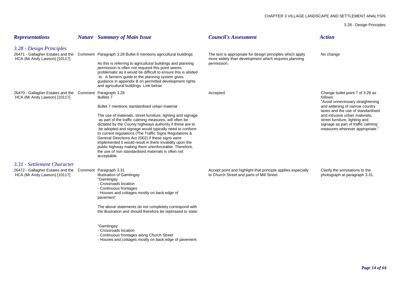3.28 - Design Principles

| <b>Representations</b>                                                                   | <b>Nature</b> Summary of Main Issue                                                                                                                                                                                                                                                                                                                                                                                                                                                                                                                   | <b>Council's Assessment</b>                                                                                       | <b>Action</b>                                                                                                                                                                                                                                        |
|------------------------------------------------------------------------------------------|-------------------------------------------------------------------------------------------------------------------------------------------------------------------------------------------------------------------------------------------------------------------------------------------------------------------------------------------------------------------------------------------------------------------------------------------------------------------------------------------------------------------------------------------------------|-------------------------------------------------------------------------------------------------------------------|------------------------------------------------------------------------------------------------------------------------------------------------------------------------------------------------------------------------------------------------------|
| 3.28 - Design Principles                                                                 |                                                                                                                                                                                                                                                                                                                                                                                                                                                                                                                                                       |                                                                                                                   |                                                                                                                                                                                                                                                      |
| HCA (Mr Andy Lawson) [10117]                                                             | 26471 - Gallagher Estates and the Comment Paragraph 3.28 Bullet 8 mentions agricultural buildings                                                                                                                                                                                                                                                                                                                                                                                                                                                     | The text is appropriate for design principles which apply<br>more widely than development which requires planning | No change                                                                                                                                                                                                                                            |
|                                                                                          | As this is referring to agricultural buildings and planning<br>permission is often not required this point seems<br>problematic as it would be difficult to ensure this is abided<br>to. A farmers guide to the planning system gives<br>guidance in appendix B on permitted development rights<br>and agricultural buildings. Link below:                                                                                                                                                                                                            | permission.                                                                                                       |                                                                                                                                                                                                                                                      |
| 26470 - Gallagher Estates and the Comment Paragraph 3.28<br>HCA (Mr Andy Lawson) [10117] |                                                                                                                                                                                                                                                                                                                                                                                                                                                                                                                                                       | Accepted                                                                                                          | Change bullet point 7 of 3.28 as<br>follows:                                                                                                                                                                                                         |
|                                                                                          | <b>Bullets 7</b><br>Bullet 7 mentions standardised urban material.                                                                                                                                                                                                                                                                                                                                                                                                                                                                                    |                                                                                                                   | "Avoid unnecessary straightening<br>and widening of narrow country<br>lanes and the use of standardised<br>and intrusive urban materials,<br>street furniture, lighting and<br>signage as part of traffic calming<br>measures wherever appropriate." |
|                                                                                          | The use of materials, street furniture, lighting and signage<br>as part of the traffic calming measures, will often be<br>dictated by the County highways authority if these are to<br>be adopted and signage would typically need to conform<br>to current regulations (The Traffic Signs Regulations &<br>General Directions Act 2002) if these signs were<br>implemented it would result in there invalidity upon the<br>public highway making them unenforceable. Therefore,<br>the use of non standardised materials is often not<br>acceptable. |                                                                                                                   |                                                                                                                                                                                                                                                      |
| 3.31 - Settlement Character                                                              |                                                                                                                                                                                                                                                                                                                                                                                                                                                                                                                                                       |                                                                                                                   |                                                                                                                                                                                                                                                      |
| 26472 - Gallagher Estates and the Comment Paragraph 3.31<br>HCA (Mr Andy Lawson) [10117] | <b>Illustration of Gamlingay</b><br>"Gamlingay<br>- Crossroads location<br>- Continuous frontages<br>- Houses and cottages mostly on back edge of<br>pavement"                                                                                                                                                                                                                                                                                                                                                                                        | Accept point and highlight that principle applies especially<br>to Church Street and parts of Mill Street.        | Clarify the annotations to the<br>photograph at paragraph 3.31.                                                                                                                                                                                      |
|                                                                                          | The above statements do not completely correspond with<br>the illustration and should therefore be rephrased to state:                                                                                                                                                                                                                                                                                                                                                                                                                                |                                                                                                                   |                                                                                                                                                                                                                                                      |
|                                                                                          | "Gamlingay<br>- Crossroads location<br>- Continuous frontages along Church Street<br>- Houses and cottages mostly on back edge of pavement                                                                                                                                                                                                                                                                                                                                                                                                            |                                                                                                                   |                                                                                                                                                                                                                                                      |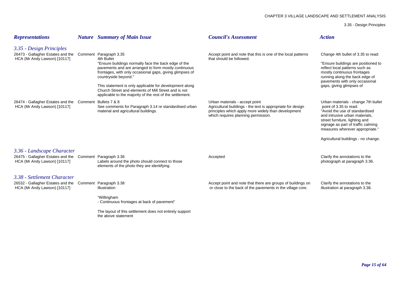3.35 - Design Principles

| <b>Representations</b>                                                                                                  | <b>Nature</b> Summary of Main Issue                                                                                                                                                                                                                                                                                                                                                                                      | <b>Council's Assessment</b>                                                                                                                                                                 | <b>Action</b>                                                                                                                                                                                                                                                                       |
|-------------------------------------------------------------------------------------------------------------------------|--------------------------------------------------------------------------------------------------------------------------------------------------------------------------------------------------------------------------------------------------------------------------------------------------------------------------------------------------------------------------------------------------------------------------|---------------------------------------------------------------------------------------------------------------------------------------------------------------------------------------------|-------------------------------------------------------------------------------------------------------------------------------------------------------------------------------------------------------------------------------------------------------------------------------------|
| 3.35 - Design Principles<br>26473 - Gallagher Estates and the<br>HCA (Mr Andy Lawson) [10117]                           | Comment Paragraph 3.35<br>4th Bullet<br>"Ensure buildings normally face the back edge of the<br>pavements and are arranged to form mostly continuous<br>frontages, with only occasional gaps, giving glimpses of<br>countryside beyond."<br>This statement is only applicable for development along<br>Church Street and elements of Mill Street and is not<br>applicable to the majority of the rest of the settlement. | Accept point and note that this is one of the local patterns<br>that should be followed.                                                                                                    | Change 4th bullet of 3.35 to read:<br>"Ensure buildings are positioned to<br>reflect local patterns such as<br>mostly continuous frontages<br>running along the back edge of<br>pavements with only occasional<br>gaps, giving glimpses of                                          |
| 26474 - Gallagher Estates and the<br>HCA (Mr Andy Lawson) [10117]                                                       | Comment Bullets 7 & 8<br>See comments for Paragraph 3.14 re standardised urban<br>material and agricultural buildings.                                                                                                                                                                                                                                                                                                   | Urban materials - accept point<br>Agricultural buildings - the text is appropriate for design<br>principles which apply more widely than development<br>which requires planning permission. | Urban materials - change 7th bullet<br>point of 3.35 to read:<br>"Avoid the use of standardised<br>and intrusive urban materials,<br>street furniture, lighting and<br>signage as part of traffic calming<br>measures wherever appropriate."<br>Agricultural buildings - no change. |
| 3.36 - Landscape Character<br>26475 - Gallagher Estates and the<br>HCA (Mr Andy Lawson) [10117]                         | Comment Paragraph 3.36<br>Labels around the photo should connect to those<br>elements of the photo they are identifying.                                                                                                                                                                                                                                                                                                 | Accepted                                                                                                                                                                                    | Clarify the annotations to the<br>photograph at paragraph 3.36.                                                                                                                                                                                                                     |
| 3.38 - Settlement Character<br>26532 - Gallagher Estates and the Comment Paragraph 3.38<br>HCA (Mr Andy Lawson) [10117] | Illustration<br>"Willingham<br>- Continuous frontages at back of pavement"                                                                                                                                                                                                                                                                                                                                               | Accept point and note that there are groups of buildings on<br>or close to the back of the pavements in the village core.                                                                   | Clarify the annotations to the<br>illustration at paragraph 3.38.                                                                                                                                                                                                                   |

The layout of this settlement does not entirely support the above statement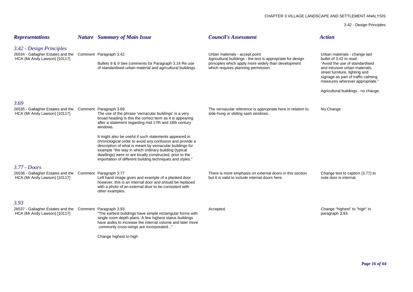3.42 - Design Principles

| <b>Representations</b>                                                                                               | <b>Nature</b> Summary of Main Issue                                                                                                                                                                                                                                                                                                                                                                                                                                                                                                                         | <b>Council's Assessment</b>                                                                                                                                                                 | <b>Action</b>                                                                                                                                                                                                                                                                  |
|----------------------------------------------------------------------------------------------------------------------|-------------------------------------------------------------------------------------------------------------------------------------------------------------------------------------------------------------------------------------------------------------------------------------------------------------------------------------------------------------------------------------------------------------------------------------------------------------------------------------------------------------------------------------------------------------|---------------------------------------------------------------------------------------------------------------------------------------------------------------------------------------------|--------------------------------------------------------------------------------------------------------------------------------------------------------------------------------------------------------------------------------------------------------------------------------|
| 3.42 - Design Principles<br>26534 - Gallagher Estates and the Comment Paragraph 3.42<br>HCA (Mr Andy Lawson) [10117] | Bullets 8 & 9 See comments for Paragraph 3.14 Re use<br>of standardised urban material and agricultural buildings.                                                                                                                                                                                                                                                                                                                                                                                                                                          | Urban materials - accept point<br>Agricultural buildings - the text is appropriate for design<br>principles which apply more widely than development<br>which requires planning permission. | Urban materials - change last<br>bullet of 3.42 to read:<br>"Avoid the use of standardised<br>and intrusive urban materials,<br>street furniture, lighting and<br>signage as part of traffic calming<br>measures wherever appropriate."<br>Agricultural buildings - no change. |
| 3.69                                                                                                                 |                                                                                                                                                                                                                                                                                                                                                                                                                                                                                                                                                             |                                                                                                                                                                                             |                                                                                                                                                                                                                                                                                |
| 26535 - Gallagher Estates and the Comment Paragraph 3.69<br>HCA (Mr Andy Lawson) [10117]                             | The use of the phrase 'vernacular buildings' is a very<br>broad heading Is this the correct term as it is appearing<br>after a statement regarding mid 17th and 18th century<br>windows.<br>It might also be useful if such statements appeared in<br>chronological order to avoid any confusion and provide a<br>description of what is meant by vernacular buildings for<br>example "the way in which ordinary building (typical<br>dwellings) were or are locally constructed, prior to the<br>importation of different building techniques and styles." | The vernacular reference is appropriate here in relation to<br>side-hung or sliding sash windows.                                                                                           | No Change                                                                                                                                                                                                                                                                      |
| $3.77 - Doors$                                                                                                       |                                                                                                                                                                                                                                                                                                                                                                                                                                                                                                                                                             |                                                                                                                                                                                             |                                                                                                                                                                                                                                                                                |
| 26536 - Gallagher Estates and the Comment Paragraph 3.77<br>HCA (Mr Andy Lawson) [10117]                             | Left hand image gives and example of a planked door<br>however, this is an internal door and should be replaced<br>with a photo of an external door to be consistent with<br>other examples.                                                                                                                                                                                                                                                                                                                                                                | There is more emphasis on external doors in this section<br>but it is valid to include internal doors here.                                                                                 | Change text to caption (3.77) to<br>note door is internal.                                                                                                                                                                                                                     |
| 3.93                                                                                                                 |                                                                                                                                                                                                                                                                                                                                                                                                                                                                                                                                                             |                                                                                                                                                                                             |                                                                                                                                                                                                                                                                                |
| 26537 - Gallagher Estates and the Comment Paragraph 3.93<br>HCA (Mr Andy Lawson) [10117]                             | "The earliest buildings have simple rectangular forms with<br>single room depth plans. A few highest status buildings<br>have aisles to increase the internal volume and later more<br>commonly cross-wings are incorporated"                                                                                                                                                                                                                                                                                                                               | Accepted.                                                                                                                                                                                   | Change "highest" to "high" in<br>paragraph 3.93.                                                                                                                                                                                                                               |
|                                                                                                                      | Change highest to high                                                                                                                                                                                                                                                                                                                                                                                                                                                                                                                                      |                                                                                                                                                                                             |                                                                                                                                                                                                                                                                                |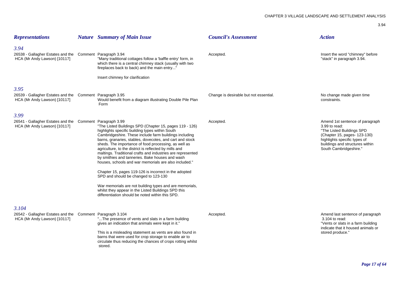| <b>Representations</b>                                                                             | <b>Nature</b> Summary of Main Issue                                                                                                                                                                                                                                                                                                                                                                                                                                                                                                                                                                                                                                                                                                                                                                  | <b>Council's Assessment</b>            | <b>Action</b>                                                                                                                                                                                              |
|----------------------------------------------------------------------------------------------------|------------------------------------------------------------------------------------------------------------------------------------------------------------------------------------------------------------------------------------------------------------------------------------------------------------------------------------------------------------------------------------------------------------------------------------------------------------------------------------------------------------------------------------------------------------------------------------------------------------------------------------------------------------------------------------------------------------------------------------------------------------------------------------------------------|----------------------------------------|------------------------------------------------------------------------------------------------------------------------------------------------------------------------------------------------------------|
| 3.94<br>26538 - Gallagher Estates and the Comment Paragraph 3.94<br>HCA (Mr Andy Lawson) [10117]   | "Many traditional cottages follow a 'baffle entry' form, in<br>which there is a central chimney stack (usually with two<br>fireplaces back to back) and the main entry"<br>Insert chimney for clarification                                                                                                                                                                                                                                                                                                                                                                                                                                                                                                                                                                                          | Accepted.                              | Insert the word "chimney" before<br>"stack" in paragraph 3.94.                                                                                                                                             |
| 3.95<br>26539 - Gallagher Estates and the Comment Paragraph 3.95<br>HCA (Mr Andy Lawson) [10117]   | Would benefit from a diagram illustrating Double Pile Plan<br>Form                                                                                                                                                                                                                                                                                                                                                                                                                                                                                                                                                                                                                                                                                                                                   | Change is desirable but not essential. | No change made given time<br>constraints.                                                                                                                                                                  |
| 3.99<br>26541 - Gallagher Estates and the Comment Paragraph 3.99<br>HCA (Mr Andy Lawson) [10117]   | "The Listed Buildings SPD (Chapter 15, pages 119 - 126)<br>highlights specific building types within South<br>Cambridgeshire. These include farm buildings including<br>barns, granaries, stables, dovecotes, and cart and stock<br>sheds. The importance of food processing, as well as<br>agriculture, to the district is reflected by mills and<br>maltings. Traditional crafts and industries are represented<br>by smithies and tanneries. Bake houses and wash<br>houses, schools and war memorials are also included."<br>Chapter 15, pages 119-126 is incorrect in the adopted<br>SPD and should be changed to 123-130<br>War memorials are not building types and are memorials,<br>whilst they appear in the Listed Buildings SPD this<br>differentiation should be noted within this SPD. | Accepted.                              | Amend 1st sentence of paragraph<br>3.99 to read:<br>"The Listed Buildings SPD<br>(Chapter 15, pages- 123-130)<br>highlights specific types of<br>buildings and structures within<br>South Cambridgeshire." |
| 3.104<br>26542 - Gallagher Estates and the Comment Paragraph 3.104<br>HCA (Mr Andy Lawson) [10117] | "The presence of vents and slats in a farm building<br>gives an indication that animals were kept in it."<br>This is a misleading statement as vents are also found in<br>barns that were used for crop storage to enable air to<br>circulate thus reducing the chances of crops rotting whilst<br>stored.                                                                                                                                                                                                                                                                                                                                                                                                                                                                                           | Accepted.                              | Amend last sentence of paragraph<br>3.104 to read:<br>"Vents or slats in a farm building<br>indicate that it housed animals or<br>stored produce."                                                         |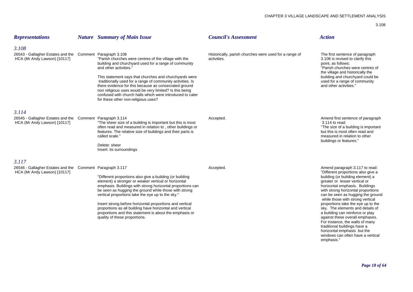| <b>Representations</b>                                                                             | <b>Nature</b> Summary of Main Issue                                                                                                                                                                                                                                                                                                                                                                                                                                                                              | <b>Council's Assessment</b>                                           | <b>Action</b>                                                                                                                                                                                                                                                                                                                                                                                                                                                                                                                                                                                    |
|----------------------------------------------------------------------------------------------------|------------------------------------------------------------------------------------------------------------------------------------------------------------------------------------------------------------------------------------------------------------------------------------------------------------------------------------------------------------------------------------------------------------------------------------------------------------------------------------------------------------------|-----------------------------------------------------------------------|--------------------------------------------------------------------------------------------------------------------------------------------------------------------------------------------------------------------------------------------------------------------------------------------------------------------------------------------------------------------------------------------------------------------------------------------------------------------------------------------------------------------------------------------------------------------------------------------------|
| 3.108<br>26543 - Gallagher Estates and the Comment Paragraph 3.108<br>HCA (Mr Andy Lawson) [10117] | "Parish churches were centres of the village with the<br>building and churchyard used for a range of community<br>and other activities.<br>This statement says that churches and churchyards were<br>traditionally used for a range of community activities. Is<br>there evidence for this because as consecrated ground<br>non religious uses would be very limited? Is this being<br>confused with church halls which were introduced to cater<br>for these other non-religious uses?                          | Historically, parish churches were used for a range of<br>activities. | The first sentence of paragraph<br>3.108 is revised to clarify this<br>point, as follows:<br>"Parish churches were centres of<br>the village and historically the<br>building and churchyard could be<br>used for a range of community<br>and other activities."                                                                                                                                                                                                                                                                                                                                 |
| 3.114<br>26545 - Gallagher Estates and the Comment Paragraph 3.114<br>HCA (Mr Andy Lawson) [10117] | "The sheer size of a building is important but this is most<br>often read and measured in relation to, other buildings or<br>features. The relative size of buildings and their parts is<br>called scale."<br>Delete: sheer<br>Insert: its surroundings                                                                                                                                                                                                                                                          | Accepted.                                                             | Amend first sentence of paragraph<br>3.114 to read:<br>"The size of a building is important<br>but this is most often read and<br>measured in relation to other<br>buildings or features."                                                                                                                                                                                                                                                                                                                                                                                                       |
| 3.117<br>26546 - Gallagher Estates and the Comment Paragraph 3.117<br>HCA (Mr Andy Lawson) [10117] | "Different proportions also give a building (or building<br>element) a stronger or weaker vertical or horizontal<br>emphasis. Buildings with strong horizontal proportions can<br>be seen as hugging the ground while those with strong<br>vertical proportions take the eye up to the sky."<br>Insert strong before horizontal proportions and vertical<br>proportions as all building have horizontal and vertical<br>proportions and this statement is about the emphasis or<br>quality of these proportions. | Accepted.                                                             | Amend paragraph 3.117 to read:<br>"Different proportions also give a<br>building (or building element) a<br>greater or lesser vertical or<br>horizontal emphasis. Buildings<br>with strong horizontal proportions<br>can be seen as hugging the ground<br>while those with strong vertical<br>proportions take the eye up to the<br>sky. The elements and details of<br>a building can reinforce or play<br>against these overall emphases.<br>For instance, the walls of many<br>traditional buildings have a<br>horizontal emphasis but the<br>windows can often have a vertical<br>emphasis." |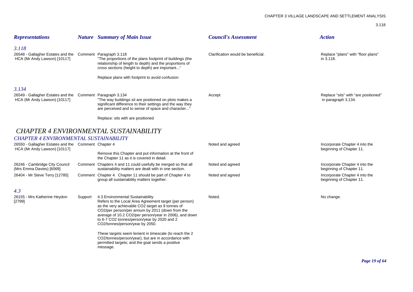| <b>Representations</b>                                                                                                               |         | <b>Nature</b> Summary of Main Issue                                                                                                                                                                                                                                                                                                                                                                                                                                                                                             | <b>Council's Assessment</b>        | <b>Action</b>                                               |
|--------------------------------------------------------------------------------------------------------------------------------------|---------|---------------------------------------------------------------------------------------------------------------------------------------------------------------------------------------------------------------------------------------------------------------------------------------------------------------------------------------------------------------------------------------------------------------------------------------------------------------------------------------------------------------------------------|------------------------------------|-------------------------------------------------------------|
| 3.118<br>26548 - Gallagher Estates and the Comment Paragraph 3.118<br>HCA (Mr Andy Lawson) [10117]                                   |         | "The proportions of the plans footprint of buildings (the<br>relationship of length to depth) and the proportions of<br>cross sections (height to depth) are important"<br>Replace plans with footprint to avoid confusion                                                                                                                                                                                                                                                                                                      | Clarification would be beneficial. | Replace "plans" with "floor plans"<br>in 3.118.             |
| 3.134<br>26549 - Gallagher Estates and the Comment Paragraph 3.134<br>HCA (Mr Andy Lawson) [10117]                                   |         | "The way buildings sit are positioned on plots makes a<br>significant difference to their settings and the way they<br>are perceived and to sense of space and character"<br>Replace: sits with are positioned                                                                                                                                                                                                                                                                                                                  | Accept                             | Replace "sits" with "are positioned"<br>in paragraph 3.134. |
|                                                                                                                                      |         | <b>CHAPTER 4 ENVIRONMENTAL SUSTAINABILITY</b>                                                                                                                                                                                                                                                                                                                                                                                                                                                                                   |                                    |                                                             |
| <b>CHAPTER 4 ENVIRONMENTAL SUSTAINABILITY</b><br>26550 - Gallagher Estates and the Comment Chapter 4<br>HCA (Mr Andy Lawson) [10117] |         | Remove this Chapter and put information at the front of<br>the Chapter 11 as it is covered in detail.                                                                                                                                                                                                                                                                                                                                                                                                                           | Noted and agreed                   | Incorporate Chapter 4 into the<br>beginning of Chapter 11.  |
| 26246 - Cambridge City Council<br>(Mrs Emma Davies) [6069]                                                                           |         | Comment Chapters 4 and 11 could usefully be merged so that all<br>sustainability matters are dealt with in one section.                                                                                                                                                                                                                                                                                                                                                                                                         | Noted and agreed                   | Incorporate Chapter 4 into the<br>beginning of Chapter 11.  |
| 26404 - Mr Steve Terry [12785]                                                                                                       |         | Comment Chapter 4. Chapter 11 should be part of Chapter 4 to<br>group all sustainability matters together.                                                                                                                                                                                                                                                                                                                                                                                                                      | Noted and agreed                   | Incorporate Chapter 4 into the<br>beginning of Chapter 11.  |
| 4.3<br>26155 - Mrs Katherine Heydon<br>[2799]                                                                                        | Support | 4.3 Environmental Sustainability<br>Refers to the Local Area Agreement target (per person)<br>as the very achievable CO2 target as 9 tonnes of<br>CO2/per person/per annum by 2011 (down from the<br>average of 10.2 CO2/per person/year in 2006), and down<br>to 6-7 CO2 tonnes/person/year by 2020 and 2<br>CO2/tonnes/person/year by 2050.<br>These targets seem lenient in timescale (to reach the 2<br>CO2/tonnes/person/year), but are in accordance with<br>permitted targets; and the goal sends a positive<br>message. | Noted.                             | No change.                                                  |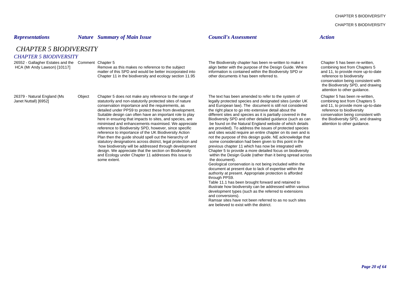CHAPTER 5 BIODIVERSITY

### *Representations Nature Summary of Main Issue Council's Assessment Action*

*CHAPTER 5 BIODIVERSITY*

### *CHAPTER 5 BIODIVERSITY*

Janet Nuttall) [6952] statutorily and non-statutorily protected sites of nature legally protected species and designated sites (under UK<br>conservation importance and the requirements, as and European law). The document is s reference to importance of the UK Biodiversity Action Plan then the quide should spell out the hierarchy of statutory designations across district, legal protection and some consideration had been given to this point in the<br>how biodiversity will be addressed through development previous chapter 11 which has now be integrated wit how biodiversity will be addressed through development design. We appreciate that the section on Biodiversity and Ecology under Chapter 11 addresses this issue to some extent. Some extent.

26552 - Gallagher Estates and the Comment Chapter 5 The Biodiversity chapter has been re-written to make it Chapter 5 has been re-written, HCA (Mr Andy Lawson) [10117] Remove as this makes no reference to the subject align better with the purpose of the Design Guide. Where combining text from Chapters 5<br>matter of this SPD and would be better incorporated into matter of this SPD and would be better incorporated into information is contained within the Biodiversity SPD or and 11, to provide more up-to-date Chapter 11 in the biodiversity and ecology section 11.95 other documents it has been referred to. The reference to biodiversity

26379 - Natural England (Ms Object Chapter 5 does not make any reference to the range of The text has been amended to refer to the system of Chapter 5 has been re-written,<br>Janet Nuttall) [6952] statutorily and non-statutor and European law). The document is still not considered and 11, to provide more up-to-date detailed under PPS9 to protect these from development. The right place to go into extensive detail about the reference to biodiversity Suitable design can often have an important role to play different sites and species as it is partially covered in the conservation being consistent with here in ensuring that impacts to sites, and species, are Biodiversit here in ensuring that impacts to sites, and species, are Biodiversity SPD and other detailed guidance (such as can minimised and enhancements maximised. We appreciate be found on the Natural England website of which detail be found on the Natural England website of which details attention to other guidance. reference to Biodiversity SPD, however, since specific are provided). To address the issues of protected species reference to importance of the UK Biodiversity Action and sites would require an entire chapter on its own an not the purpose of this design guide. NE acknowledge that some consideration had been given to this point in the Chapter 5 to provide a more detailed focus on biodiversity<br>within the Design Guide (rather than it being spread across

> Geological conservation is not being included within the document at present due to lack of expertise within the authority at present. Appropriate protection is afforded through PPS9.

Table 11.1 has been brought forward and retained to illustrate how biodiversity can be addressed within various development types (such as the referred to extensions and conversions).

Ramsar sites have not been referred to as no such sites are believed to exist with the district.

conservation being consistent with the Biodiversity SPD, and drawing attention to other guidance.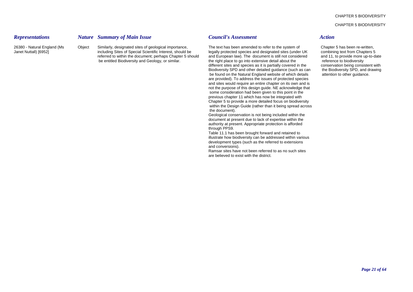CHAPTER 5 BIODIVERSITY

### *Representations Nature Summary of Main Issue Council's Assessment Action*

26380 - Natural England (Ms Object Similarly, designated sites of geological importance, The text has been amended to refer to the system of Chapter 5 has been re-written,<br>Janet Nuttall) [6952] including Sites of Special S Janet Nuttall) [6952] including Sites of Special Scientific Interest, should be legally protected species and designated sites (under UK combining text from Chapters 5 referred to within the document; perhaps Chapter 5 should and European law). The document is still not considered and 11, to provide more up-to-date<br>be entitled Biodiversity and Geology, or similar, the right place to go i the right place to go into extensive detail about the different sites and species as it is partially covered in the conservation being consistent with Biodiversity SPD and other detailed guidance (such as can the Biodiversity SPD, and drawing be found on the Natural England website of which details attention to other guidance. are provided). To address the issues of protected species and sites would require an entire chapter on its own and is not the purpose of this design guide. NE acknowledge that some consideration had been given to this point in the previous chapter 11 which has now be integrated with Chapter 5 to provide a more detailed focus on biodiversity within the Design Guide (rather than it being spread across the document).

> Geological conservation is not being included within the document at present due to lack of expertise within the authority at present. Appropriate protection is afforded through PPS9.

Table 11.1 has been brought forward and retained to illustrate how biodiversity can be addressed within various development types (such as the referred to extensions and conversions).

Ramsar sites have not been referred to as no such sites are believed to exist with the district.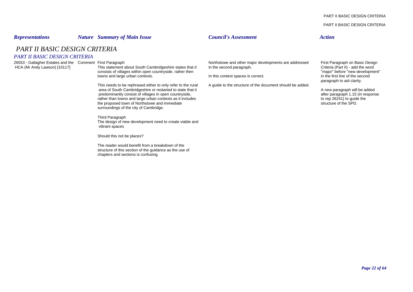PART II BASIC DESIGN CRITERIA

### *Representations Nature Summary of Main Issue Council's Assessment Action*

# *PART II BASIC DESIGN CRITERIA*

### *PART II BASIC DESIGN CRITERIA*

This statement about South Cambridgeshire states that it in the second paragraph.<br>
consists of villages within open countryside, rather then<br>
consists of villages within open countryside, rather then consists of villages within open countryside, rather then extended to the second of the second towns and large urban contexts.<br>In this context spaces is correct. The major "before "new development" before the second

This needs to be rephrased either to only refer to the rural A guide to the structure of the document should be added. area of South Cambridgeshire or restarted to state that it<br>
predominantly consist of villages in open countryside,<br>
after paragraph 1.15 (in response predominantly consist of villages in open countryside,<br>
rather than towns and large urban contexts as it includes<br>
rather than towns and large urban contexts as it includes rather than towns and large urban contexts as it includes to rep 26241) to guide the proposed town of Northstowe and immediate the SPD the proposed town of Northstowe and immediate surroundings of the city of Cambridge.

Third Paragraph The design of new development need to create viable and vibrant spaces

Should this not be places?

The reader would benefit from a breakdown of the structure of this section of the guidance as the use of chapters and sections is confusing.

2653 - Gallagher Estates and the Comment First Paragraph<br>HCA (Mr Andy Lawson) [10117] This statement about South Cambridgeshire states that it in the second paragraph.<br>Criteria (Part II) - add the word

In this context spaces is correct.

# paragraph to aid clarity.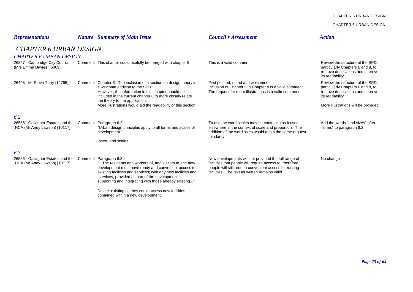CHAPTER 6 URBAN DESIGN

CHAPTER 6 URBAN DESIGN

| <b>Representations</b>                                                                  |  | <b>Nature</b> Summary of Main Issue                                                                                                                                                                                                                                                                                   | <b>Council's Assessment</b>                                                                                                                                                                                                   | <b>Action</b>                                                                                                                |  |  |
|-----------------------------------------------------------------------------------------|--|-----------------------------------------------------------------------------------------------------------------------------------------------------------------------------------------------------------------------------------------------------------------------------------------------------------------------|-------------------------------------------------------------------------------------------------------------------------------------------------------------------------------------------------------------------------------|------------------------------------------------------------------------------------------------------------------------------|--|--|
| <b>CHAPTER 6 URBAN DESIGN</b>                                                           |  |                                                                                                                                                                                                                                                                                                                       |                                                                                                                                                                                                                               |                                                                                                                              |  |  |
| <b>CHAPTER 6 URBAN DESIGN</b>                                                           |  |                                                                                                                                                                                                                                                                                                                       |                                                                                                                                                                                                                               |                                                                                                                              |  |  |
| 26247 - Cambridge City Council<br>(Mrs Emma Davies) [6069]                              |  | Comment This chapter could usefully be merged with chapter 8.                                                                                                                                                                                                                                                         | This is a valid comment.                                                                                                                                                                                                      | Review the structure of the SPD.<br>particularly Chapters 6 and 8, to<br>remove duplications and improve<br>its readability. |  |  |
| 26405 - Mr Steve Terry [12785]                                                          |  | Comment Chapter 6. The inclusion of a section on design theory is<br>a welcome addition to the SPD.<br>However, the information in this chapter should be<br>included in the current chapter 8 to more closely relate                                                                                                 | First pointed, noted and welcomed.<br>Inclusion of Chapter 6 in Chapter 8 is a valid comment.<br>The request for more illustrations is a valid comment.                                                                       | Review the structure of the SPD.<br>particularly Chapters 6 and 8, to<br>remove duplications and improve<br>its readability. |  |  |
|                                                                                         |  | the theory to the application.<br>More illustrations would aid the readability of this section.                                                                                                                                                                                                                       |                                                                                                                                                                                                                               | More illustrations will be provided.                                                                                         |  |  |
| 6.2                                                                                     |  |                                                                                                                                                                                                                                                                                                                       |                                                                                                                                                                                                                               |                                                                                                                              |  |  |
| 26555 - Gallagher Estates and the Comment Paragraph 6.2<br>HCA (Mr Andy Lawson) [10117] |  | "Urban design principles apply to all forms and scales of<br>development."                                                                                                                                                                                                                                            | To use the word scales may be confusing as it used<br>elsewhere in the context of scale and proportion. The<br>addition of the word sizes would attain the same request<br>for clarity.                                       | Add the words "and sizes" after<br>"forms" to paragraph 6.2.                                                                 |  |  |
|                                                                                         |  | Insert: and scales                                                                                                                                                                                                                                                                                                    |                                                                                                                                                                                                                               |                                                                                                                              |  |  |
| 6.3                                                                                     |  |                                                                                                                                                                                                                                                                                                                       |                                                                                                                                                                                                                               |                                                                                                                              |  |  |
| 26556 - Gallagher Estates and the<br>HCA (Mr Andy Lawson) [10117]                       |  | Comment Paragraph 6.3<br>"The residents and workers of, and visitors to, the new<br>development must have ready and convenient access to<br>existing facilities and services; with any new facilities and<br>services, provided as part of the development<br>supporting and integrating with those already existing" | New developments will not provided the full range of<br>facilities that people will require access to, therefore<br>people will still require convenient access to existing<br>facilities. The text as written remains valid. | No change                                                                                                                    |  |  |
|                                                                                         |  | Delete: existing as they could access new facilities<br>contained within a new development.                                                                                                                                                                                                                           |                                                                                                                                                                                                                               |                                                                                                                              |  |  |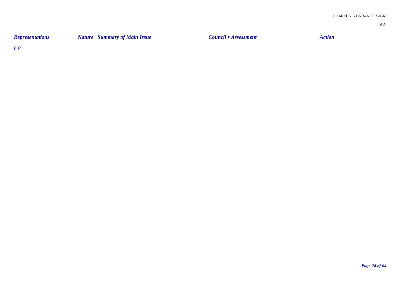| <b>Representations</b> | <b>Nature</b> Summary of Main Issue | <b>Council's Assessment</b> | Action |
|------------------------|-------------------------------------|-----------------------------|--------|
|                        |                                     |                             |        |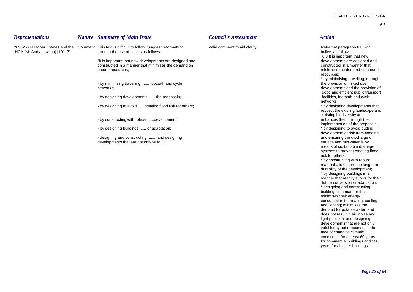| <b>Representations</b>       | <b>Nature</b> Summary of Main Issue                                                                                                                                                                                                                                                                                                                                                                                                                                                                                                                                                                                                             | <b>Council's Assessment</b>   | <b>Action</b>                                                                                                                                                                                                                                                                                                                                                                                                                                                                                                                                                                                                                                                                                                                                                                                                                                                                                                                                                                                                                                                                                        |
|------------------------------|-------------------------------------------------------------------------------------------------------------------------------------------------------------------------------------------------------------------------------------------------------------------------------------------------------------------------------------------------------------------------------------------------------------------------------------------------------------------------------------------------------------------------------------------------------------------------------------------------------------------------------------------------|-------------------------------|------------------------------------------------------------------------------------------------------------------------------------------------------------------------------------------------------------------------------------------------------------------------------------------------------------------------------------------------------------------------------------------------------------------------------------------------------------------------------------------------------------------------------------------------------------------------------------------------------------------------------------------------------------------------------------------------------------------------------------------------------------------------------------------------------------------------------------------------------------------------------------------------------------------------------------------------------------------------------------------------------------------------------------------------------------------------------------------------------|
| HCA (Mr Andy Lawson) [10117] | 26562 - Gallagher Estates and the Comment This text is difficult to follow. Suggest reformatting<br>through the use of bullets as follows:<br>"It is important that new developments are designed and<br>constructed in a manner that minimises the demand on<br>natural resources;<br>- by minimising travelling, footpath and cycle<br>networks;<br>- by designing developments the proposals;<br>- by designing to avoid  creating flood risk for others;<br>- by constructing with robust development;<br>- by designing buildings  or adaptation;<br>- designing and constructing ; and designing<br>developments that are not only valid" | Valid comment to aid clarity. | Reformat paragraph 6.8 with<br>bullets as follows:<br>"6.8 It is important that new<br>developments are designed and<br>constructed in a manner that<br>minimises the demand on natural<br>resources:<br>* by minimising travelling, through<br>the provision of mixed use<br>developments and the provision of<br>good and efficient public transport<br>facilities, footpath and cycle<br>networks:<br>* by designing developments that<br>respect the existing landscape and<br>existing biodiversity and<br>enhances them through the<br>implementation of the proposals;<br>* by designing to avoid putting<br>development at risk from flooding<br>and ensuring the discharge of<br>surface and rain water is by<br>means of sustainable drainage<br>systems to prevent creating flood<br>risk for others;<br>* by constructing with robust<br>materials, to ensure the long term<br>durability of the development;<br>* by designing buildings in a<br>manner that readily allows for their<br>future conversion or adaptation;<br>* designing and constructing<br>huildings in a manner that |

\* by constructing with robust ng term  $ent;$ \* by designing buildings in a for their tation; \* designing and constructing buildings in a manner that minimises their energy consumption for heating, cooling and lighting; minimises the demand for potable water; and does not result in air, noise and

light pollution; and designing developments that are not only valid today but remain so, in the face of changing climatic conditions, for at least 60 years for commercial buildings and 100 years for all other buildings."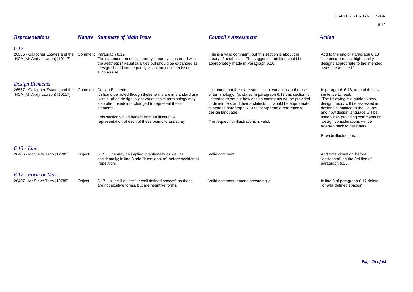| 6.12 |  |
|------|--|
|      |  |

| <b>Representations</b>                                                                           |        | <b>Nature</b> Summary of Main Issue                                                                                                                                                                                                                                                               | <b>Council's Assessment</b>                                                                                                                                                                                                                                                                                                                                                       | <b>Action</b>                                                                                                                                                                                                                                                                                              |
|--------------------------------------------------------------------------------------------------|--------|---------------------------------------------------------------------------------------------------------------------------------------------------------------------------------------------------------------------------------------------------------------------------------------------------|-----------------------------------------------------------------------------------------------------------------------------------------------------------------------------------------------------------------------------------------------------------------------------------------------------------------------------------------------------------------------------------|------------------------------------------------------------------------------------------------------------------------------------------------------------------------------------------------------------------------------------------------------------------------------------------------------------|
| 6.12<br>26565 - Gallagher Estates and the Comment Paragraph 6.12<br>HCA (Mr Andy Lawson) [10117] |        | The statement on design theory is purely concerned with<br>the aesthetics/ visual qualities but should be expanded as<br>design should not be purely visual but consider issues<br>such as use.                                                                                                   | This is a valid comment, but this section is about the<br>theory of aesthetics. The suggested addition could be<br>appropriately made in Paragraph 6.10.                                                                                                                                                                                                                          | Add to the end of Paragraph 6.10<br>, to ensure robust high quality<br>designs appropriate to the intended<br>uses are attained."                                                                                                                                                                          |
| Design Elements                                                                                  |        |                                                                                                                                                                                                                                                                                                   |                                                                                                                                                                                                                                                                                                                                                                                   |                                                                                                                                                                                                                                                                                                            |
| 26567 - Gallagher Estates and the  Comment  Design Elements<br>HCA (Mr Andy Lawson) [10117]      |        | It should be noted though these terms are in standard use<br>within urban design, slight variations in terminology may<br>also often used/interchanged to represent these<br>elements.<br>This section would benefit from an illustrative<br>representation of each of these points to assist lay | It is noted that there are some slight variations in the use<br>of terminology. As stated in paragraph 6.13 this section is<br>intended to set out how design comments will be provided<br>to developers and their architects. It would be appropriate<br>to state in paragraph 6.13 to incorporate a reference to<br>design language.<br>The request for illustrations is valid. | In paragraph 6.13, amend the last<br>sentence to read:<br>"The following is a guide to how<br>design theory will be assessed in<br>designs submitted to the Council<br>and how design language will be<br>used when providing comments on<br>design considerations will be<br>referred back to designers." |
|                                                                                                  |        |                                                                                                                                                                                                                                                                                                   |                                                                                                                                                                                                                                                                                                                                                                                   | Provide illustrations.                                                                                                                                                                                                                                                                                     |
| 6.15 - Line<br>26406 - Mr Steve Terry [12785]                                                    | Object | 6.15. Line may be implied intentionally as well as<br>accidentally; in line 3 add "intentional or" before accidental<br>repetition.                                                                                                                                                               | Valid comment.                                                                                                                                                                                                                                                                                                                                                                    | Add "intentional or" before<br>"accidental" on the 3rd line of<br>paragraph 6.15.                                                                                                                                                                                                                          |
| 6.17 - Form or Mass                                                                              |        |                                                                                                                                                                                                                                                                                                   |                                                                                                                                                                                                                                                                                                                                                                                   |                                                                                                                                                                                                                                                                                                            |
| 26407 - Mr Steve Terry [12785]                                                                   | Object | 6.17. In line 3 delete "or well defined spaces" as these<br>are not positive forms, but are negative forms.                                                                                                                                                                                       | Valid comment, amend accordingly.                                                                                                                                                                                                                                                                                                                                                 | In line 3 of paragraph 6.17 delete<br>"or well defined spaces"                                                                                                                                                                                                                                             |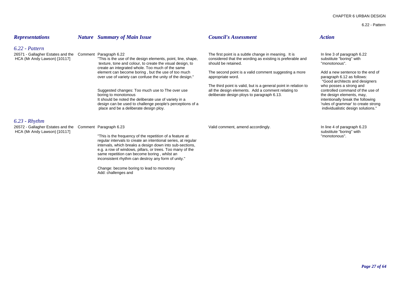6.22 - Pattern

| <b>Representations</b>                                                                | <b>Nature</b> Summary of Main Issue                                                                                                                                                                                                                                                                                                                                                                                                                                                                                         | <b>Council's Assessment</b>                                                                                                                                                                                                                                                                                                                                                                   | <b>Action</b>                                                                                                                                                                                                                                                                                                                                        |
|---------------------------------------------------------------------------------------|-----------------------------------------------------------------------------------------------------------------------------------------------------------------------------------------------------------------------------------------------------------------------------------------------------------------------------------------------------------------------------------------------------------------------------------------------------------------------------------------------------------------------------|-----------------------------------------------------------------------------------------------------------------------------------------------------------------------------------------------------------------------------------------------------------------------------------------------------------------------------------------------------------------------------------------------|------------------------------------------------------------------------------------------------------------------------------------------------------------------------------------------------------------------------------------------------------------------------------------------------------------------------------------------------------|
| $6.22$ - Pattern<br>26571 - Gallagher Estates and the<br>HCA (Mr Andy Lawson) [10117] | Comment Paragraph 6.22<br>"This is the use of the design elements, point, line, shape,<br>texture, tone and colour, to create the visual design, to<br>create an integrated whole. Too much of the same<br>element can become boring, but the use of too much<br>over use of variety can confuse the unity of the design."<br>Suggested changes: Too much use to The over use<br>boring to monotonous<br>It should be noted the deliberate use of variety in a<br>design can be used to challenge people's perceptions of a | The first point is a subtle change in meaning. It is<br>considered that the wording as existing is preferable and<br>should be retained.<br>The second point is a valid comment suggesting a more<br>appropriate word.<br>The third point is valid, but is a general point in relation to<br>all the design elements. Add a comment relating to<br>deliberate design ploys to paragraph 6.13. | In line 3 of paragraph 6.22<br>substitute "boring" with<br>"monotonous".<br>Add a new sentence to the end of<br>paragraph 6.12 as follows:<br>"Good architects and designers<br>who posses a strong and<br>controlled command of the use of<br>the design elements, may,<br>intentionally break the following<br>'rules of grammar' to create strong |
| $6.23$ - Rhythm<br>26572 - Gallagher Estates and the<br>HCA (Mr Andy Lawson) [10117]  | place and be a deliberate design ploy.<br>Comment Paragraph 6.23<br>"This is the frequency of the repetition of a feature at<br>regular intervals to create an intentional series, at regular<br>intervals, which breaks a design down into sub-sections,<br>e.g. a row of windows, pillars, or trees. Too many of the<br>same repetition can become boring, whilst an<br>inconsistent rhythm can destroy any form of unity."<br>Change: become boring to lead to monotony                                                  | Valid comment, amend accordingly.                                                                                                                                                                                                                                                                                                                                                             | individualistic design solutions."<br>In line 4 of paragraph 6.23<br>substitute "boring" with<br>"monotonous".                                                                                                                                                                                                                                       |

Add: challenges and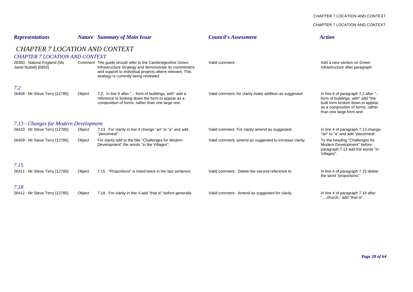### CHAPTER 7 LOCATION AND CONTEXT

CHAPTER 7 LOCATION AND CONTEXT

| <b>Representations</b>                               |        | <b>Nature</b> Summary of Main Issue                                                                                                                                                                                      | <b>Council's Assessment</b>                            | <b>Action</b>                                                                                                                                                               |  |  |
|------------------------------------------------------|--------|--------------------------------------------------------------------------------------------------------------------------------------------------------------------------------------------------------------------------|--------------------------------------------------------|-----------------------------------------------------------------------------------------------------------------------------------------------------------------------------|--|--|
| <b>CHAPTER 7 LOCATION AND CONTEXT</b>                |        |                                                                                                                                                                                                                          |                                                        |                                                                                                                                                                             |  |  |
| <b>CHAPTER 7 LOCATION AND CONTEXT</b>                |        |                                                                                                                                                                                                                          |                                                        |                                                                                                                                                                             |  |  |
| 26383 - Natural England (Ms<br>Janet Nuttall) [6952] |        | Comment The guide should refer to the Cambridgeshire Green<br>Infrastructure Strategy and demonstrate its commitment<br>and support to individual projects where relevant. This<br>strategy is currently being reviewed. | Valid comment.                                         | Add a new section on Green<br>Infrastructure after paragraph                                                                                                                |  |  |
| 7.2                                                  |        |                                                                                                                                                                                                                          |                                                        |                                                                                                                                                                             |  |  |
| 26408 - Mr Steve Terry [12785]                       | Object | 7.2. In line 6 after " form of buildings, with" add a<br>reference to broking down the form to appear as a<br>composition of forms, rather than one large one.                                                           | Valid comment, for clarity make addition as suggested. | In line 6 of paragraph 7.2 after "<br>form of buildings, with" add "the<br>built form broken down to appear<br>as a composition of forms, rather<br>than one large form and |  |  |
| 7.13 - Changes for Modern Development                |        |                                                                                                                                                                                                                          |                                                        |                                                                                                                                                                             |  |  |
| 26410 - Mr Steve Terry [12785]                       | Object | 7.13. For clarity in line 4 change "an" to "a" and add<br>"piecemeal".                                                                                                                                                   | Valid comment. For clarity amend as suggested.         | In line 4 of paragraph 7.13 change<br>"an" to "a" and add "piecemeal".                                                                                                      |  |  |
| 26409 - Mr Steve Terry [12785]                       | Object | For clarity add to the title "Challenges for Modern"<br>Development" the words "in the Villages".                                                                                                                        | Valid comment, amend as suggested to increase clarity. | To the heading "Challenges for<br>Modern Development" before<br>paragraph 7.13 add the words "in<br>Villages".                                                              |  |  |
| 7.15<br>26411 - Mr Steve Terry [12785]               | Object | 7.15. "Proportions" is listed twice in the last sentence.                                                                                                                                                                | Valid comment. Delete the second reference to          | In line 4 of paragraph 7.15 delete<br>the word "proportions".                                                                                                               |  |  |
| 7.18<br>26412 - Mr Steve Terry [12785]               | Object | 7.18. For clarity in line 4 add "that is" before generally.                                                                                                                                                              | Valid comment. Amend as suggested for clarity.         | In line 4 of paragraph 7.18 after<br>"church," add "that is".                                                                                                               |  |  |

*Page 28 of 64*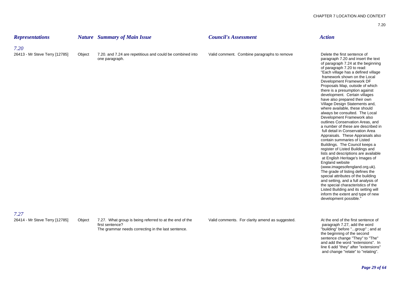| <b>Representations</b>         |        | <b>Nature</b> Summary of Main Issue                                                                                              | <b>Council's Assessment</b>                     | <b>Action</b>                                                                                                                                                                                                                                                                                                                                                                                                                                                                                                                                                                                                                                                                                                                                                                                                                                                                                                                                                                                                                                                                                                                                                          |
|--------------------------------|--------|----------------------------------------------------------------------------------------------------------------------------------|-------------------------------------------------|------------------------------------------------------------------------------------------------------------------------------------------------------------------------------------------------------------------------------------------------------------------------------------------------------------------------------------------------------------------------------------------------------------------------------------------------------------------------------------------------------------------------------------------------------------------------------------------------------------------------------------------------------------------------------------------------------------------------------------------------------------------------------------------------------------------------------------------------------------------------------------------------------------------------------------------------------------------------------------------------------------------------------------------------------------------------------------------------------------------------------------------------------------------------|
| 7.20                           |        |                                                                                                                                  |                                                 |                                                                                                                                                                                                                                                                                                                                                                                                                                                                                                                                                                                                                                                                                                                                                                                                                                                                                                                                                                                                                                                                                                                                                                        |
| 26413 - Mr Steve Terry [12785] | Object | 7.20. and 7.24 are repetitious and could be combined into<br>one paragraph.                                                      | Valid comment. Combine paragraphs to remove     | Delete the first sentence of<br>paragraph 7.20 and insert the text<br>of paragraph 7.24 at the beginning<br>of paragraph 7.20 to read:<br>"Each village has a defined village<br>framework shown on the Local<br>Development Framework DF<br>Proposals Map, outside of which<br>there is a presumption against<br>development. Certain villages<br>have also prepared their own<br>Village Design Statements and,<br>where available, these should<br>always be consulted. The Local<br>Development Framework also<br>outlines Conservation Areas, and<br>a number of these are described in<br>full detail in Conservation Area<br>Appraisals. These Appraisals also<br>contain summaries of Listed<br>Buildings. The Council keeps a<br>register of Listed Buildings and<br>lists and descriptions are available<br>at English Heritage's Images of<br>England website<br>(www.imagesofengland.org.uk).<br>The grade of listing defines the<br>special attributes of the building<br>and setting, and a full analysis of<br>the special characteristics of the<br>Listed Building and its setting will<br>inform the extent and type of new<br>development possible. |
| 7.27                           |        |                                                                                                                                  |                                                 |                                                                                                                                                                                                                                                                                                                                                                                                                                                                                                                                                                                                                                                                                                                                                                                                                                                                                                                                                                                                                                                                                                                                                                        |
| 26414 - Mr Steve Terry [12785] | Object | 7.27. What group is being referred to at the end of the<br>first sentence?<br>The grammar needs correcting in the last sentence. | Valid comments. For clarity amend as suggested. | At the end of the first sentence of<br>paragraph 7.27, add the word<br>"building" before "group"; and at<br>the beginning of the second<br>sentence change "They" to "The"<br>and add the word "extensions". In<br>line 6 add "they" after "extensions"                                                                                                                                                                                                                                                                                                                                                                                                                                                                                                                                                                                                                                                                                                                                                                                                                                                                                                                |

and change "relate" to "relating".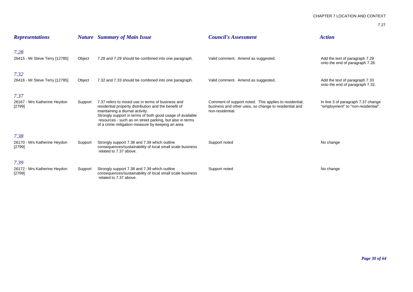| <b>Representations</b>                           |         | <b>Nature</b> Summary of Main Issue                                                                                                                                                                                                                                                                                       | <b>Council's Assessment</b>                                                                                                         | <b>Action</b>                                                            |
|--------------------------------------------------|---------|---------------------------------------------------------------------------------------------------------------------------------------------------------------------------------------------------------------------------------------------------------------------------------------------------------------------------|-------------------------------------------------------------------------------------------------------------------------------------|--------------------------------------------------------------------------|
| 7.28<br>26415 - Mr Steve Terry [12785]           | Object  | 7.28 and 7.29 should be combined into one paragraph.                                                                                                                                                                                                                                                                      | Valid comment. Amend as suggested.                                                                                                  | Add the text of paragraph 7.29<br>onto the end of paragraph 7.28.        |
| 7.32<br>26416 - Mr Steve Terry [12785]           | Object  | 7.32 and 7.33 should be combined into one paragraph.                                                                                                                                                                                                                                                                      | Valid comment. Amend as suggested.                                                                                                  | Add the text of paragraph 7.33<br>onto the end of paragraph 7.32.        |
| 7.37<br>26167 - Mrs Katherine Heydon<br>$[2799]$ | Support | 7.37 refers to mixed use in terms of business and<br>residential property distribution and the benefit of<br>maintaining a diurnal activity.<br>Strongly support in terms of both good usage of available<br>resources - such as on street parking, but also in terms<br>of a crime mitigation measure by keeping an area | Comment of support noted. This applies to residential,<br>business and other uses, so change to residential and<br>non-residential. | In line 3 of paragraph 7.37 change<br>"employment" to "non-residential". |
| 7.38<br>26170 - Mrs Katherine Heydon<br>[2799]   | Support | Strongly support 7.38 and 7.39 which outline<br>consequences/sustainability of local small scale business<br>related to 7.37 above.                                                                                                                                                                                       | Support noted                                                                                                                       | No change                                                                |
| 7.39<br>26172 - Mrs Katherine Heydon<br>[2799]   | Support | Strongly support 7.38 and 7.39 which outline<br>consequences/sustainability of local small scale business<br>related to 7.37 above.                                                                                                                                                                                       | Support noted                                                                                                                       | No change                                                                |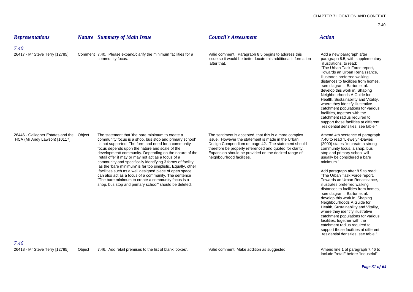| <b>Representations</b>                                                    |        | <b>Nature</b> Summary of Main Issue                                                                                                                                                                                                                                                                                                                                                                                                                                                                                                                                                                                                                                                               | <b>Council's Assessment</b>                                                                                                                                                                                                                                                                                        | <b>Action</b>                                                                                                                                                                                                                                                                                                                                                                                                                                                                                                                                                                                                                                                                                                                                                  |
|---------------------------------------------------------------------------|--------|---------------------------------------------------------------------------------------------------------------------------------------------------------------------------------------------------------------------------------------------------------------------------------------------------------------------------------------------------------------------------------------------------------------------------------------------------------------------------------------------------------------------------------------------------------------------------------------------------------------------------------------------------------------------------------------------------|--------------------------------------------------------------------------------------------------------------------------------------------------------------------------------------------------------------------------------------------------------------------------------------------------------------------|----------------------------------------------------------------------------------------------------------------------------------------------------------------------------------------------------------------------------------------------------------------------------------------------------------------------------------------------------------------------------------------------------------------------------------------------------------------------------------------------------------------------------------------------------------------------------------------------------------------------------------------------------------------------------------------------------------------------------------------------------------------|
| 7.40<br>26417 - Mr Steve Terry [12785]                                    |        | Comment 7.40. Please expand/clarify the minimum facilities for a<br>community focus.                                                                                                                                                                                                                                                                                                                                                                                                                                                                                                                                                                                                              | Valid comment. Paragraph 8.5 begins to address this<br>issue so it would be better locate this additional information<br>after that.                                                                                                                                                                               | Add a new paragraph after<br>paragraph 8.5, with supplementary<br>illustrations, to read:<br>"The Urban Task Force report,<br>Towards an Urban Renaissance,<br>illustrates preferred walking<br>distances to facilities from homes.<br>see diagram. Barton et al.<br>develop this work in, Shaping<br>Neighbourhoods A Guide for<br>Health, Sustainability and Vitality,<br>where they identify illustrative<br>catchment populations for various<br>facilities, together with the<br>catchment radius required to<br>support those facilities at different<br>residential densities, see table."                                                                                                                                                              |
| 26446 - Gallagher Estates and the<br>HCA (Mr Andy Lawson) [10117]<br>7.46 | Object | The statement that 'the bare minimum to create a<br>community focus is a shop, bus stop and primary school<br>is not supported. The form and need for a community<br>focus depends upon the nature and scale of the<br>development/ community. Depending on the nature of the<br>retail offer it may or may not act as a focus of a<br>community and specifically identifying 3 forms of facility<br>as the 'bare minimum' is far too simplistic. Equally, other<br>facilities such as a well designed piece of open space<br>can also act as a focus of a community. The sentence<br>"The bare minimum to create a community focus is a<br>shop, bus stop and primary school" should be deleted. | The sentiment is accepted, that this is a more complex<br>issue. However the statement is made in the Urban<br>Design Compendium on page 42. The statement should<br>therefore be properly referenced and quoted for clarity.<br>Expansion should be provided on the desired range of<br>neighbourhood facilities. | Amend 4th sentence of paragraph<br>7.40 to read "Llewelyn-Davies<br>(2000) states "to create a strong<br>community focus, a shop, bus<br>stop and primary school will<br>usually be considered a bare<br>minimum."<br>Add paragraph after 8.5 to read:<br>"The Urban Task Force report,<br>Towards an Urban Renaissance,<br>illustrates preferred walking<br>distances to facilities from homes.<br>see diagram. Barton et al.<br>develop this work in, Shaping<br>Neighbourhoods A Guide for<br>Health, Sustainability and Vitality,<br>where they identify illustrative<br>catchment populations for various<br>facilities, together with the<br>catchment radius required to<br>support those facilities at different<br>residential densities, see table." |
| 26418 - Mr Steve Terry [12785]                                            | Object | 7.46. Add retail premises to the list of blank 'boxes'.                                                                                                                                                                                                                                                                                                                                                                                                                                                                                                                                                                                                                                           | Valid comment. Make addition as suggested.                                                                                                                                                                                                                                                                         | Amend line 1 of paragraph 7.46 to<br>include "retail" before "industrial".                                                                                                                                                                                                                                                                                                                                                                                                                                                                                                                                                                                                                                                                                     |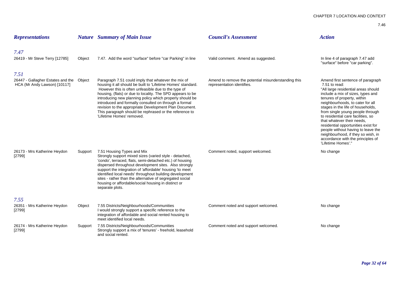| <b>Representations</b>                                                           |         | <b>Nature</b> Summary of Main Issue                                                                                                                                                                                                                                                                                                                                                                                                                                                                            | <b>Council's Assessment</b>                                                       | <b>Action</b>                                                                                                                                                                                                                                                                                                                                                                                                                                                                                                                  |
|----------------------------------------------------------------------------------|---------|----------------------------------------------------------------------------------------------------------------------------------------------------------------------------------------------------------------------------------------------------------------------------------------------------------------------------------------------------------------------------------------------------------------------------------------------------------------------------------------------------------------|-----------------------------------------------------------------------------------|--------------------------------------------------------------------------------------------------------------------------------------------------------------------------------------------------------------------------------------------------------------------------------------------------------------------------------------------------------------------------------------------------------------------------------------------------------------------------------------------------------------------------------|
| 7.47<br>26419 - Mr Steve Terry [12785]                                           | Object  | 7.47. Add the word "surface" before "car Parking" in line                                                                                                                                                                                                                                                                                                                                                                                                                                                      | Valid comment. Amend as suggested.                                                | In line 4 of paragraph 7.47 add<br>"surface" before "car parking".                                                                                                                                                                                                                                                                                                                                                                                                                                                             |
| 7.51<br>26447 - Gallagher Estates and the Object<br>HCA (Mr Andy Lawson) [10117] |         | Paragraph 7.51 could imply that whatever the mix of<br>housing it all should be built to 'Lifetime Homes' standard.<br>However this is often unfeasible due to the type of<br>housing, (flats) or due to locality. The SPD appears to be<br>introducing new planning policy which properly should be<br>introduced and formally consulted on through a formal<br>revision to the appropriate Development Plan Document.<br>This paragraph should be rephrased or the reference to<br>'Lifetime Homes' removed. | Amend to remove the potential misunderstanding this<br>representation identifies. | Amend first sentence of paragraph<br>$7.51$ to read:<br>"All large residential areas should<br>include a mix of sizes, types and<br>tenures of property, within<br>neighbourhoods, to cater for all<br>stages in the life of households,<br>from single young people through<br>to residential care facilities, so<br>that whatever their needs,<br>residential opportunities exist for<br>people without having to leave the<br>neighbourhood, if they so wish, in<br>accordance with the principles of<br>"Lifetime Homes'." |
| 26173 - Mrs Katherine Heydon<br>[2799]                                           | Support | 7.51 Housing Types and Mix<br>Strongly support mixed sizes (varied style - detached,<br>'condo', terraced, flats, semi-detached etc.) of housing<br>dispersed throughout development sites. Also strongly<br>support the integration of 'affordable' housing 'to meet<br>identified local needs' throughout building development<br>sites - rather than the alternative of segregated social<br>housing or affordable/social housing in distinct or<br>separate plots.                                         | Comment noted, support welcomed.                                                  | No change                                                                                                                                                                                                                                                                                                                                                                                                                                                                                                                      |
| 7.55<br>26351 - Mrs Katherine Heydon<br>[2799]                                   | Object  | 7.55 Districts/Neighbourhoods/Communities<br>I would strongly support a specific reference to the<br>integration of affordable and social rented housing to<br>meet identified local needs.                                                                                                                                                                                                                                                                                                                    | Comment noted and support welcomed.                                               | No change                                                                                                                                                                                                                                                                                                                                                                                                                                                                                                                      |
| 26174 - Mrs Katherine Heydon<br>[2799]                                           | Support | 7.55 Districts/Neighbourhoods/Communities<br>Strongly support a mix of 'tenures' - freehold, leasehold<br>and social rented.                                                                                                                                                                                                                                                                                                                                                                                   | Comment noted and support welcomed.                                               | No change                                                                                                                                                                                                                                                                                                                                                                                                                                                                                                                      |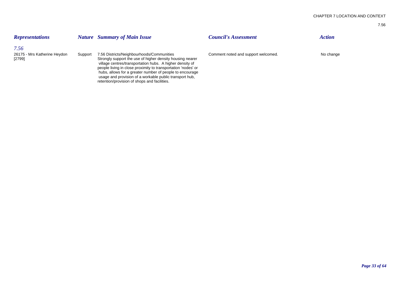| <b>Representations</b>                           |         | <b>Nature</b> Summary of Main Issue                                                                                                                                                                                                 | <b>Council's Assessment</b>         | <b>Action</b> |
|--------------------------------------------------|---------|-------------------------------------------------------------------------------------------------------------------------------------------------------------------------------------------------------------------------------------|-------------------------------------|---------------|
| 7.56<br>26175 - Mrs Katherine Heydon<br>$[2799]$ | Support | 7.56 Districts/Neighbourhoods/Communities<br>Strongly support the use of higher density housing nearer<br>village centres/transportation hubs. A higher density of<br>people living in close proximity to transportation 'nodes' or | Comment noted and support welcomed. | No change     |
|                                                  |         | hubs, allows for a greater number of people to encourage<br>usage and provision of a workable public transport hub,<br>retention/provision of shops and facilities.                                                                 |                                     |               |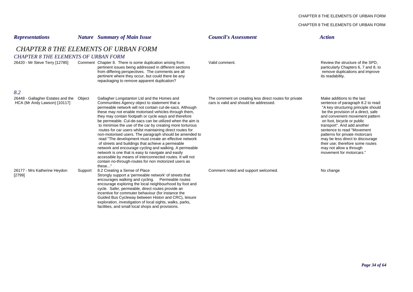#### CHAPTER 8 THE ELEMENTS OF URBAN FORM

### CHAPTER 8 THE ELEMENTS OF URBAN FORM

| <b>Representations</b>                                                   |                                                                                            | <b>Nature</b> Summary of Main Issue                                                                                                                                                                                                                                                                                                                                                                                                                                                                                                                                                                                                                                                                                                                                                                                                                                                        | <b>Council's Assessment</b>                                                                      | <b>Action</b>                                                                                                                                                                                                                                                                                                                                                                                                                                 |  |  |  |  |
|--------------------------------------------------------------------------|--------------------------------------------------------------------------------------------|--------------------------------------------------------------------------------------------------------------------------------------------------------------------------------------------------------------------------------------------------------------------------------------------------------------------------------------------------------------------------------------------------------------------------------------------------------------------------------------------------------------------------------------------------------------------------------------------------------------------------------------------------------------------------------------------------------------------------------------------------------------------------------------------------------------------------------------------------------------------------------------------|--------------------------------------------------------------------------------------------------|-----------------------------------------------------------------------------------------------------------------------------------------------------------------------------------------------------------------------------------------------------------------------------------------------------------------------------------------------------------------------------------------------------------------------------------------------|--|--|--|--|
|                                                                          | <b>CHAPTER 8 THE ELEMENTS OF URBAN FORM</b><br><b>CHAPTER 8 THE ELEMENTS OF URBAN FORM</b> |                                                                                                                                                                                                                                                                                                                                                                                                                                                                                                                                                                                                                                                                                                                                                                                                                                                                                            |                                                                                                  |                                                                                                                                                                                                                                                                                                                                                                                                                                               |  |  |  |  |
| 26420 - Mr Steve Terry [12785]                                           |                                                                                            | Comment Chapter 8. There is some duplication arising from<br>pertinent issues being addressed in different sections<br>from differing perspectives. The comments are all<br>pertinent where they occur, but could there be any<br>repackaging to remove apparent duplication?                                                                                                                                                                                                                                                                                                                                                                                                                                                                                                                                                                                                              | Valid comment.                                                                                   | Review the structure of the SPD.<br>particularly Chapters 6, 7 and 8, to<br>remove duplications and improve<br>its readability.                                                                                                                                                                                                                                                                                                               |  |  |  |  |
| 8.2                                                                      |                                                                                            |                                                                                                                                                                                                                                                                                                                                                                                                                                                                                                                                                                                                                                                                                                                                                                                                                                                                                            |                                                                                                  |                                                                                                                                                                                                                                                                                                                                                                                                                                               |  |  |  |  |
| 26448 - Gallagher Estates and the Object<br>HCA (Mr Andy Lawson) [10117] |                                                                                            | Gallagher Longstanton Ltd and the Homes and<br>Communities Agency object to statement that a<br>permeable network will not contain cul-de-sacs. Although<br>these may not enable motorised vehicles through them,<br>they may contain footpath or cycle ways and therefore<br>be permeable. Cul-de-sacs can be utilized when the aim is<br>to minimise the use of the car by creating more torturous<br>routes for car users whilst maintaining direct routes for<br>non-motorised users. The paragraph should be amended to<br>read "The development must create an effective network<br>of streets and buildings that achieve a permeable<br>network and encourage cycling and walking. A permeable<br>network is one that is easy to navigate and easily<br>accessible by means of interconnected routes. It will not<br>contain no-through-routes for non motorized users as<br>these" | The comment on creating less direct routes for private<br>cars is valid and should be addressed. | Make additions to the last<br>sentence of paragraph 8.2 to read:<br>"A key structuring principle should<br>be the provision of a direct, safe<br>and convenient movement pattern<br>on foot, bicycle or public<br>transport". And add another<br>sentence to read "Movement"<br>patterns for private motorcars<br>may be less direct to discourage<br>their use; therefore some routes<br>may not allow a through<br>movement for motorcars." |  |  |  |  |
| 26177 - Mrs Katherine Heydon<br>[2799]                                   | Support                                                                                    | 8.2 Creating a Sense of Place<br>Strongly support a 'permeable network' of streets that<br>encourages walking and cycling. Permeable routes<br>encourage exploring the local neighbourhood by foot and<br>cycle. Safer, permeable, direct routes provide an<br>incentive for commuter behaviour (for instance the<br>Guided Bus Cycleway between Histon and CRC), leisure<br>exploration, investigation of local sights, walks, parks,<br>facilities, and small local shops and provisions.                                                                                                                                                                                                                                                                                                                                                                                                | Comment noted and support welcomed.                                                              | No change                                                                                                                                                                                                                                                                                                                                                                                                                                     |  |  |  |  |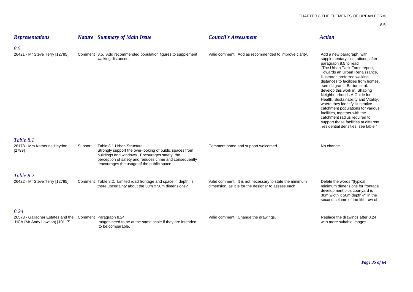| <b>Representations</b>                 |         | <b>Nature</b> Summary of Main Issue                                                                                                                                                                                                           | <b>Council's Assessment</b>                                                                                    | <b>Action</b>                                                                                                                                                                                                                                                                                                                                                                                                                                                                                                                                                                                    |
|----------------------------------------|---------|-----------------------------------------------------------------------------------------------------------------------------------------------------------------------------------------------------------------------------------------------|----------------------------------------------------------------------------------------------------------------|--------------------------------------------------------------------------------------------------------------------------------------------------------------------------------------------------------------------------------------------------------------------------------------------------------------------------------------------------------------------------------------------------------------------------------------------------------------------------------------------------------------------------------------------------------------------------------------------------|
| 8.5                                    |         |                                                                                                                                                                                                                                               |                                                                                                                |                                                                                                                                                                                                                                                                                                                                                                                                                                                                                                                                                                                                  |
| 26421 - Mr Steve Terry [12785]         |         | Comment 8.5. Add recommended population figures to supplement<br>walking distances.                                                                                                                                                           | Valid comment. Add as recommended to improve clarity.                                                          | Add a new paragraph, with<br>supplementary illustrations, after<br>paragraph 8.5 to read<br>"The Urban Task Force report,<br>Towards an Urban Renaissance,<br>illustrates preferred walking<br>distances to facilities from homes.<br>see diagram. Barton et al.<br>develop this work in, Shaping<br>Neighbourhoods A Guide for<br>Health, Sustainability and Vitality,<br>where they identify illustrative<br>catchment populations for various<br>facilities, together with the<br>catchment radius required to<br>support those facilities at different<br>residential densities, see table." |
| Table 8.1                              |         |                                                                                                                                                                                                                                               |                                                                                                                |                                                                                                                                                                                                                                                                                                                                                                                                                                                                                                                                                                                                  |
| 26178 - Mrs Katherine Heydon<br>[2799] | Support | Table 8.1 Urban Structure<br>Strongly support the over-looking of public spaces from<br>buildings and windows. Encourages safety, the<br>perception of safety and reduces crime and consequently<br>encourages the usage of the public space. | Comment noted and support welcomed.                                                                            | No change                                                                                                                                                                                                                                                                                                                                                                                                                                                                                                                                                                                        |
| Table 8.2                              |         |                                                                                                                                                                                                                                               |                                                                                                                |                                                                                                                                                                                                                                                                                                                                                                                                                                                                                                                                                                                                  |
| 26422 - Mr Steve Terry [12785]         |         | Comment Table 8.2. Limited road frontage and space in depth: is<br>there uncertainty about the 30m x 50m dimensions?                                                                                                                          | Valid comment. It is not necessary to state the minimum<br>dimension, as it is for the designer to assess each | Delete the words "(typical<br>minimum dimensions for frontage<br>development plus courtyard is<br>30m width x 50m depth)?" in the<br>second column of the fifth row of                                                                                                                                                                                                                                                                                                                                                                                                                           |

### *8.24*

26573 - Gallagher Estates and the Comment Paragraph 8.24 Valid comment. Change the drawings. Replace the drawings after 8.24 Valid comment. Change the drawings.<br>HCA (Mr Andy Lawson) [10117] Images need to be at the same sc Images need to be at the same scale if they are intended to be comparable.

*Page 35 of 64*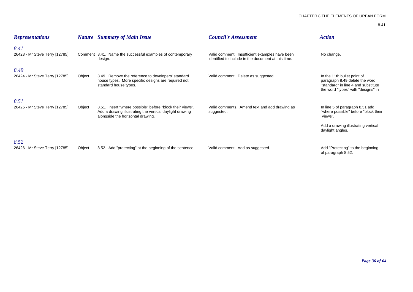| <b>Representations</b>                 |        | <b>Nature</b> Summary of Main Issue                                                                                                                        | <b>Council's Assessment</b>                                                                           | <b>Action</b>                                                                                                                                 |
|----------------------------------------|--------|------------------------------------------------------------------------------------------------------------------------------------------------------------|-------------------------------------------------------------------------------------------------------|-----------------------------------------------------------------------------------------------------------------------------------------------|
| 8.41<br>26423 - Mr Steve Terry [12785] |        | Comment 8.41. Name the successful examples of contemporary<br>design.                                                                                      | Valid comment. Insufficient examples have been<br>identified to include in the document at this time. | No change.                                                                                                                                    |
| 8.49<br>26424 - Mr Steve Terry [12785] | Object | 8.49. Remove the reference to developers' standard<br>house types. More specific designs are required not<br>standard house types.                         | Valid comment. Delete as suggested.                                                                   | In the 11th bullet point of<br>paragraph 8.49 delete the word<br>"standard" in line 4 and substitute<br>the word "types" with "designs" in    |
| 8.51<br>26425 - Mr Steve Terry [12785] | Object | 8.51. Insert "where possible" before "block their views".<br>Add a drawing illustrating the vertical daylight drawing<br>alongside the horizontal drawing. | Valid comments. Amend text and add drawing as<br>suggested.                                           | In line 5 of paragraph 8.51 add<br>"where possible" before "block their<br>views".<br>Add a drawing illustrating vertical<br>daylight angles. |
| 8.52<br>26426 - Mr Steve Terry [12785] | Object | 8.52. Add "protecting" at the beginning of the sentence.                                                                                                   | Valid comment. Add as suggested.                                                                      | Add "Protecting" to the beginning<br>of paragraph 8.52.                                                                                       |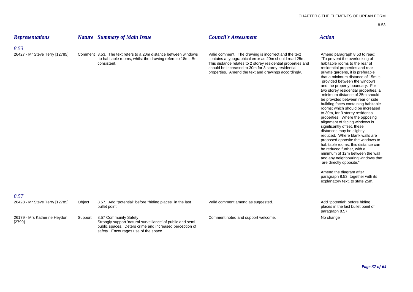| <b>Representations</b>                 |         | <b>Nature</b> Summary of Main Issue                                                                                                        | <b>Council's Assessment</b>                                                                                                                                                                                                                                                                   | <b>Action</b>                                                                                                                                                                                                                                                                                                                                                                                                                                                                                                                                                                                                                                                                                                                                                                                                                                                                                                                                                                                 |
|----------------------------------------|---------|--------------------------------------------------------------------------------------------------------------------------------------------|-----------------------------------------------------------------------------------------------------------------------------------------------------------------------------------------------------------------------------------------------------------------------------------------------|-----------------------------------------------------------------------------------------------------------------------------------------------------------------------------------------------------------------------------------------------------------------------------------------------------------------------------------------------------------------------------------------------------------------------------------------------------------------------------------------------------------------------------------------------------------------------------------------------------------------------------------------------------------------------------------------------------------------------------------------------------------------------------------------------------------------------------------------------------------------------------------------------------------------------------------------------------------------------------------------------|
| 8.53<br>26427 - Mr Steve Terry [12785] |         | Comment 8.53. The text refers to a 20m distance between windows<br>to habitable rooms, whilst the drawing refers to 18m. Be<br>consistent. | Valid comment. The drawing is incorrect and the text<br>contains a typographical error as 20m should read 25m.<br>This distance relates to 2 storey residential properties and<br>should be increased to 30m for 3 storey residential<br>properties. Amend the text and drawings accordingly. | Amend paragraph 8.53 to read:<br>"To prevent the overlooking of<br>habitable rooms to the rear of<br>residential properties and rear<br>private gardens, it is preferable<br>that a minimum distance of 15m is<br>provided between the windows<br>and the property boundary. For<br>two storey residential properties, a<br>minimum distance of 25m should<br>be provided between rear or side<br>building faces containing habitable<br>rooms; which should be increased<br>to 30m, for 3 storey residential<br>properties. Where the opposing<br>alignment of facing windows is<br>significantly offset, these<br>distances may be slightly<br>reduced. Where blank walls are<br>proposed opposite the windows to<br>habitable rooms, this distance can<br>be reduced further, with a<br>minimum of 12m between the wall<br>and any neighbouring windows that<br>are directly opposite."<br>Amend the diagram after<br>paragraph 8.53, together with its<br>explanatory text, to state 25m. |
| 8.57<br>26428 - Mr Steve Terry [12785] | Object  | 8.57. Add "potential" before "hiding places" in the last<br>bullet point.                                                                  | Valid comment amend as suggested.                                                                                                                                                                                                                                                             | Add "potential" before hiding<br>places in the last bullet point of<br>paragraph 8.57.                                                                                                                                                                                                                                                                                                                                                                                                                                                                                                                                                                                                                                                                                                                                                                                                                                                                                                        |
| 26179 - Mrs Katherine Heydon           | Support | 8.57 Community Safety                                                                                                                      | Comment noted and support welcome.                                                                                                                                                                                                                                                            | No change                                                                                                                                                                                                                                                                                                                                                                                                                                                                                                                                                                                                                                                                                                                                                                                                                                                                                                                                                                                     |

[2799] Strongly support 'natural surveillance' of public and semi

public spaces. Deters crime and increased perception of

safety. Encourages use of the space.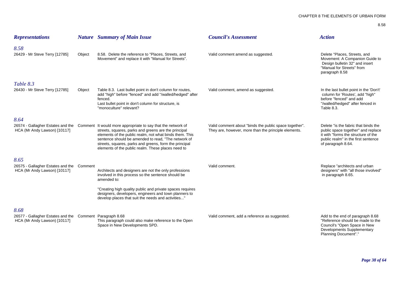| <b>Representations</b>                                                                           |        | <b>Nature</b> Summary of Main Issue                                                                                                                                                                                                                                                                                                                                                      | <b>Council's Assessment</b>                                                                                    | <b>Action</b>                                                                                                                                                                  |
|--------------------------------------------------------------------------------------------------|--------|------------------------------------------------------------------------------------------------------------------------------------------------------------------------------------------------------------------------------------------------------------------------------------------------------------------------------------------------------------------------------------------|----------------------------------------------------------------------------------------------------------------|--------------------------------------------------------------------------------------------------------------------------------------------------------------------------------|
| 8.58<br>26429 - Mr Steve Terry [12785]                                                           | Object | 8.58. Delete the reference to "Places, Streets, and<br>Movement" and replace it with "Manual for Streets".                                                                                                                                                                                                                                                                               | Valid comment amend as suggested.                                                                              | Delete "Places, Streets, and<br>Movement: A Companion Guide to<br>Design bulletin 32" and insert<br>"Manual for Streets" from<br>paragraph 8.58                                |
| Table 8.3<br>26430 - Mr Steve Terry [12785]                                                      | Object | Table 8.3. Last bullet point in don't column for routes,<br>add "high" before "fenced" and add "/walled/hedged" after<br>fenced.<br>Last bullet point in don't column for structure, is<br>"monoculture" relevant?                                                                                                                                                                       | Valid comment, amend as suggested.                                                                             | In the last bullet point in the 'Don't'<br>column for 'Routes', add "high"<br>before "fenced" and add<br>"/walled/hedged" after fenced in<br>Table 8.3.                        |
| 8.64<br>HCA (Mr Andy Lawson) [10117]                                                             |        | 26574 - Gallagher Estates and the Comment It would more appropriate to say that the network of<br>streets, squares, parks and greens are the principal<br>elements of the public realm, not what binds them. This<br>sentence should be amended to read, "The network of<br>streets, squares, parks and greens, form the principal<br>elements of the public realm. These places need to | Valid comment about "binds the public space together".<br>They are, however, more than the principle elements. | Delete "is the fabric that binds the<br>public space together" and replace<br>it with "forms the structure of the<br>public realm" in the first sentence<br>of paragraph 8.64. |
| 8.65<br>26575 - Gallagher Estates and the Comment<br>HCA (Mr Andy Lawson) [10117]                |        | Architects and designers are not the only professions<br>involved in this process so the sentence should be<br>amended to:<br>"Creating high quality public and private spaces requires<br>designers, developers, engineers and town planners to<br>develop places that suit the needs and activities'                                                                                   | Valid comment.                                                                                                 | Replace "architects and urban<br>designers" with "all those involved"<br>in paragraph 8.65.                                                                                    |
| 8.68<br>26577 - Gallagher Estates and the Comment Paragraph 8.68<br>HCA (Mr Andy Lawson) [10117] |        | This paragraph could also make reference to the Open<br>Space in New Developments SPD.                                                                                                                                                                                                                                                                                                   | Valid comment, add a reference as suggested.                                                                   | Add to the end of paragraph 8.68<br>"Reference should be made to the<br>Council's "Open Space in New<br>Developments Supplementary                                             |

Planning Document"."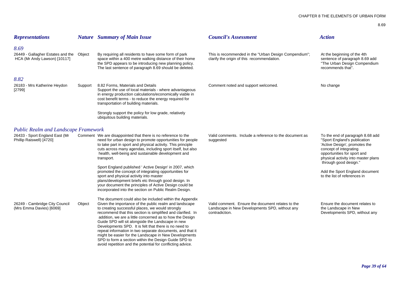| <b>Representations</b>                                                                                    |         | <b>Nature</b> Summary of Main Issue                                                                                                                                                                                                                                                                                                                                                                                                                                                                                                                                                                                                                                                                                 | <b>Council's Assessment</b>                                                                                           | <b>Action</b>                                                                                                                                                                                                                                                                                |
|-----------------------------------------------------------------------------------------------------------|---------|---------------------------------------------------------------------------------------------------------------------------------------------------------------------------------------------------------------------------------------------------------------------------------------------------------------------------------------------------------------------------------------------------------------------------------------------------------------------------------------------------------------------------------------------------------------------------------------------------------------------------------------------------------------------------------------------------------------------|-----------------------------------------------------------------------------------------------------------------------|----------------------------------------------------------------------------------------------------------------------------------------------------------------------------------------------------------------------------------------------------------------------------------------------|
| 8.69<br>26449 - Gallagher Estates and the Object<br>HCA (Mr Andy Lawson) [10117]                          |         | By requiring all residents to have some form of park<br>space within a 400 metre walking distance of their home<br>the SPD appears to be introducing new planning policy.<br>The last sentence of paragraph 8.69 should be deleted.                                                                                                                                                                                                                                                                                                                                                                                                                                                                                 | This is recommended in the "Urban Design Compendium";<br>clarify the origin of this recommendation.                   | At the beginning of the 4th<br>sentence of paragraph 8.69 add<br>"The Urban Design Compendium<br>recommends that".                                                                                                                                                                           |
| 8.82<br>26183 - Mrs Katherine Heydon<br>[2799]                                                            | Support | 8.82 Forms, Materials and Details<br>Support the use of local materials - where advantageous<br>in energy production calculations/economically viable in<br>cost benefit terms - to reduce the energy required for<br>transportation of building materials.<br>Strongly support the policy for low grade, relatively<br>ubiquitous building materials.                                                                                                                                                                                                                                                                                                                                                              | Comment noted and support welcomed.                                                                                   | No change                                                                                                                                                                                                                                                                                    |
| <b>Public Realm and Landscape Framework</b><br>26433 - Sport England East (Mr<br>Phillip Raiswell) [4720] |         | Comment We are disappointed that there is no reference to the<br>need for urban design to promote opportunities for people<br>to take part in sport and physical activity. This principle<br>cuts across many agendas, including sport itself, but also<br>health, well-being and sustainable development and<br>transport.<br>Sport England published ' Active Design' in 2007, which<br>promoted the concept of integrating opportunities for<br>sport and physical activity into master<br>plans/development briefs etc through good design. In<br>your document the principles of Active Design could be                                                                                                        | Valid comments. Include a reference to the document as<br>suggested                                                   | To the end of paragraph 8.68 add<br>"Sport England's publication<br>'Active Design', promotes the<br>concept of integrating<br>opportunities for sport and<br>physical activity into master plans<br>through good design."<br>Add the Sport England document<br>to the list of references in |
| 26249 - Cambridge City Council<br>(Mrs Emma Davies) [6069]                                                | Object  | incorporated into the section on Public Realm Design.<br>The document could also be included within the Appendix<br>Given the importance of the public realm and landscape<br>to creating successful places, we would strongly<br>recommend that this section is simplified and clarified. In<br>addition, we are a little concerned as to how the Design<br>Guide SPD will sit alongside the Landscape in new<br>Developments SPD. It is felt that there is no need to<br>repeat information in two separate documents, and that it<br>might be easier for the Landscape in New Developments<br>SPD to form a section within the Design Guide SPD to<br>avoid repetition and the potential for conflicting advice. | Valid comment. Ensure the document relates to the<br>Landscape in New Developments SPD, without any<br>contradiction. | Ensure the document relates to<br>the Landscape in New<br>Developments SPD, without any                                                                                                                                                                                                      |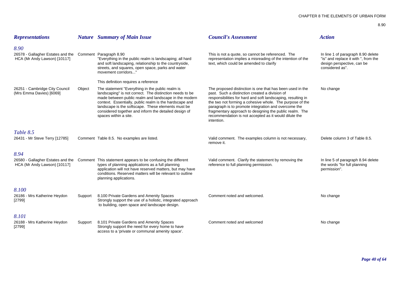| <b>Representations</b>                                                                           |         | <b>Nature</b> Summary of Main Issue                                                                                                                                                                                                                                                                                                                                                                              | <b>Council's Assessment</b>                                                                                                                                                                                                                                                                                                                                                                                                       | <b>Action</b>                                                                                                               |
|--------------------------------------------------------------------------------------------------|---------|------------------------------------------------------------------------------------------------------------------------------------------------------------------------------------------------------------------------------------------------------------------------------------------------------------------------------------------------------------------------------------------------------------------|-----------------------------------------------------------------------------------------------------------------------------------------------------------------------------------------------------------------------------------------------------------------------------------------------------------------------------------------------------------------------------------------------------------------------------------|-----------------------------------------------------------------------------------------------------------------------------|
| 8.90<br>26578 - Gallagher Estates and the Comment Paragraph 8.90<br>HCA (Mr Andy Lawson) [10117] |         | "Everything in the public realm is landscaping; all hard<br>and soft landscaping, relationship to the countryside,<br>streets, and squares, open space, parks and water<br>movement corridors"                                                                                                                                                                                                                   | This is not a quote, so cannot be referenced. The<br>representation implies a misreading of the intention of the<br>text, which could be amended to clarify                                                                                                                                                                                                                                                                       | In line 1 of paragraph 8.90 delete<br>"is" and replace it with ", from the<br>design perspective, can be<br>considered as". |
| 26251 - Cambridge City Council<br>(Mrs Emma Davies) [6069]                                       | Object  | This definition requires a reference<br>The statement "Everything in the public realm is<br>landscaping" is not correct. The distinction needs to be<br>made between public realm and landscape in the modern<br>context. Essentially, public realm is the hardscape and<br>landscape is the softscape. These elements must be<br>considered together and inform the detailed design of<br>spaces within a site. | The proposed distinction is one that has been used in the<br>past. Such a distinction created a division of<br>responsibilities for hard and soft landscaping, resulting in<br>the two not forming a cohesive whole. The purpose of the<br>paragraph is to promote integration and overcome the<br>fragmentary approach to designing the public realm. The<br>recommendation is not accepted as it would dilute the<br>intention. | No change                                                                                                                   |
| Table 8.5<br>26431 - Mr Steve Terry [12785]                                                      |         | Comment Table 8.5. No examples are listed.                                                                                                                                                                                                                                                                                                                                                                       | Valid comment. The examples column is not necessary,<br>remove it.                                                                                                                                                                                                                                                                                                                                                                | Delete column 3 of Table 8.5.                                                                                               |
| 8.94<br>26580 - Gallagher Estates and the<br>HCA (Mr Andy Lawson) [10117]                        |         | Comment This statement appears to be confusing the different<br>types of planning applications as a full planning<br>application will not have reserved matters, but may have<br>conditions. Reserved matters will be relevant to outline<br>planning applications.                                                                                                                                              | Valid comment. Clarify the statement by removing the<br>reference to full planning permission.                                                                                                                                                                                                                                                                                                                                    | In line 5 of paragraph 8.94 delete<br>the words "for full planning<br>permission".                                          |
| 8.100<br>26186 - Mrs Katherine Heydon<br>[2799]                                                  | Support | 8.100 Private Gardens and Amenity Spaces<br>Strongly support the use of a holistic, integrated approach<br>to building, open space and landscape design.                                                                                                                                                                                                                                                         | Comment noted and welcomed.                                                                                                                                                                                                                                                                                                                                                                                                       | No change                                                                                                                   |
| 8.101<br>26188 - Mrs Katherine Heydon<br>[2799]                                                  | Support | 8.101 Private Gardens and Amenity Spaces<br>Strongly support the need for every home to have<br>access to a 'private or communal amenity space'.                                                                                                                                                                                                                                                                 | Comment noted and welcomed                                                                                                                                                                                                                                                                                                                                                                                                        | No change                                                                                                                   |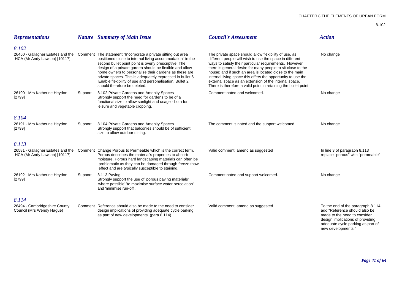| <b>Representations</b>                                     |         | <b>Nature</b> Summary of Main Issue                                                                                                                                                                                                                                                                                                                                                                                                                                                               | <b>Council's Assessment</b>                                                                                                                                                                                                                                                                                                                                                                                                                                                                       | <b>Action</b>                                                                                                                                                                                     |
|------------------------------------------------------------|---------|---------------------------------------------------------------------------------------------------------------------------------------------------------------------------------------------------------------------------------------------------------------------------------------------------------------------------------------------------------------------------------------------------------------------------------------------------------------------------------------------------|---------------------------------------------------------------------------------------------------------------------------------------------------------------------------------------------------------------------------------------------------------------------------------------------------------------------------------------------------------------------------------------------------------------------------------------------------------------------------------------------------|---------------------------------------------------------------------------------------------------------------------------------------------------------------------------------------------------|
| 8.102                                                      |         |                                                                                                                                                                                                                                                                                                                                                                                                                                                                                                   |                                                                                                                                                                                                                                                                                                                                                                                                                                                                                                   |                                                                                                                                                                                                   |
| HCA (Mr Andy Lawson) [10117]                               |         | 26450 - Gallagher Estates and the Comment The statement "Incorporate a private sitting out area<br>positioned close to internal living accommodation" in the<br>second bullet point point is overly prescriptive. The<br>design of a private garden should be flexible and allow<br>home owners to personalise their gardens as these are<br>private spaces. This is adequately expressed in bullet 6<br>'Enable flexibility of use and personalisation. Bullet 2<br>should therefore be deleted. | The private space should allow flexibility of use, as<br>different people will wish to use the space in different<br>ways to satisfy their particular requirements. However<br>there is general desire for many people to sit close to the<br>house; and if such an area is located close to the main<br>internal living space this offers the opportunity to use the<br>external space as an extension of the internal space.<br>There is therefore a valid point in retaining the bullet point. | No change                                                                                                                                                                                         |
| 26190 - Mrs Katherine Heydon<br>[2799]                     | Support | 8.102 Private Gardens and Amenity Spaces<br>Strongly support the need for gardens to be of a<br>functional size to allow sunlight and usage - both for<br>leisure and vegetable cropping.                                                                                                                                                                                                                                                                                                         | Comment noted and welcomed.                                                                                                                                                                                                                                                                                                                                                                                                                                                                       | No change                                                                                                                                                                                         |
| 8.104                                                      |         |                                                                                                                                                                                                                                                                                                                                                                                                                                                                                                   |                                                                                                                                                                                                                                                                                                                                                                                                                                                                                                   |                                                                                                                                                                                                   |
| 26191 - Mrs Katherine Heydon<br>[2799]                     | Support | 8.104 Private Gardens and Amenity Spaces<br>Strongly support that balconies should be of sufficient<br>size to allow outdoor dining.                                                                                                                                                                                                                                                                                                                                                              | The comment is noted and the support welcomed.                                                                                                                                                                                                                                                                                                                                                                                                                                                    | No change                                                                                                                                                                                         |
| 8.113                                                      |         |                                                                                                                                                                                                                                                                                                                                                                                                                                                                                                   |                                                                                                                                                                                                                                                                                                                                                                                                                                                                                                   |                                                                                                                                                                                                   |
| HCA (Mr Andy Lawson) [10117]                               |         | 26581 - Gallagher Estates and the Comment Change Porous to Permeable which is the correct term.<br>Porous describes the material's properties to absorb<br>moisture. Porous hard landscaping materials can often be<br>problematic as they can be damaged through freeze thaw<br>effect and are typically susceptible to staining.                                                                                                                                                                | Valid comment, amend as suggested                                                                                                                                                                                                                                                                                                                                                                                                                                                                 | In line 3 of paragraph 8.113<br>replace "porous" with "permeable"                                                                                                                                 |
| 26192 - Mrs Katherine Heydon<br>[2799]                     | Support | 8.113 Paving<br>Strongly support the use of 'porous paving materials'<br>'where possible' 'to maximise surface water percolation'<br>and 'minimise run-off'.                                                                                                                                                                                                                                                                                                                                      | Comment noted and support welcomed.                                                                                                                                                                                                                                                                                                                                                                                                                                                               | No change                                                                                                                                                                                         |
| 8.114                                                      |         |                                                                                                                                                                                                                                                                                                                                                                                                                                                                                                   |                                                                                                                                                                                                                                                                                                                                                                                                                                                                                                   |                                                                                                                                                                                                   |
| 26494 - Cambridgeshire County<br>Council (Mrs Wendy Haque) |         | Comment Reference should also be made to the need to consider<br>design implications of providing adequate cycle parking<br>as part of new developments. (para 8.114).                                                                                                                                                                                                                                                                                                                            | Valid comment, amend as suggested.                                                                                                                                                                                                                                                                                                                                                                                                                                                                | To the end of the paragraph 8.114<br>add "Reference should also be<br>made to the need to consider<br>design implications of providing<br>adequate cycle parking as part of<br>new developments." |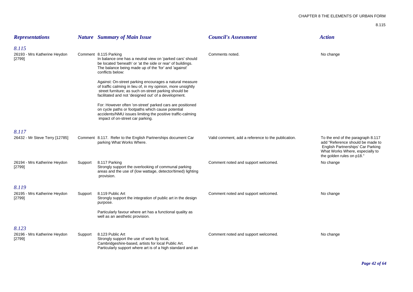| <b>Representations</b>                          |         | <b>Nature</b> Summary of Main Issue                                                                                                                                                                                                      | <b>Council's Assessment</b>                        | <b>Action</b>                                                                                                                                                              |
|-------------------------------------------------|---------|------------------------------------------------------------------------------------------------------------------------------------------------------------------------------------------------------------------------------------------|----------------------------------------------------|----------------------------------------------------------------------------------------------------------------------------------------------------------------------------|
| 8.115<br>26193 - Mrs Katherine Heydon<br>[2799] |         | Comment 8.115 Parking<br>In balance one has a neutral view on 'parked cars' should<br>be located 'beneath' or 'at the side or rear' of buildings.<br>The balance being made up of the 'for' and 'against'<br>conflicts below:            | Comments noted.                                    | No change                                                                                                                                                                  |
|                                                 |         | Against: On-street parking encourages a natural measure<br>of traffic calming in lieu of, in my opinion, more unsightly<br>street furniture; as such on-street parking should be<br>facilitated and not 'designed out' of a development. |                                                    |                                                                                                                                                                            |
|                                                 |         | For: However often 'on-street' parked cars are positioned<br>on cycle paths or footpaths which cause potential<br>accidents/NMU issues limiting the positive traffic-calming<br>impact of on-street car parking.                         |                                                    |                                                                                                                                                                            |
| 8.117<br>26432 - Mr Steve Terry [12785]         |         | Comment 8.117. Refer to the English Partnerships document Car<br>parking What Works Where.                                                                                                                                               | Valid comment, add a reference to the publication. | To the end of the paragraph 8.117<br>add "Reference should be made to<br>English Partnerships' Car Parking<br>What Works Where, especially to<br>the golden rules on p18." |
| 26194 - Mrs Katherine Heydon<br>[2799]          | Support | 8.117 Parking<br>Strongly support the overlooking of communal parking<br>areas and the use of (low wattage, detector/timed) lighting<br>provision.                                                                                       | Comment noted and support welcomed.                | No change                                                                                                                                                                  |
| 8.119<br>26195 - Mrs Katherine Heydon<br>[2799] | Support | 8.119 Public Art<br>Strongly support the integration of public art in the design<br>purpose.                                                                                                                                             | Comment noted and support welcomed.                | No change                                                                                                                                                                  |
|                                                 |         | Particularly favour where art has a functional quality as<br>well as an aesthetic provision.                                                                                                                                             |                                                    |                                                                                                                                                                            |
| 8.123<br>26196 - Mrs Katherine Heydon<br>[2799] | Support | 8.123 Public Art<br>Strongly support the use of work by local,<br>Cambridgeshire-based, artists for local Public Art.<br>Particularly support where art is of a high standard and an                                                     | Comment noted and support welcomed.                | No change                                                                                                                                                                  |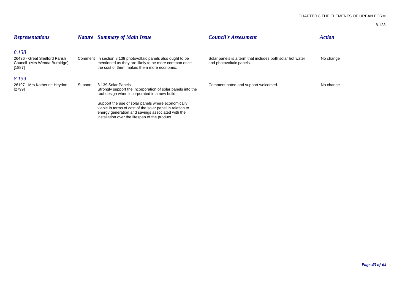| <b>Representations</b>                                                           |         | <b>Nature</b> Summary of Main Issue                                                                                                                                                                                    | <b>Council's Assessment</b>                                                           | <b>Action</b> |
|----------------------------------------------------------------------------------|---------|------------------------------------------------------------------------------------------------------------------------------------------------------------------------------------------------------------------------|---------------------------------------------------------------------------------------|---------------|
| 8.138<br>26436 - Great Shelford Parish<br>Council (Mrs Wenda Burbidge)<br>[1887] |         | Comment In section 8.138 photovoltaic panels also ought to be<br>mentioned as they are likely to be more common once<br>the cost of them makes them more economic.                                                     | Solar panels is a term that includes both solar hot water<br>and photovoltaic panels. | No change     |
| 8.139<br>26197 - Mrs Katherine Heydon<br>[2799]                                  | Support | 8.139 Solar Panels<br>Strongly support the incorporation of solar panels into the<br>roof design when incorporated in a new build.                                                                                     | Comment noted and support welcomed.                                                   | No change     |
|                                                                                  |         | Support the use of solar panels where economically<br>viable in terms of cost of the solar panel in relation to<br>energy generation and savings associated with the<br>installation over the lifespan of the product. |                                                                                       |               |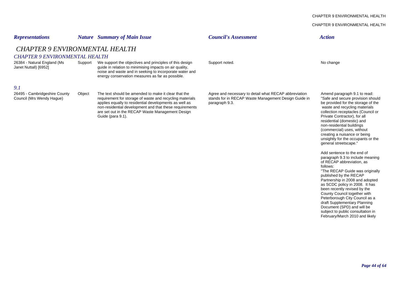# CHAPTER 9 ENVIRONMENTAL HEALTH*Representations Nature Summary of Main Issue Council's Assessment Action CHAPTER 9 ENVIRONMENTAL HEALTHCHAPTER 9 ENVIRONMENTAL HEALTH*26384 - Natural England (Ms Support We support the objectives and principles of this design Support noted.<br>
Janet Nuttall) [6952] Support of the relation to minimising impacts on air quality, guide in relation to minimising impacts on air quality, noise and waste and in seeking to incorporate water and energy conservation measures as far as possible. *9.1*26495 - Cambridgeshire County Object The text should be amended to make it clear that the Agree and necessary to detail what RECAP abbreviation Amend paragraph 9.1 to read: Council (Mrs Wendy Hague) requirement for storage of waste and recycling materials stands for in RECAP Waste Management Design Guide in "Safe and secure provision should<br>applies equally to residential developments as well applies equally to residential developments as well as non-residential development and that these requirements and recycling materials waste and recycling materials<br>are set out in the RECAP Waste Management Design and recycling materials collection receptacles (Council or are set out in the RECAP Waste Management Design Guide (para 9.1). **Exercía e Seu algo de Seu algo de Seu algo de Seu algo de Seu algo de Private Contractor), for all** residential (domestic) and non-residential buildings (commercial) uses, without creating a nuisance or being unsightly for the occupants or the general streetscape." Add sentence to the end of paragraph 9.3 to include meaning

of RECAP abbreviation, as follows:"The RECAP Guide was originally published by the RECAP Partnership in 2008 and adopted as SCDC policy in 2008. It has been recently revised by the County Council together with Peterborough City Council as a draft Supplementary Planning Document (SPD) and will be subject to public consultation in February/March 2010 and likely

CHAPTER 9 ENVIRONMENTAL HEALTH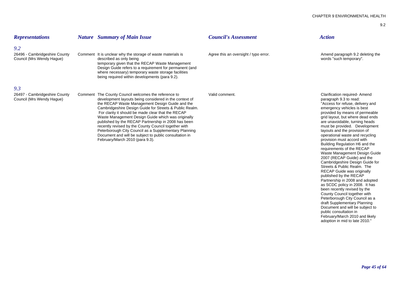been recently revised by the County Council together with Peterborough City Council as a draft Supplementary Planning Document and will be subject to

February/March 2010 and likely adoption in mid to late 2010."

public consultation in

| <b>Representations</b>                                            | <b>Nature</b> Summary of Main Issue                                                                                                                                                                                                                                                                                                                                                                                                                                                                                                                                                                           | <b>Council's Assessment</b>           | <b>Action</b>                                                                                                                                                                                                                                                                                                                                                                                                                                                                                                                                                                                                                                                                                           |
|-------------------------------------------------------------------|---------------------------------------------------------------------------------------------------------------------------------------------------------------------------------------------------------------------------------------------------------------------------------------------------------------------------------------------------------------------------------------------------------------------------------------------------------------------------------------------------------------------------------------------------------------------------------------------------------------|---------------------------------------|---------------------------------------------------------------------------------------------------------------------------------------------------------------------------------------------------------------------------------------------------------------------------------------------------------------------------------------------------------------------------------------------------------------------------------------------------------------------------------------------------------------------------------------------------------------------------------------------------------------------------------------------------------------------------------------------------------|
| 9.2<br>26496 - Cambridgeshire County<br>Council (Mrs Wendy Hague) | Comment It is unclear why the storage of waste materials is<br>described as only being<br>temporary given that the RECAP Waste Management<br>Design Guide refers to a requirement for permanent (and<br>where necessary) temporary waste storage facilities<br>being required within developments (para 9.2).                                                                                                                                                                                                                                                                                                 | Agree this an oversight / typo error. | Amend paragraph 9.2 deleting the<br>words "such temporary".                                                                                                                                                                                                                                                                                                                                                                                                                                                                                                                                                                                                                                             |
| 9.3                                                               |                                                                                                                                                                                                                                                                                                                                                                                                                                                                                                                                                                                                               |                                       |                                                                                                                                                                                                                                                                                                                                                                                                                                                                                                                                                                                                                                                                                                         |
| 26497 - Cambridgeshire County<br>Council (Mrs Wendy Haque)        | Comment The County Council welcomes the reference to<br>development layouts being considered in the context of<br>the RECAP Waste Management Design Guide and the<br>Cambridgeshire Design Guide for Streets & Public Realm.<br>For clarity it should be made clear that the RECAP<br>Waste Management Design Guide which was originally<br>published by the RECAP Partnership in 2008 has been<br>recently revised by the County Council together with<br>Peterborough City Council as a Supplementary Planning<br>Document and will be subject to public consultation in<br>February/March 2010 (para 9.3). | Valid comment.                        | <b>Clarification required- Amend</b><br>paragraph 9.3 to read:<br>"Access for refuse, delivery and<br>emergency vehicles is best<br>provided by means of permeable<br>grid layout, but where dead ends<br>are unavoidable, turning heads<br>must be provided. Development<br>layouts and the provision of<br>operational waste and recycling<br>provision must accord with<br>Building Regulation H6 and the<br>requirements of the RECAP<br>Waste Management Design Guide<br>2007 (RECAP Guide) and the<br>Cambridgeshire Design Guide for<br>Streets & Public Realm. The<br>RECAP Guide was originally<br>published by the RECAP<br>Partnership in 2008 and adopted<br>as SCDC policy in 2008. It has |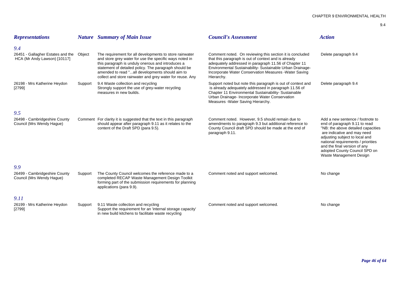| <b>Representations</b>                                                          |         | <b>Nature</b> Summary of Main Issue                                                                                                                                                                                                                                                                                                              | <b>Council's Assessment</b>                                                                                                                                                                                                                                                                                    | <b>Action</b>                                                                                                                                                                                                                                                                                              |
|---------------------------------------------------------------------------------|---------|--------------------------------------------------------------------------------------------------------------------------------------------------------------------------------------------------------------------------------------------------------------------------------------------------------------------------------------------------|----------------------------------------------------------------------------------------------------------------------------------------------------------------------------------------------------------------------------------------------------------------------------------------------------------------|------------------------------------------------------------------------------------------------------------------------------------------------------------------------------------------------------------------------------------------------------------------------------------------------------------|
| 9.4<br>26451 - Gallagher Estates and the Object<br>HCA (Mr Andy Lawson) [10117] |         | The requirement for all developments to store rainwater<br>and store grey water for use the specific ways noted in<br>this paragraph is unduly onerous and introduces a<br>statement of detailed policy. The paragraph should be<br>amended to read "all developments should aim to<br>collect and store rainwater and grey water for reuse. Any | Comment noted. On reviewing this section it is concluded<br>that this paragraph is out of context and is already<br>adequately addressed in paragraph 11.56 of Chapter 11<br>Environmental Sustainability- Sustainable Urban Drainage-<br>Incorporate Water Conservation Measures - Water Saving<br>Hierarchy. | Delete paragraph 9.4                                                                                                                                                                                                                                                                                       |
| 26198 - Mrs Katherine Heydon<br>[2799]                                          | Support | 9.4 Waste collection and recycling<br>Strongly support the use of grey-water recycling<br>measures in new builds.                                                                                                                                                                                                                                | Support noted but note this paragraph is out of context and<br>is already adequately addressed in paragraph 11.56 of<br>Chapter 11 Environmental Sustainability- Sustainable<br>Urban Drainage- Incorporate Water Conservation<br>Measures - Water Saving Hierarchy.                                           | Delete paragraph 9.4                                                                                                                                                                                                                                                                                       |
| 9.5                                                                             |         |                                                                                                                                                                                                                                                                                                                                                  |                                                                                                                                                                                                                                                                                                                |                                                                                                                                                                                                                                                                                                            |
| 26498 - Cambridgeshire County<br>Council (Mrs Wendy Hague)                      |         | Comment For clarity it is suggested that the text in this paragraph<br>should appear after paragraph 9.11 as it relates to the<br>content of the Draft SPD (para 9.5).                                                                                                                                                                           | Comment noted. However, 9.5 should remain due to<br>amendments to paragraph 9.3 but additional reference to<br>County Council draft SPD should be made at the end of<br>paragraph 9.11.                                                                                                                        | Add a new sentence / footnote to<br>end of paragraph 9.11 to read<br>"NB: the above detailed capacities<br>are indicative and may need<br>adjusting subject to local and<br>national requirements / priorities<br>and the final version of any<br>adopted County Council SPD on<br>Waste Management Design |
| 9.9<br>26499 - Cambridgeshire County<br>Council (Mrs Wendy Haque)               | Support | The County Council welcomes the reference made to a<br>completed RECAP Waste Management Design Toolkit<br>forming part of the submission requirements for planning<br>applications (para 9.9).                                                                                                                                                   | Comment noted and support welcomed.                                                                                                                                                                                                                                                                            | No change                                                                                                                                                                                                                                                                                                  |
| 9.11<br>26199 - Mrs Katherine Heydon<br>[2799]                                  | Support | 9.11 Waste collection and recycling<br>Support the requirement for an 'internal storage capacity'<br>in new build kitchens to facilitate waste recycling                                                                                                                                                                                         | Comment noted and support welcomed.                                                                                                                                                                                                                                                                            | No change                                                                                                                                                                                                                                                                                                  |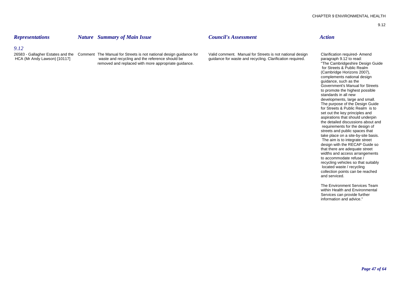# *Representations Nature Summary of Main Issue Council's Assessment Action*

## *9.12*

26583 - Gallagher Estates and the Comment The Manual for Streets is not national design guidance for Valid comment. Manual for Streets is not national design Clarification required- Amend<br>HCA (Mr Andy Lawson) [10117] waste removed and replaced with more appropriate guidance.

guidance for waste and recycling. Clarification required. paragraph 9.12 to read:<br>The Cambridgeshire Design Guide for Streets & Public Realm (Cambridge Horizons 2007), complements national design guidance, such as the Government's Manual for Streets to promote the highest possible standards in all new developments, large and small. The purpose of the Design Guide for Streets & Public Realm is to set out the key principles and aspirations that should underpin the detailed discussions about and requirements for the design of streets and public spaces that take place on a site-by-site basis. The aim is to integrate street design with the RECAP Guide so that there are adequate street widths and access arrangements to accommodate refuse / recycling vehicles so that suitably located waste / recycling collection points can be reached and serviced.

> The Environment Services Team within Health and Environmental Services can provide further information and advice."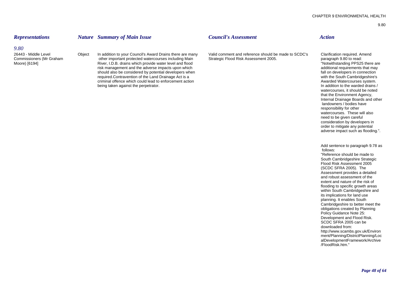### *9.80*

26443 - Middle Level Colpiect In addition to your Council's Award Drains there are many Valid comment and reference should be made to SCDC's Clarification required. Amend<br>Commissioners (Mr Graham cher important protected w Commissioners (Mr Graham other important protected watercourses including Main Moore) [6194] River, I.D.B. drains which provide water level and flood water is the state of the and flood in the adverse impacts upon which the above that may additional requirements that may risk management and the adver risk management and the adverse impacts upon which and the adverse impacts upon which additional requirements that may be additional requirements that may should also be considered by potential developers when should also should also be considered by potential developers when required.Contravention of the Land Drainage Act is a with the South Cambridgeshire's with the South Cambridgeshire's<br>
criminal offence which could lead to enforcement action

being taken against the perpetrator.

# *Representations Nature Summary of Main Issue Council's Assessment Action*

criminal offence which could lead to enforcement action <br>
being taken against the perpetrator and the perpetrator and the metrator and the warded drains / watercourses, it should be noted that the Environment Agency, Internal Drainage Boards and other landowners / bodies have responsibility for other watercourses. These will also need to be given careful consideration by developers in order to mitigate any potential adverse impact such as flooding.".

> Add sentence to paragraph 9.78 as follows:"Reference should be made to South Cambridgeshire Strategic Flood Risk Assessment 2005 (SCDC SFRA 2005). The Assessment provides a detailed and robust assessment of the extent and nature of the risk of flooding to specific growth areas within South Cambridgeshire and its implications for land use planning. It enables South Cambridgeshire to better meet the obligations created by Planning Policy Guidance Note 25: Development and Flood Risk. SCDC SFRA 2005 can be downloaded from: http://www.scambs.gov.uk/Environ ment/Planning/DistrictPlanning/Loc alDevelopmentFramework/Archive /FloodRisk.htm."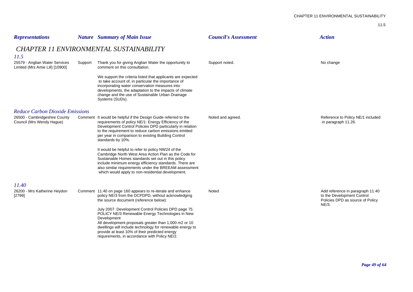| <b>Representations</b>                                                    |         | <b>Nature</b> Summary of Main Issue                                                                                                                                                                                                                                                                                                            | <b>Council's Assessment</b> | <b>Action</b>                                                                                               |
|---------------------------------------------------------------------------|---------|------------------------------------------------------------------------------------------------------------------------------------------------------------------------------------------------------------------------------------------------------------------------------------------------------------------------------------------------|-----------------------------|-------------------------------------------------------------------------------------------------------------|
|                                                                           |         | <b>CHAPTER 11 ENVIRONMENTAL SUSTAINABILITY</b>                                                                                                                                                                                                                                                                                                 |                             |                                                                                                             |
| 11.5<br>25579 - Anglian Water Services<br>Limited (Mrs Amie Lill) [10900] | Support | Thank you for giving Anglian Water the opportunity to<br>comment on this consultation.                                                                                                                                                                                                                                                         | Support noted.              | No change                                                                                                   |
|                                                                           |         | We support the criteria listed that applicants are expected<br>to take account of, in particular the importance of<br>incorporating water conservation measures into<br>developments, the adaptation to the impacts of climate<br>change and the use of Sustainable Urban Drainage<br>Systems (SUDs).                                          |                             |                                                                                                             |
| <b>Reduce Carbon Dioxide Emissions</b>                                    |         |                                                                                                                                                                                                                                                                                                                                                |                             |                                                                                                             |
| 26500 - Cambridgeshire County<br>Council (Mrs Wendy Haque)                |         | Comment It would be helpful if the Design Guide referred to the<br>requirements of policy NE/1: Energy Efficiency of the<br>Development Control Policies DPD particularly in relation<br>to the requirement to reduce carbon emissions emitted<br>per year in comparison to existing Building Control<br>standards by 10%.                     | Noted and agreed.           | Reference to Policy NE/1 included<br>in paragraph 11.26.                                                    |
|                                                                           |         | It would be helpful to refer to policy NW24 of the<br>Cambridge North West Area Action Plan as the Code for<br>Sustainable Homes standards set out in this policy<br>include minimum energy efficiency standards. There are<br>also similar requirements under the BREEAM assessment<br>which would apply to non-residential development.      |                             |                                                                                                             |
| 11.40                                                                     |         |                                                                                                                                                                                                                                                                                                                                                |                             |                                                                                                             |
| 26200 - Mrs Katherine Heydon<br>[2799]                                    |         | Comment 11.40 on page 160 appears to re-iterate and enhance<br>policy NE/3 from the DCPDPD, without acknowledging<br>the source document (reference below):                                                                                                                                                                                    | Noted                       | Add reference in paragraph 11.40<br>to the Development Control<br>Policies DPD as source of Policy<br>NE/3. |
|                                                                           |         | July 2007 Development Control Policies DPD page 75<br>POLICY NE/3 Renewable Energy Technologies in New<br>Development<br>All development proposals greater than 1,000 m2 or 10<br>dwellings will include technology for renewable energy to<br>provide at least 10% of their predicted energy<br>requirements, in accordance with Policy NE/2. |                             |                                                                                                             |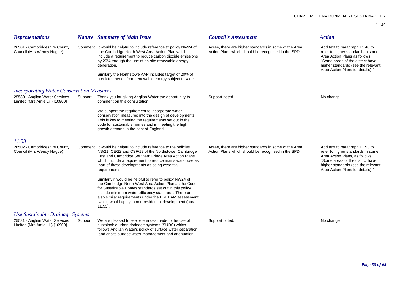| <b>Representations</b>                                            |         | <b>Nature</b> Summary of Main Issue                                                                                                                                                                                                                                                                                                                                        | <b>Council's Assessment</b>                                                                                  | <b>Action</b>                                                                                                                                                                                                       |
|-------------------------------------------------------------------|---------|----------------------------------------------------------------------------------------------------------------------------------------------------------------------------------------------------------------------------------------------------------------------------------------------------------------------------------------------------------------------------|--------------------------------------------------------------------------------------------------------------|---------------------------------------------------------------------------------------------------------------------------------------------------------------------------------------------------------------------|
| 26501 - Cambridgeshire County<br>Council (Mrs Wendy Hague)        |         | Comment It would be helpful to include reference to policy NW24 of<br>the Cambridge North West Area Action Plan which<br>include a requirement to reduce carbon dioxide emissions<br>by 20% through the use of on-site renewable energy<br>generation.<br>Similarly the Northstowe AAP includes target of 20% of<br>predicted needs from renewable energy subject to wider | Agree, there are higher standards in some of the Area<br>Action Plans which should be recognised in the SPD. | Add text to paragraph 11.40 to<br>refer to higher standards in some<br>Area Action Plans as follows:<br>"Some areas of the district have<br>higher standards (see the relevant<br>Area Action Plans for details)."  |
| <b>Incorporating Water Conservation Measures</b>                  |         |                                                                                                                                                                                                                                                                                                                                                                            |                                                                                                              |                                                                                                                                                                                                                     |
| 25580 - Anglian Water Services<br>Limited (Mrs Amie Lill) [10900] | Support | Thank you for giving Anglian Water the opportunity to<br>comment on this consultation.                                                                                                                                                                                                                                                                                     | Support noted                                                                                                | No change                                                                                                                                                                                                           |
|                                                                   |         | We support the requirement to incorporate water<br>conservation measures into the design of developments.<br>This is key to meeting the requirements set out in the<br>code for sustainable homes and in meeting the high<br>growth demand in the east of England.                                                                                                         |                                                                                                              |                                                                                                                                                                                                                     |
| 11.53                                                             |         |                                                                                                                                                                                                                                                                                                                                                                            |                                                                                                              |                                                                                                                                                                                                                     |
| 26502 - Cambridgeshire County<br>Council (Mrs Wendy Hague)        |         | Comment It would be helpful to include reference to the policies<br>NS/21, CE/22 and CSF/19 of the Northstowe, Cambridge<br>East and Cambridge Southern Fringe Area Action Plans<br>which include a requirement to reduce mains water use as<br>part of these developments as being essential<br>requirements.                                                             | Agree, there are higher standards in some of the Area<br>Action Plans which should be recognised in the SPD. | Add text to paragraph 11.53 to<br>refer to higher standards in some<br>Area Action Plans, as follows:<br>"Some areas of the district have<br>higher standards (see the relevant<br>Area Action Plans for details)." |
|                                                                   |         | Similarly it would be helpful to refer to policy NW24 of<br>the Cambridge North West Area Action Plan as the Code<br>for Sustainable Homes standards set out in this policy<br>include minimum water efficiency standards. There are<br>also similar requirements under the BREEAM assessment<br>which would apply to non-residential development (para<br>$11.53$ ).      |                                                                                                              |                                                                                                                                                                                                                     |
| Use Sustainable Drainage Systems                                  |         |                                                                                                                                                                                                                                                                                                                                                                            |                                                                                                              |                                                                                                                                                                                                                     |
| 25581 - Anglian Water Services<br>Limited (Mrs Amie Lill) [10900] | Support | We are pleased to see references made to the use of<br>sustainable urban drainage systems (SUDS) which<br>follows Anglian Water's policy of surface water separation<br>and onsite surface water management and attenuation.                                                                                                                                               | Support noted.                                                                                               | No change                                                                                                                                                                                                           |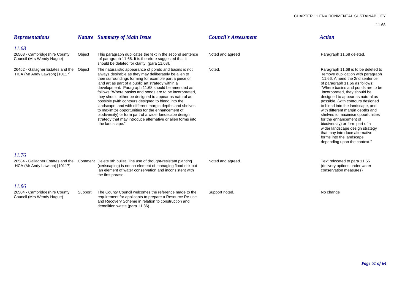### CHAPTER 11 ENVIRONMENTAL SUSTAINABILITY

| <b>Representations</b>                                            |         | <b>Nature</b> Summary of Main Issue                                                                                                                                                                                                                                                                                                                                                                                                                                                                                                                                                                                                                                                                                         | <b>Council's Assessment</b> | <b>Action</b>                                                                                                                                                                                                                                                                                                                                                                                                                                                                                                                                                                                        |
|-------------------------------------------------------------------|---------|-----------------------------------------------------------------------------------------------------------------------------------------------------------------------------------------------------------------------------------------------------------------------------------------------------------------------------------------------------------------------------------------------------------------------------------------------------------------------------------------------------------------------------------------------------------------------------------------------------------------------------------------------------------------------------------------------------------------------------|-----------------------------|------------------------------------------------------------------------------------------------------------------------------------------------------------------------------------------------------------------------------------------------------------------------------------------------------------------------------------------------------------------------------------------------------------------------------------------------------------------------------------------------------------------------------------------------------------------------------------------------------|
| 11.68                                                             |         |                                                                                                                                                                                                                                                                                                                                                                                                                                                                                                                                                                                                                                                                                                                             |                             |                                                                                                                                                                                                                                                                                                                                                                                                                                                                                                                                                                                                      |
| 26503 - Cambridgeshire County<br>Council (Mrs Wendy Hague)        | Object  | This paragraph duplicates the text in the second sentence<br>of paragraph 11.66. It is therefore suggested that it<br>should be deleted for clarity. (para 11.68).                                                                                                                                                                                                                                                                                                                                                                                                                                                                                                                                                          | Noted and agreed            | Paragraph 11.68 deleted.                                                                                                                                                                                                                                                                                                                                                                                                                                                                                                                                                                             |
| 26452 - Gallagher Estates and the<br>HCA (Mr Andy Lawson) [10117] | Object  | The naturalistic appearance of ponds and basins is not<br>always desirable as they may deliberately be alien to<br>their surroundings forming for example part a piece of<br>land art as part of a public art strategy within a<br>development. Paragraph 11.68 should be amended as<br>follows: "Where basins and ponds are to be incorporated,<br>they should either be designed to appear as natural as<br>possible (with contours designed to blend into the<br>landscape, and with different margin depths and shelves<br>to maximize opportunities for the enhancement of<br>biodiversity) or form part of a wider landscape design<br>strategy that may introduce alternative or alien forms into<br>the landscape." | Noted.                      | Paragraph 11.68 is to be deleted to<br>remove duplication with paragraph<br>11.66. Amend the 2nd sentence<br>of paragraph 11.66 as follows:<br>"Where basins and ponds are to be<br>incorporated, they should be<br>designed to appear as natural as<br>possible, (with contours designed<br>to blend into the landscape, and<br>with different margin depths and<br>shelves to maximise opportunities<br>for the enhancement of<br>biodiversity) or form part of a<br>wider landscape design strategy<br>that may introduce alternative<br>forms into the landscape<br>depending upon the context." |
| 11.76                                                             |         |                                                                                                                                                                                                                                                                                                                                                                                                                                                                                                                                                                                                                                                                                                                             |                             |                                                                                                                                                                                                                                                                                                                                                                                                                                                                                                                                                                                                      |
| HCA (Mr Andy Lawson) [10117]                                      |         | 26584 - Gallagher Estates and the  Comment  Delete 9th bullet. The use of drought-resistant planting<br>(xeriscaping) is not an element of managing flood risk but<br>an element of water conservation and inconsistent with<br>the first phrase.                                                                                                                                                                                                                                                                                                                                                                                                                                                                           | Noted and agreed.           | Text relocated to para 11.55<br>(delivery options under water<br>conservation measures)                                                                                                                                                                                                                                                                                                                                                                                                                                                                                                              |
| 11.86                                                             |         |                                                                                                                                                                                                                                                                                                                                                                                                                                                                                                                                                                                                                                                                                                                             |                             |                                                                                                                                                                                                                                                                                                                                                                                                                                                                                                                                                                                                      |
| 26504 - Cambridgeshire County<br>Council (Mrs Wendy Hague)        | Support | The County Council welcomes the reference made to the<br>requirement for applicants to prepare a Resource Re-use<br>and Recovery Scheme in relation to construction and<br>demolition waste (para 11.86).                                                                                                                                                                                                                                                                                                                                                                                                                                                                                                                   | Support noted.              | No change                                                                                                                                                                                                                                                                                                                                                                                                                                                                                                                                                                                            |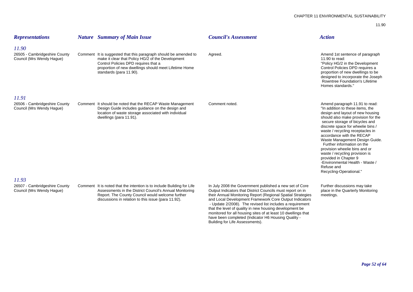| <b>Representations</b>                                              | <b>Nature</b> Summary of Main Issue                                                                                                                                                                                                               | <b>Council's Assessment</b>                                                                                                                                                                                                                                                                                                                                                                                                                                                                                                       | <b>Action</b>                                                                                                                                                                                                                                                                                                                                                                                                                                                                                                                |
|---------------------------------------------------------------------|---------------------------------------------------------------------------------------------------------------------------------------------------------------------------------------------------------------------------------------------------|-----------------------------------------------------------------------------------------------------------------------------------------------------------------------------------------------------------------------------------------------------------------------------------------------------------------------------------------------------------------------------------------------------------------------------------------------------------------------------------------------------------------------------------|------------------------------------------------------------------------------------------------------------------------------------------------------------------------------------------------------------------------------------------------------------------------------------------------------------------------------------------------------------------------------------------------------------------------------------------------------------------------------------------------------------------------------|
| 11.90<br>26505 - Cambridgeshire County<br>Council (Mrs Wendy Hague) | Comment It is suggested that this paragraph should be amended to<br>make it clear that Policy HG/2 of the Development<br>Control Policies DPD requires that a<br>proportion of new dwellings should meet Lifetime Home<br>standards (para 11.90). | Agreed.                                                                                                                                                                                                                                                                                                                                                                                                                                                                                                                           | Amend 1st sentence of paragraph<br>11.90 to read:<br>"Policy HG/2 in the Development<br>Control Policies DPD requires a<br>proportion of new dwellings to be<br>designed to incorporate the Joseph<br><b>Rowntree Foundation's Lifetime</b><br>Homes standards."                                                                                                                                                                                                                                                             |
| 11.91<br>26506 - Cambridgeshire County<br>Council (Mrs Wendy Hague) | Comment It should be noted that the RECAP Waste Management<br>Design Guide includes guidance on the design and<br>location of waste storage associated with individual<br>dwellings (para 11.91).                                                 | Comment noted.                                                                                                                                                                                                                                                                                                                                                                                                                                                                                                                    | Amend paragraph 11.91 to read:<br>"In addition to these items, the<br>design and layout of new housing<br>should also make provision for the<br>secure storage of bicycles and<br>discrete space for wheelie bins /<br>waste / recycling receptacles in<br>accordance with the RECAP<br>Waste Management Design Guide.<br>Further information on the<br>provision wheelie bins and or<br>waste / recycling provision is<br>provided in Chapter 9<br>-Environmental Health - Waste /<br>Refuse and<br>Recycling-Operational." |
| 11.93<br>26507 - Cambridgeshire County<br>Council (Mrs Wendy Hague) | Comment It is noted that the intention is to include Building for Life<br>Assessments in the District Council's Annual Monitoring<br>Report. The County Council would welcome further<br>discussions in relation to this issue (para 11.92).      | In July 2008 the Government published a new set of Core<br>Output Indicators that District Councils must report on in<br>their Annual Monitoring Report (Regional Spatial Strategies<br>and Local Development Framework Core Output Indicators<br>- Update 2/2008). The revised list includes a requirement<br>that the level of quality in new housing development be<br>monitored for all housing sites of at least 10 dwellings that<br>have been completed (Indicator H6 Housing Quality -<br>Building for Life Assessments). | Further discussions may take<br>place in the Quarterly Monitoring<br>meetings.                                                                                                                                                                                                                                                                                                                                                                                                                                               |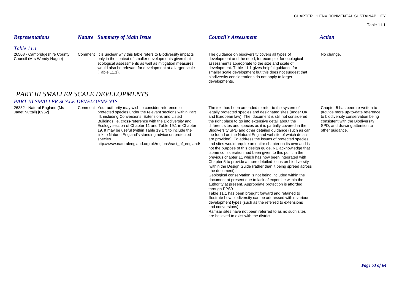Table 11.1

### *Table 11.1*

26508 - Cambridgeshire County Comment It is unclear why this table refers to Biodiversity impacts The guidance on biodiversity covers all types of No change.<br>Council (Mrs Wendy Hague) only in the context of smaller develop only in the context of smaller developments given that ecological assessments as well as mitigation measures assessments appropriate to the size and scale of would also be relevant for development at a larger scale development. Table 11.1 gives helpful guidance for would also be relevant for development at a larger scale (Table 11.1).

## *Representations Nature Summary of Main Issue Council's Assessment Action*

developments.

# *PART III SMALLER SCALE DEVELOPMENTS*

### *PART III SMALLER SCALE DEVELOPMENTS*

Buildings i.e. cross-reference with the Biodiversity and

http://www.naturalengland.org.uk/regions/east\_of\_england/

26382 - Natural England (Ms Comment Your authority may wish to consider reference to The text has been amended to refer to the system of Chapter 5 has been re-written to Janet Nuttall) [6952] **protected species under the relevant sections within Part** legally protected species and designated sites (under UK provide more up-to-date reference III, including Conversions, Extensions and Listed and European law). The document is still not considered to biodiversity conservation being<br>Buildings i.e. cross-reference with the Biodiversity and the right place to go in Ecology section of Chapter 11 and Table 19.1 in Chapter different sites and species as it is partially covered in the SPD, and drawing attention to 19. It may be useful (within Table 19.1?) to include the Biodiversity SPD and other detailed quidance (such as can other quidance. link to Natural England's standing advice on protected be found on the Natural England website of which details species<br>http://www.naturalengland.org.uk/regions/east of england/ and sites would require an entire chapter on its own and is not the purpose of this design guide. NE acknowledge that some consideration had been given to this point in the previous chapter 11 which has now been integrated with Chapter 5 to provide a more detailed focus on biodiversity within the Design Guide (rather than it being spread across the document).

smaller scale development but this does not suggest that biodiversity considerations do not apply to larger

Geological conservation is not being included within the document at present due to lack of expertise within the authority at present. Appropriate protection is afforded through PPS9.

Table 11.1 has been brought forward and retained to illustrate how biodiversity can be addressed within various development types (such as the referred to extensions and conversions).

Ramsar sites have not been referred to as no such sites are believed to exist with the district.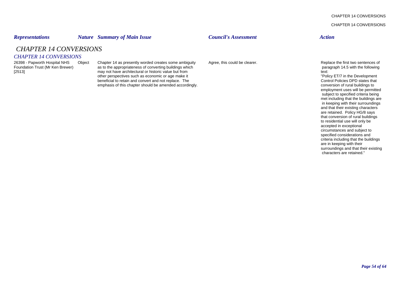CHAPTER 14 CONVERSIONS

CHAPTER 14 CONVERSIONS

# *Representations Nature Summary of Main Issue Council's Assessment Action*

*CHAPTER 14 CONVERSIONS*

# *CHAPTER 14 CONVERSIONS*

26398 - Papworth Hospital NHS Object Chapter 14 as presently worded creates some ambiguity Agree, this could be clearer.<br>
Foundation Trust (Mr Ken Brewer) as to the appropriateness of converting buildings which experiences as to the appropriateness of converting buildings which [2513] **Example 3** may not have architectural or historic value but from the state of the state of the state of the state of the state of the perspectives such as economic or age make it the state of the state of the persp other perspectives such as economic or age make it<br>
beneficial to retain and convert and not replace. The states that control Policies DPD states that beneficial to retain and convert and not replace. The Control Policies DPD states that conversion of rural buildings to<br>
emphasis of this chapter should be amended accordingly. emphasis of this chapter should be amended accordingly.

employment uses will be permitted subject to specified criteria being met including that the buildings are in keeping with their surroundings and that their existing characters are retained. Policy HG/8 says that conversion of rural buildings to residential use will only be accepted in exceptional circumstances and subject to specified considerations and criteria including that the buildings are in keeping with their surroundings and that their existing characters are retained."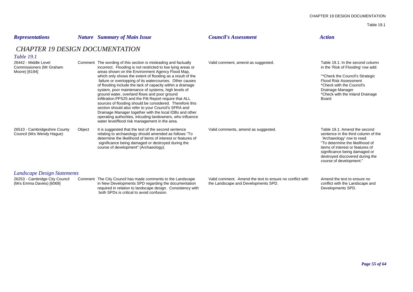### Table 19.1

| <b>Representations</b>                                                                    |        | <b>Nature</b> Summary of Main Issue                                                                                                                                                                                                                                                                                                                                                                                                                                                                                                                                                                                                                                                                                                                                                       | <b>Council's Assessment</b>                                                                     | <b>Action</b>                                                                                                                                                                                                                                                           |
|-------------------------------------------------------------------------------------------|--------|-------------------------------------------------------------------------------------------------------------------------------------------------------------------------------------------------------------------------------------------------------------------------------------------------------------------------------------------------------------------------------------------------------------------------------------------------------------------------------------------------------------------------------------------------------------------------------------------------------------------------------------------------------------------------------------------------------------------------------------------------------------------------------------------|-------------------------------------------------------------------------------------------------|-------------------------------------------------------------------------------------------------------------------------------------------------------------------------------------------------------------------------------------------------------------------------|
| <b>CHAPTER 19 DESIGN DOCUMENTATION</b><br><i>Table 19.1</i>                               |        |                                                                                                                                                                                                                                                                                                                                                                                                                                                                                                                                                                                                                                                                                                                                                                                           |                                                                                                 |                                                                                                                                                                                                                                                                         |
| 26442 - Middle Level<br>Commissioners (Mr Graham<br>Moore) [6194]                         |        | Comment The wording of this section is misleading and factually<br>incorrect. Flooding is not restricted to low lying areas or<br>areas shown on the Environment Agency Flood Map.<br>which only shows the extent of flooding as a result of the<br>failure or overtopping of its watercourses. Other causes<br>of flooding include the lack of capacity within a drainage<br>system, poor maintenance of systems, high levels of<br>ground water, overland flows and poor ground<br>infiltration.PPS25 and the Pitt Report require that ALL<br>sources of flooding should be considered. Therefore this<br>section should also refer to your Council's SFRA and<br>Drainage Manager together with the local IDBs and other<br>operating authorities, inlouding landowners, who influence | Valid comment, amend as suggested.                                                              | Table 19.1: In the second column<br>in the 'Risk of Flooding' row add:<br>"*Check the Council's Strategic<br><b>Flood Risk Assessment</b><br>*Check with the Council's<br>Drainage Manager<br>*Check with the Inland Drainage<br>Board                                  |
| 26510 - Cambridgeshire County<br>Council (Mrs Wendy Hague)                                | Object | water level/flood risk management in the area.<br>It is suggested that the text of the second sentence<br>relating to archaeology should amended as follows "To<br>determine the likelihood of items of interest or features of<br>significance being damaged or destroyed during the<br>course of development" (Archaeology).                                                                                                                                                                                                                                                                                                                                                                                                                                                            | Valid comments, amend as suggested.                                                             | Table 19.1: Amend the second<br>sentence in the third column of the<br>'Archaeology' row to read:<br>"To determine the likelihood of<br>items of interest or features of<br>significance being damaged or<br>destroyed discovered during the<br>course of development." |
| Landscape Design Statements<br>26253 - Cambridge City Council<br>(Mrs Emma Davies) [6069] |        | Comment The City Council has made comments to the Landscape<br>in New Developments SPD regarding the documentation<br>required in relation to landscape design. Consistency with<br>both SPDs is critical to avoid confusion.                                                                                                                                                                                                                                                                                                                                                                                                                                                                                                                                                             | Valid comment. Amend the text to ensure no conflict with<br>the Landscape and Developments SPD. | Amend the text to ensure no<br>conflict with the Landscape and<br>Developments SPD.                                                                                                                                                                                     |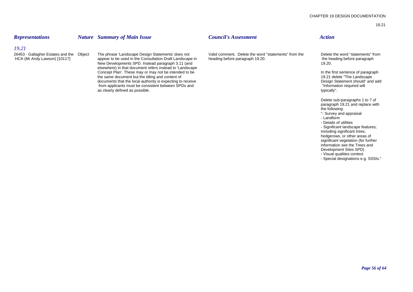# *Representations Nature Summary of Main Issue Council's Assessment Action*

# *19.21*

26453 - Gallagher Estates and the Object The phrase 'Landscape Design Statements' does not Valid comment. Delete the word "statements" from the Delete the word "statements" from the Delete the word "statements" from the Ne appear to be used in the Consultation Draft Landscape in heading before paragraph 19.20. the heading before paragraph New Developments SPD. Instead paragraph 3.11 (and 19.20). The contract of the contract of the contract of the contract of the contract of the contract of the contract of the contract of the contract of the contract of the elsewhere) in that document refers instead to 'Landscape Concept Plan'. These may or may not be intended to be Intended to be In the first sentence of paragraph<br>
In the first sentence of paragraph<br>
In the first sentence of paragraph<br>
In the first sentence of paragraph<br>
In the fi the same document but the titling and content of<br>
documents that the local authority is expecting to receive<br>
documents that the local authority is expecting to receive documents that the local authority is expecting to receive experiment of the statement should documents that the local authority is expecting to receive experiment should from applicants must be consistent between SPDs and from applicants must be consistent between SPDs and as clearly defined as possible. The set of the set of the set of the set of the set of the set of the set of the set of the set of the set of the set of the set of the set of the set of the set of the set of the set of the

Delete sub-paragraphs 1 to 7 of paragraph 19.21 and replace with the following:

- "- Survey and appraisal
- Landform
- Details of utilities
- Significant landscape features;

including significant trees, hedgerows, or other areas of significant vegetation (for further information see the Trees and

- Development Sites SPD)
- Visual qualities context
- Special designations e.g. SSSIs."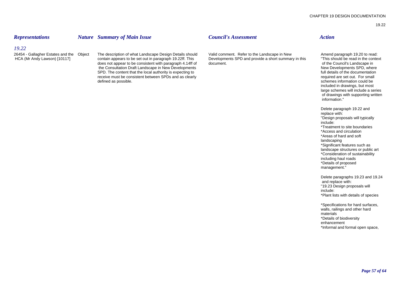### *Representations Nature Summary of Main Issue Council's Assessment Action*

# *19.22*

26454 - Gallagher Estates and the Object The description of what Landscape Design Details should Valid comment. Refer to the Landscape in New Amend paragraph 19.20 to read:<br>HCA (Mr Andy Lawson) [10117] contain appears to b does not appear to be consistent with paragraph 4.14ff of document.<br>
The Consultation Draft Landscape in New Developments<br>
New Developments SPD, where the Consultation Draft Landscape in New Developments<br>
SPD. The content that the local authority is expecting to **the consultation** SPD, where the documentation SPD. The content that the local authority is expecting to full details of the documentation<br>
For the documentation of the documentation<br>
For small<br>
For small receive must be consistent between SPDs and as clearly defined as possible. Schemes information could be defined as possible.

Developments SPD and provide a short summary in this

included in drawings, but most large schemes will include a series of drawings with supporting written information."

Delete paragraph 19.22 and replace with: "Design proposals will typically include:\*Treatment to site boundaries\*Access and circulation \*Areas of hard and soft landscaping \*Significant features such as landscape structures or public art \*Consideration of sustainability including haul roads \*Details of proposed management."

Delete paragraphs 19.23 and 19.24 and replace with: "19.23 Design proposals will include: \*Plant lists with details of species

\*Specifications for hard surfaces, walls, railings and other hard materials \*Details of biodiversity enhancement \*Informal and formal open space,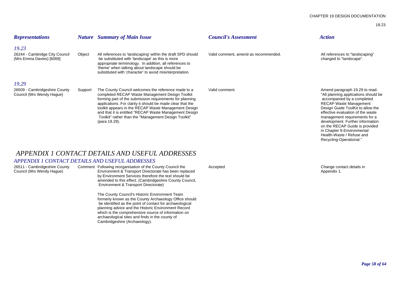| <b>Representations</b>                                              |         | <b>Nature</b> Summary of Main Issue                                                                                                                                                                                                                                                                                                                                                                                         | <b>Council's Assessment</b>          | <b>Action</b>                                                                                                                                                                                                                                                                                                                                                                     |
|---------------------------------------------------------------------|---------|-----------------------------------------------------------------------------------------------------------------------------------------------------------------------------------------------------------------------------------------------------------------------------------------------------------------------------------------------------------------------------------------------------------------------------|--------------------------------------|-----------------------------------------------------------------------------------------------------------------------------------------------------------------------------------------------------------------------------------------------------------------------------------------------------------------------------------------------------------------------------------|
| 19.23<br>26244 - Cambridge City Council<br>(Mrs Emma Davies) [6069] | Object  | All references to 'landscaping' within the draft SPD should<br>be substituted with 'landscape' as this is more<br>appropriate terminology. In addition, all references to<br>'theme' when talking about landscape should be<br>substituted with 'character' to avoid misinterpretation.                                                                                                                                     | Valid comment, amend as recommended. | All references to "landscaping"<br>changed to "landscape".                                                                                                                                                                                                                                                                                                                        |
| 19.29<br>26509 - Cambridgeshire County<br>Council (Mrs Wendy Haque) | Support | The County Council welcomes the reference made to a<br>completed RECAP Waste Management Design Toolkit<br>forming part of the submission requirements for planning<br>applications. For clarity it should be made clear that the<br>toolkit appears in the RECAP Waste Management Design<br>and that it is entitled "RECAP Waste Management Design<br>Toolkit" rather than the "Management Design Toolkit"<br>(para 19.29). | Valid comment.                       | Amend paragraph 19.29 to read:<br>"All planning applications should be<br>accompanied by a completed<br><b>RECAP Waste Management</b><br>Design Guide ToolKit to allow the<br>effective evaluation of the waste<br>management requirements for a<br>development. Further information<br>on the RECAP Guide is provided<br>in Chapter 9-Environmental<br>Health-Waste / Refuse and |

# *APPENDIX 1 CONTACT DETAILS AND USEFUL ADDRESSES*

# *APPENDIX 1 CONTACT DETAILS AND USEFUL ADDRESSES*

26511 - Cambridgeshire County Comment Following reorganisation of the County Council the Accepted Change contact details in Council (Mrs Wendy Haque) Change contact details in Council (Mrs Wendy Haque) Environment & Transp Collection (Mrs Weiner Weiner and Transport Directorate has been replaced Appendix 1. by Environment Services therefore the text should be amended to this effect. (Cambridgeshire County Council, Environment & Transport Directorate)

> The County Council's Historic Environment Team formerly known as the County Archaeology Office should be identified as the point of contact for archaeological planning advice and the Historic Environment Record which is the comprehensive source of information on archaeological sites and finds in the county of Cambridgeshire (Archaeology).

Recycling-Operational."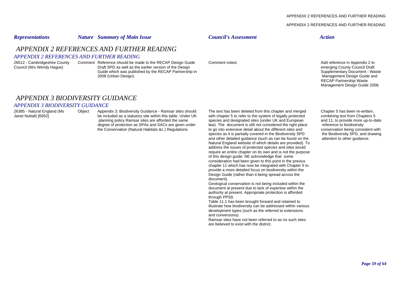### APPENDIX 2 REFERENCES AND FURTHER READING

# *Representations Nature Summary of Main Issue Council's Assessment Action APPENDIX 2 REFERENCES AND FURTHER READINGAPPENDIX 2 REFERENCES AND FURTHER READING*26512 - Cambridgeshire County Comment Reference should be made to the RECAP Design Guide Comment noted. <br>Council (Mrs Wendy Hague) Draft SPD as well as the earlier version of the Design Comment noted. Council Comment noted Draft SPD as well as the earlier version of the Design entity of the Nester Although the Design emerging County Council Draft Council Draft Council Draft Council Draft Council Draft Council Draft Council Draft Council Draf Guide which was published by the RECAP Partnership in 2008 (Urban Design). Management Design Guide and RECAP Partnership Waste

# *APPENDIX 3 BIODIVERSITY GUIDANCE*

### *APPENDIX 3 BIODIVERSITY GUIDANCE*

26385 - Natural England (Ms Object Appendix 3: Biodiversity Guidance - Ramsar sites should The text has been deleted from this chapter and merged Chapter 5 has been re-written, Janet Nuttall) [6952] be included as a statutory site within this table. Under UK with chapter 5 to refer to the system of legally protected combining text from Chapters 5<br>planning policy Ramsar sites are afforded the same species and designated sites (under UK and European and 11, to provide more up-<br>
law). The document is still not considered the right place reference to biodiversity degree of protection as SPAs and SACs are given under law). The document is still not considered the right place reference to biodiversity<br>the Conservation (Natural Habitats &c.) Requiations to go into extensive detail abo the Conservation (Natural Habitats &c.) Regulations to go into extensive detail about the different sites and conservation being consistent with<br>species as it is partially covered in the Biodiversity SPD the Biodiversity S species as it is partially covered in the Biodiversity SPD the Biodiversity SPD, and d<br>and other detailed quidance (such as can be found on the attention to other quidance. and other detailed quidance (such as can be found on the Natural England website of which details are provided). To address the issues of protected species and sites would require an entire chapter on its own and is not the purpose of this design guide. NE acknowledge that some consideration had been given to this point in the previus chapter 11 which has now be integrated with Chapter 5 to provide a more detailed focus on biodiversity within the Design Guide (rather than it being spread across the document).

Geological conservation is not being included within the document at present due to lack of expertise within the authority at present. Appropriate protection is afforded through PPS9.

Table 11.1 has been brought forward and retained to illustrate how biodiversity can be addressed within various development types (such as the referred to extensions and conversions).

Ramsar sites have not been referred to as no such sites are believed to exist with the district.

Management Design Guide 2008.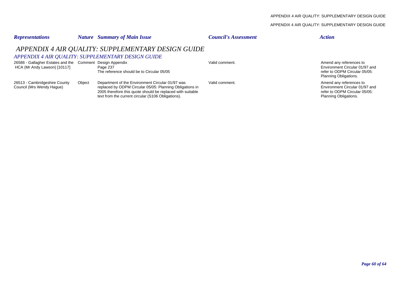### APPENDIX 4 AIR QUALITY: SUPPLEMENTARY DESIGN GUIDE

| <b>Representations</b>                                                                    |        | <b>Nature</b> Summary of Main Issue                                                                                                                                                                                              | <b>Council's Assessment</b> | <b>Action</b>                                                                                                       |
|-------------------------------------------------------------------------------------------|--------|----------------------------------------------------------------------------------------------------------------------------------------------------------------------------------------------------------------------------------|-----------------------------|---------------------------------------------------------------------------------------------------------------------|
|                                                                                           |        | APPENDIX 4 AIR QUALITY: SUPPLEMENTARY DESIGN GUIDE<br>APPENDIX 4 AIR QUALITY: SUPPLEMENTARY DESIGN GUIDE                                                                                                                         |                             |                                                                                                                     |
| 26586 - Gallagher Estates and the Comment Design Appendix<br>HCA (Mr Andy Lawson) [10117] |        | Page 237<br>The reference should be to Circular 05/05                                                                                                                                                                            | Valid comment.              | Amend any references to<br>Environment Circular 01/97 and<br>refer to ODPM Circular 05/05:<br>Planning Obligations. |
| 26513 - Cambridgeshire County<br>Council (Mrs Wendy Hague)                                | Object | Department of the Environment Circular 01/97 was<br>replaced by ODPM Circular 05/05: Planning Obligations in<br>2005 therefore this quote should be replaced with suitable<br>text from the current circular (S106 Obligations). | Valid comment.              | Amend any references to<br>Environment Circular 01/97 and<br>refer to ODPM Circular 05/05:<br>Planning Obligations. |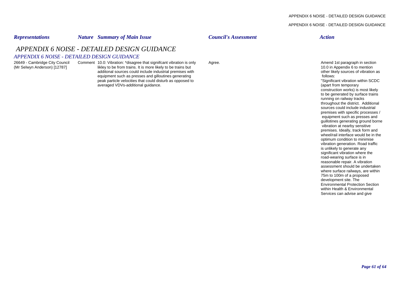### APPENDIX 6 NOISE - DETAILED DESIGN GUIDANCE

# *Representations Nature Summary of Main Issue Council's Assessment Action*

# *APPENDIX 6 NOISE - DETAILED DESIGN GUIDANCE*

### *APPENDIX 6 NOISE - DETAILED DESIGN GUIDANCE*

26649 - Cambridge City Council Comment 10.0: Vibration: \*disagree that signiifcant vibration is only Agree.<br>(Mr Selwyn Anderson) [12787] likley to be from trains. It is more likely to be trains but and the section of the s (Mr Selven Anderson) and the from trains. It is more likely to be trains but 10.0 in Appendix 6 to mention as<br>additional sources could include industrial premises with the source of vibration as additonal sources could include industrial premises with equipment such as presses and gilloutines generating deviation of the state of the state of the state of the state of the state of the state of the state of the state of the state of the state of the state of the state of peak particle velocities that could disturb as opposed to "Significant vibration with the "Significant vibration w<br>averaged VDVs-additional guidance. averaged VDVs-additional guidance.

construction works) is most likely to be generated by surface trains running on railway tracks throughout the district. Additional sources could include industrial premises with specific processes / equipment such as presses and guillotines generating ground borne vibration at nearby sensitive premises. Ideally, track form and wheel/rail interface would be in the optimum condition to minimise vibration generation. Road traffic is unlikely to generate any significant vibration where the road-wearing surface is in reasonable repair. A vibration assessment should be undertaken where surface railways, are within 75m to 100m of a proposed development site. The Environmental Protection Section within Health & Environmental Services can advise and give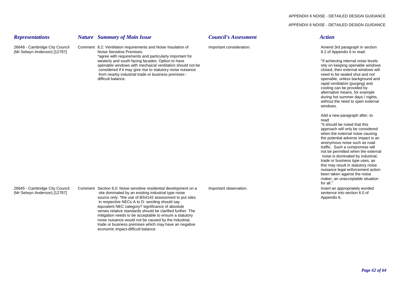### APPENDIX 6 NOISE - DETAILED DESIGN GUIDANCE

| <b>Representations</b>                                         | <b>Nature</b> Summary of Main Issue                                                                                                                                                                                                                                                                                                                                                                                                                                                                                                                                       | <b>Council's Assessment</b> | <b>Action</b>                                                                                                                                                                                                                                                                                                                                                                                                                                                                                                                     |
|----------------------------------------------------------------|---------------------------------------------------------------------------------------------------------------------------------------------------------------------------------------------------------------------------------------------------------------------------------------------------------------------------------------------------------------------------------------------------------------------------------------------------------------------------------------------------------------------------------------------------------------------------|-----------------------------|-----------------------------------------------------------------------------------------------------------------------------------------------------------------------------------------------------------------------------------------------------------------------------------------------------------------------------------------------------------------------------------------------------------------------------------------------------------------------------------------------------------------------------------|
| 26648 - Cambridge City Council<br>(Mr Selwyn Anderson) [12787] | Comment 8.2: Ventilation requirements and Noise Insulation of<br>Noise Sensitive Premises:<br>*agree with requirements and particularly important for<br>westerly and south facing facades. Option to have<br>openable windows with mechaical ventilation should not be<br>considered if it may give rise to statutory noise nuisance<br>from nearby industrial trade or business premises -<br>difficult balance.                                                                                                                                                        | Important consideration.    | Amend 3rd paragraph in section<br>8.2 of Appendix 6 to read:<br>"If achieving internal noise levels<br>rely on keeping openable windows<br>closed, then external windows will<br>need to be sealed shut and not<br>openable, unless background and<br>rapid ventilation (purging) and<br>cooling can be provided by<br>alternative means, for example<br>during hot summer days / nights,<br>without the need to open external<br>windows.                                                                                        |
|                                                                |                                                                                                                                                                                                                                                                                                                                                                                                                                                                                                                                                                           |                             | Add a new paragraph after, to<br>read:<br>"It should be noted that this<br>approach will only be considered<br>when the external noise causing<br>the potential adverse impact is an<br>anonymous noise such as road<br>traffic. Such a compromise will<br>not be permitted when the external<br>noise is dominated by industrial,<br>trade or business type uses, as<br>this may result in statutory noise<br>nuisance legal enforcement action<br>been taken against the noise<br>maker, an unacceptable situation<br>for all." |
| 26645 - Cambridge City Council<br>(Mr Selwyn Anderson) [12787] | Comment Section 6.0: Noise sensitive residential development on a<br>site dominated by an existing industrial type noise<br>source only: *the use of BS4142 assessment to put sites<br>in respective NECs A to D: wording should say<br>equvalent NEC category? significance of absolute<br>verses relative standards should be clarified further. The<br>mitigation needs to be acceptable to ensure a statutory<br>noise nuisance would not be caused by the industrial.<br>trade or business premises which may have an negative<br>economic impact-difficult balance. | Important observation.      | Insert an appropriately worded<br>sentence into section 6.0 of<br>Appendix 6.                                                                                                                                                                                                                                                                                                                                                                                                                                                     |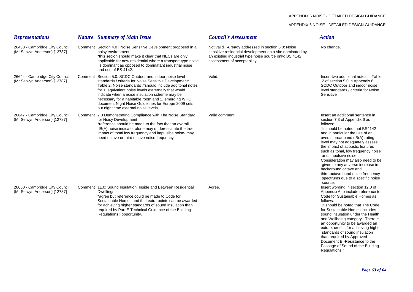### APPENDIX 6 NOISE - DETAILED DESIGN GUIDANCE

| <b>Representations</b>                                         | <b>Nature</b> Summary of Main Issue                                                                                                                                                                                                                                                                                                                                                                                                              | <b>Council's Assessment</b>                                                                                                                                                                              | <b>Action</b>                                                                                                                                                                                                                                                                                                                                                                                                                                                                                                    |
|----------------------------------------------------------------|--------------------------------------------------------------------------------------------------------------------------------------------------------------------------------------------------------------------------------------------------------------------------------------------------------------------------------------------------------------------------------------------------------------------------------------------------|----------------------------------------------------------------------------------------------------------------------------------------------------------------------------------------------------------|------------------------------------------------------------------------------------------------------------------------------------------------------------------------------------------------------------------------------------------------------------------------------------------------------------------------------------------------------------------------------------------------------------------------------------------------------------------------------------------------------------------|
| 26438 - Cambridge City Council<br>(Mr Selwyn Anderson) [12787] | Comment Section 4.0 : Noise Sensitive Development proposed in a<br>noisy environment<br>*this secion should make it clear that NECs are only<br>applicable for new residential where a transport type noise<br>is dominant as opposed to dominatant industrial noise<br>and use of BS 4142.                                                                                                                                                      | Not valid. Already addressed in section 6.0: Noise<br>sensitive residential development on a site dominated by<br>an existing industrial type noise source only: BS 4142<br>assessment of acceptability. | No change.                                                                                                                                                                                                                                                                                                                                                                                                                                                                                                       |
| 26644 - Cambridge City Council<br>(Mr Selwyn Anderson) [12787] | Comment Section 5.0: SCDC Outdoor and indoor noise level<br>standards / criteria for Noise Sensitive Development:<br>Table 2: Noise standards :* should include additonal notes<br>for 1. equivalent noise levels extremally that would<br>indicate when a noise insulation scheme may be<br>necessary for a habitable room and 2. emerging WHO<br>document Night Noise Guidelines for Europe 2009 sets<br>out night time external noise levels. | Valid.                                                                                                                                                                                                   | Insert two additional notes in Table<br>2 of section 5.0 in Appendix 6:<br>SCDC Outdoor and indoor noise<br>level standards / criteria for Noise<br>Sensitive                                                                                                                                                                                                                                                                                                                                                    |
| 26647 - Cambridge City Council<br>(Mr Selwyn Anderson) [12787] | Comment 7.3 Demonstrating Compliance with The Noise Standard<br>for Noisy Development<br>*reference should be made to the fact that an overall<br>dB(A) noise indicator alone may underestiamte the true<br>impact of tonal low frequency and impulsibe noise- may<br>need octave or third octave noise frequency                                                                                                                                | Valid comment.                                                                                                                                                                                           | Insert an additional sentence in<br>section 7.3 of Appendix 6 as<br>follows:<br>"It should be noted that BS4142<br>and in particular the use of an<br>overall broadband dB(A) rating<br>level may not adequately assess<br>the impact of acoustic features<br>such as tonal, low frequency noise<br>and impulsive noise.<br>Consideration may also need to be<br>given to any adverse increase in<br>background octave and<br>third-octave band noise frequency<br>spectrums due to a specific noise<br>source." |
| 26650 - Cambridge City Council<br>(Mr Selwyn Anderson) [12787] | Comment 11.0: Sound Insulation: Inside and Between Residential<br>Dwellings<br>*agree but reference could be made to Code for<br>Sustainable Homes and that extra points can be awarded<br>for achieving higher standards of sound insulation than<br>required by Part E Technical Guidance of the Building<br>Regulations: opportunity.                                                                                                         | Agree.                                                                                                                                                                                                   | Insert wording in section 12.0 of<br>Appendix 6 to include reference to<br>Code for Sustainable Homes as<br>follows:<br>"It should be noted that The Code"<br>for Sustainable Homes includes<br>sound insulation under the Health<br>and Wellbeing category. There is<br>an opportunity to be awarded an<br>extra 4 credits for achieving higher<br>standards of sound insulation<br>than required by Approved<br>Document E -Resistance to the<br>Passage of Sound of the Building<br>Regulations."             |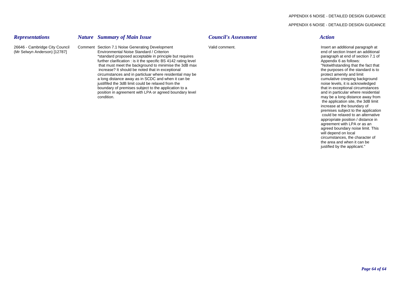26646 - Cambridge City Council Comment Section 7.1 Noise Generating Development Valid comment. Next and the state of the state of the state of the Valid comment valid comment of the state of the state of the state of the s

*Representations Nature Summary of Main Issue Council's Assessment Action*

condition.

further clarification : is it the specific BS  $4142$  rating level

increase? It should be noted that in exceptional

justififed the 3dB limit could be relaxed from the

(Mr Selwyn Anderson) [12787] Environmental Noise Standard / Criterion end of section Insert an additional \*standard proposed acceptable in principle but requires paragraph at end of section 7.1 of the control of section 7.1 of further clarification : is it the specific BS 4142 rating level by the section 10 of section 7.1 of f that must meet the background to minimise the 3dB max  $\frac{1}{2}$  in the standard in the fact that increase? It should be noted that in exceptional in the 3dB max increase? It should be noted that in exceptional circumstances and in particluar where residential may be protect amenity and limit protect amenity and limit amenity and limit and limit and limit and limit and limit and be protect amenity and limit and be protect amenity a long distance away as in SCDC and when it can be cumulative creeping background at the cumulative creeping background<br>
instituted the 3dB limit could be relaxed from the cumulative creeping background at the cumulative c **boundary of premises subject to the application to a** that in exceptional circumstances **that in exceptional circumstances** position in agreement with LPA or agreed boundary level and in particular where residential particular where residential may be a long distance away from the application site, the 3dB limit increase at the boundary of premises subject to the application could be relaxed to an alternative appropriate position / distance in agreement with LPA or as an agreed boundary noise limit. This will depend on local circumstances, the character of the area and when it can be justified by the applicant."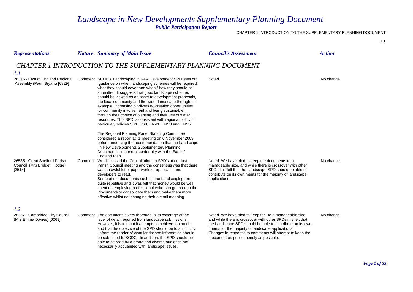# *Landscape in New Developments Supplementary Planning Document*

*Public Participation Report*

### CHAPTER 1 INTRODUCTION TO THE SUPPLEMENTARY PLANNING DOCUMENT

| <b>Representations</b>                                                 | <b>Nature</b> Summary of Main Issue                                                                                                                                                                                                                                                                                                                                                                                                                                                                                                                                                                                                                                                                                                                                                   | <b>Council's Assessment</b>                                                                                                                                                                                                                                                                                                                       | <b>Action</b> |
|------------------------------------------------------------------------|---------------------------------------------------------------------------------------------------------------------------------------------------------------------------------------------------------------------------------------------------------------------------------------------------------------------------------------------------------------------------------------------------------------------------------------------------------------------------------------------------------------------------------------------------------------------------------------------------------------------------------------------------------------------------------------------------------------------------------------------------------------------------------------|---------------------------------------------------------------------------------------------------------------------------------------------------------------------------------------------------------------------------------------------------------------------------------------------------------------------------------------------------|---------------|
| 1.1                                                                    | <b>CHAPTER 1 INTRODUCTION TO THE SUPPLEMENTARY PLANNING DOCUMENT</b>                                                                                                                                                                                                                                                                                                                                                                                                                                                                                                                                                                                                                                                                                                                  |                                                                                                                                                                                                                                                                                                                                                   |               |
| 26375 - East of England Regional<br>Assembly (Paul Bryant) [6829]      | Comment SCDC's 'Landscaping in New Development SPD' sets out<br>guidance on when landscaping schemes will be required,<br>what they should cover and when / how they should be<br>submitted. It suggests that good landscape schemes<br>should be viewed as an asset to development proposals,<br>the local community and the wider landscape through, for<br>example, increasing biodiversity, creating opportunities<br>for community involvement and being sustainable<br>through their choice of planting and their use of water<br>resources. This SPD is consistent with regional policy, in<br>particular, policies SS1, SS8, ENV1, ENV3 and ENV5.                                                                                                                             | Noted                                                                                                                                                                                                                                                                                                                                             | No change     |
| 26585 - Great Shelford Parish<br>Council (Mrs Bridget Hodge)<br>[3518] | The Regional Planning Panel Standing Committee<br>considered a report at its meeting on 6 November 2009<br>before endorsing the recommendation that the Landscape<br>in New Developments Supplementary Planning<br>Document is in general conformity with the East of<br>England Plan.<br>Comment We discussed the Consultation on SPD's at our last<br>Parish Council meeting and the consensus was that there<br>was an awful lot of paperwork for applicants and<br>developers to read.<br>Some of the documents such as the Landscaping are<br>quite repetitive and it was felt that money would be well<br>spent on employing professional editors to go through the<br>documents to consolidate them and make them more<br>effective whilst not changing their overall meaning. | Noted. We have tried to keep the documents to a<br>manageable size, and while there is crossover with other<br>SPDs It is felt that the Landscape SPD should be able to<br>contribute on its own merits for the majority of landscape<br>applications.                                                                                            | No change     |
| 1.2<br>26257 - Cambridge City Council<br>(Mrs Emma Davies) [6069]      | Comment The document is very thorough in its coverage of the<br>level of detail required from landscape submissions.<br>However, it is felt that it attempts to achieve too much,<br>and that the objective of the SPD should be to succinctly<br>inform the reader of what landscape information should<br>be submitted to SCDC. In addition, the SPD should be<br>able to be read by a broad and diverse audience not<br>necessarily acquainted with landscape issues.                                                                                                                                                                                                                                                                                                              | Noted. We have tried to keep the to a manageable size,<br>and while there is crossover with other SPDs it is felt that<br>the Landscape SPD should be able to contribute on its own<br>merits for the majority of landscape applications.<br>Changes in response to comments will attempt to keep the<br>document as public friendly as possible. | No change.    |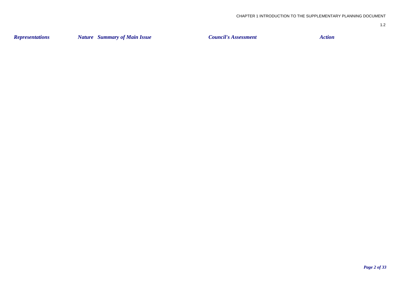| <b>Representations</b> | <b>Nature</b> Summary of Main Issue | <b>Council's Assessment</b> | Action |
|------------------------|-------------------------------------|-----------------------------|--------|
|                        |                                     |                             |        |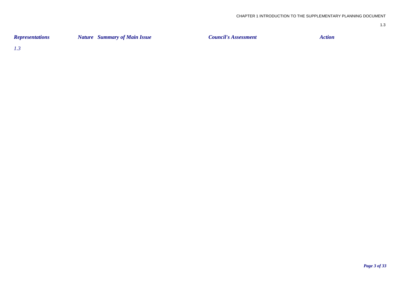| <b>Representations</b> | <b>Nature</b> Summary of Main Issue | <b>Council's Assessment</b> | Action |
|------------------------|-------------------------------------|-----------------------------|--------|
|                        |                                     |                             |        |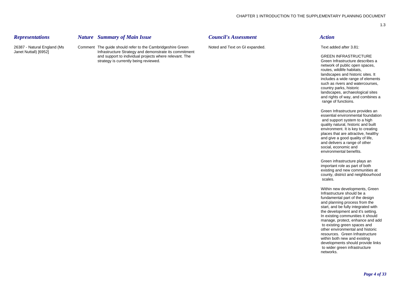*Representations Nature Summary of Main Issue Council's Assessment Action*

26387 - Natural England (Ms Comment The guide should refer to the Cambridgeshire Green Noted and Text on GI expanded. Text added after 3.81: Janet Nuttall) [6952] Infrastructure Strategy and demonstrate its commitment and support to individual projects where relevant. The GREEN INFRASTRUCTURE and support to individual projects where relevant. The Samuel Control of GREEN INFRASTRUCTURE strategy is currently being reviewed. strategy is currently being reviewed.

network of public open spaces, routes, wildlife habitats, landscapes and historic sites. It includes a wide range of elements such as rivers and watercourses, country parks, historic landscapes, archaeological sites and rights of way, and combines a range of functions.

Green Infrastructure provides an essential environmental foundation and support system to a high quality natural, historic and built environment. It is key to creating places that are attractive, healthy and give a good quality of life, and delivers a range of other social, economic and environmental benefits.

Green infrastructure plays an important role as part of both existing and new communities at county, district and neighbourhood scales.

Within new developments, Green Infrastructure should be a fundamental part of the design and planning process from the start, and be fully integrated with the development and it's setting. In existing communities it should manage, protect, enhance and add to existing green spaces and other environmental and historic resources. Green Infrastructure within both new and existing developments should provide links to wider green infrastructure networks.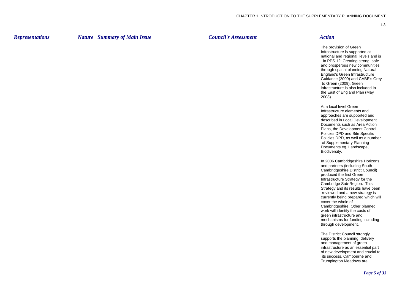*Representations Nature Summary of Main Issue Council's Assessment Action*

The provision of Green Infrastructure is supported at national and regional, levels and is in PPS 12: Creating strong, safe and prosperous new communities through spatial planning Natural England's Green Infrastructure Guidance (2009) and CABE's Grey to Green (2009). Green infrastructure is also included in the East of England Plan (May 2008).

At a local level Green Infrastructure elements and approaches are supported and described in Local Development Documents such as Area Action Plans, the Development Control Policies DPD and Site Specific Policies DPD, as well as a number of Supplementary Planning Documents eg, Landscape, Biodiversity.

In 2006 Cambridgeshire Horizons and partners (including South Cambridgeshire District Council) produced the first Green Infrastructure Strategy for the Cambridge Sub-Region. This Strategy and its results have been reviewed and a new strategy is currently being prepared which will cover the whole of Cambridgeshire. Other planned work will identify the costs of green infrastructure and mechanisms for funding including through development.

The District Council strongly supports the planning, delivery and management of green infrastructure as an essential part of new development and crucial to its success. Cambourne and Trumpington Meadows are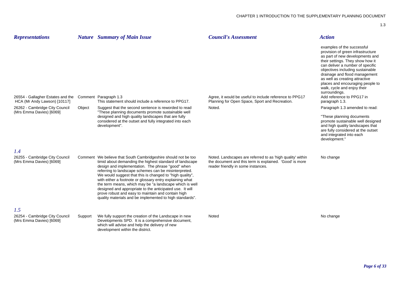| <b>Representations</b>                                            |         | <b>Nature</b> Summary of Main Issue                                                                                                                                                                                                                                                                                                                                                                                                                                                                                                                                                                      | <b>Council's Assessment</b>                                                                                                                                 | <b>Action</b>                                                                                                                                                                                                                                                                                                                                                                                                        |
|-------------------------------------------------------------------|---------|----------------------------------------------------------------------------------------------------------------------------------------------------------------------------------------------------------------------------------------------------------------------------------------------------------------------------------------------------------------------------------------------------------------------------------------------------------------------------------------------------------------------------------------------------------------------------------------------------------|-------------------------------------------------------------------------------------------------------------------------------------------------------------|----------------------------------------------------------------------------------------------------------------------------------------------------------------------------------------------------------------------------------------------------------------------------------------------------------------------------------------------------------------------------------------------------------------------|
| 26554 - Gallagher Estates and the<br>HCA (Mr Andy Lawson) [10117] |         | Comment Paragraph 1.3<br>This statement should include a reference to PPG17.                                                                                                                                                                                                                                                                                                                                                                                                                                                                                                                             | Agree, it would be useful to include reference to PPG17<br>Planning for Open Space, Sport and Recreation.                                                   | examples of the successful<br>provision of green infrastructure<br>as part of new developments and<br>their settings. They show how it<br>can deliver a number of specific<br>objectives including sustainable<br>drainage and flood management<br>as well as creating attractive<br>places and encouraging people to<br>walk, cycle and enjoy their<br>surroundings.<br>Add reference to PPG17 in<br>paragraph 1.3. |
| 26262 - Cambridge City Council<br>(Mrs Emma Davies) [6069]        | Object  | Suggest that the second sentence is reworded to read<br>"These planning documents promote sustainable well                                                                                                                                                                                                                                                                                                                                                                                                                                                                                               | Noted.                                                                                                                                                      | Paragraph 1.3 amended to read:                                                                                                                                                                                                                                                                                                                                                                                       |
|                                                                   |         | designed and high quality landscapes that are fully<br>considered at the outset and fully integrated into each<br>development".                                                                                                                                                                                                                                                                                                                                                                                                                                                                          |                                                                                                                                                             | "These planning documents<br>promote sustainable well designed<br>and high quality landscapes that<br>are fully considered at the outset<br>and integrated into each<br>development."                                                                                                                                                                                                                                |
| 1.4                                                               |         |                                                                                                                                                                                                                                                                                                                                                                                                                                                                                                                                                                                                          |                                                                                                                                                             |                                                                                                                                                                                                                                                                                                                                                                                                                      |
| 26255 - Cambridge City Council<br>(Mrs Emma Davies) [6069]        |         | Comment We believe that South Cambridgeshire should not be too<br>timid about demanding the highest standard of landscape<br>design and implementation. The phrase "good" when<br>referring to landscape schemes can be misinterpreted.<br>We would suggest that this is changed to "high quality",<br>with either a footnote or glossary entry explaining what<br>the term means, which may be "a landscape which is well<br>designed and appropriate to the anticipated use. It will<br>prove robust and easy to maintain and contain high<br>quality materials and be implemented to high standards". | Noted. Landscapes are referred to as 'high quality' within<br>the document and this term is explained. 'Good' is more<br>reader friendly in some instances. | No change                                                                                                                                                                                                                                                                                                                                                                                                            |
| 1.5                                                               |         |                                                                                                                                                                                                                                                                                                                                                                                                                                                                                                                                                                                                          |                                                                                                                                                             |                                                                                                                                                                                                                                                                                                                                                                                                                      |
| 26254 - Cambridge City Council<br>(Mrs Emma Davies) [6069]        | Support | We fully support the creation of the Landscape in new<br>Developments SPD. It is a comprehensive document,<br>which will advise and help the delivery of new<br>development within the district.                                                                                                                                                                                                                                                                                                                                                                                                         | Noted                                                                                                                                                       | No change                                                                                                                                                                                                                                                                                                                                                                                                            |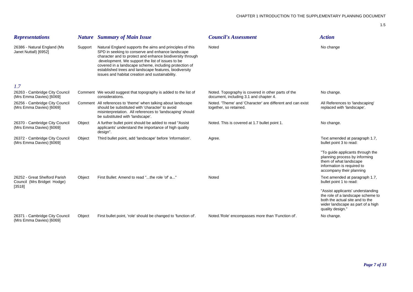| <b>Representations</b>                                       |         | <b>Nature</b> Summary of Main Issue                                                                                                                                                                                                                                                                                                                                                                  | <b>Council's Assessment</b>                                                                  | <b>Action</b>                                                                                                                                                      |
|--------------------------------------------------------------|---------|------------------------------------------------------------------------------------------------------------------------------------------------------------------------------------------------------------------------------------------------------------------------------------------------------------------------------------------------------------------------------------------------------|----------------------------------------------------------------------------------------------|--------------------------------------------------------------------------------------------------------------------------------------------------------------------|
| 26386 - Natural England (Ms<br>Janet Nuttall) [6952]         | Support | Natural England supports the aims and principles of this<br>SPD in seeking to conserve and enhance landscape<br>character and to protect and enhance biodiversity through<br>development. We support the list of issues to be<br>covered in a landscape scheme, including protection of<br>established trees and landscape features, biodiversity<br>issues and habitat creation and sustainability. | Noted                                                                                        | No change                                                                                                                                                          |
| 1.7                                                          |         |                                                                                                                                                                                                                                                                                                                                                                                                      |                                                                                              |                                                                                                                                                                    |
| 26263 - Cambridge City Council<br>(Mrs Emma Davies) [6069]   |         | Comment We would suggest that topography is added to the list of<br>considerations.                                                                                                                                                                                                                                                                                                                  | Noted. Topography is covered in other parts of the<br>document, including 3.1 and chapter 4. | No change.                                                                                                                                                         |
| 26256 - Cambridge City Council<br>(Mrs Emma Davies) [6069]   |         | Comment All references to 'theme' when talking about landscape<br>should be substituted with 'character' to avoid<br>misinterpretation. All references to 'landscaping' should<br>be substituted with 'landscape'.                                                                                                                                                                                   | Noted. 'Theme' and 'Character' are different and can exist<br>together, so retained.         | All References to 'landscaping'<br>replaced with 'landscape'.                                                                                                      |
| 26370 - Cambridge City Council<br>(Mrs Emma Davies) [6069]   | Object  | A further bullet point should be added to read "Assist<br>applicants' understand the importance of high quality<br>design".                                                                                                                                                                                                                                                                          | Noted. This is covered at 1.7 bullet point 1.                                                | No change.                                                                                                                                                         |
| 26372 - Cambridge City Council<br>(Mrs Emma Davies) [6069]   | Object  | Third bullet point, add 'landscape' before 'information'.                                                                                                                                                                                                                                                                                                                                            | Agree.                                                                                       | Text amended at paragraph 1.7,<br>bullet point 3 to read:                                                                                                          |
|                                                              |         |                                                                                                                                                                                                                                                                                                                                                                                                      |                                                                                              | "To guide applicants through the<br>planning process by informing<br>them of what landscape<br>information is required to<br>accompany their planning              |
| 26252 - Great Shelford Parish<br>Council (Mrs Bridget Hodge) | Object  | First Bullet: Amend to read "the role 'of' a"                                                                                                                                                                                                                                                                                                                                                        | Noted                                                                                        | Text amended at paragraph 1.7,<br>bullet point 1 to read:                                                                                                          |
| [3518]                                                       |         |                                                                                                                                                                                                                                                                                                                                                                                                      |                                                                                              | "Assist applicants' understanding<br>the role of a landscape scheme to<br>both the actual site and to the<br>wider landscape as part of a high<br>quality design." |
| 26371 - Cambridge City Council<br>(Mrs Emma Davies) [6069]   | Object  | First bullet point, 'role' should be changed to 'function of'.                                                                                                                                                                                                                                                                                                                                       | Noted.'Role' encompasses more than 'Function of'.                                            | No change.                                                                                                                                                         |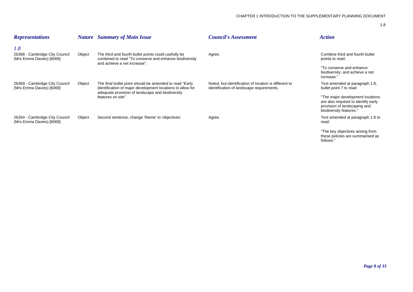| <b>Representations</b>                                            |        | <b>Nature</b> Summary of Main Issue                                                                                                                                                              | <b>Council's Assessment</b>                                                                        | <b>Action</b>                                                                                                                                                                                   |
|-------------------------------------------------------------------|--------|--------------------------------------------------------------------------------------------------------------------------------------------------------------------------------------------------|----------------------------------------------------------------------------------------------------|-------------------------------------------------------------------------------------------------------------------------------------------------------------------------------------------------|
| 1.8<br>26368 - Cambridge City Council<br>(Mrs Emma Davies) [6069] | Object | The third and fourth bullet points could usefully be<br>combined to read "To conserve and enhance biodiversity<br>and achieve a net increase".                                                   | Agree.                                                                                             | Combine third and fourth bullet<br>points to read:<br>"To conserve and enhance<br>biodiversity, and achieve a net<br>increase."                                                                 |
| 26369 - Cambridge City Council<br>(Mrs Emma Davies) [6069]        | Object | The final bullet point should be amended to read "Early"<br>identification of major development locations to allow for<br>adequate provision of landscape and biodiversity<br>features on site". | Noted, but identification of location is different to<br>identification of landscape requirements. | Text amended at paragraph 1.8,<br>bullet point 7 to read:<br>"The major development locations<br>are also required to identify early<br>provision of landscaping and<br>biodiversity features." |
| 26264 - Cambridge City Council<br>(Mrs Emma Davies) [6069]        | Object | Second sentence, change 'theme' to 'objectives'.                                                                                                                                                 | Agree.                                                                                             | Text amended at paragraph 1.8 to<br>read:<br>"The key objectives arising from<br>these policies are summarised as<br>follows:"                                                                  |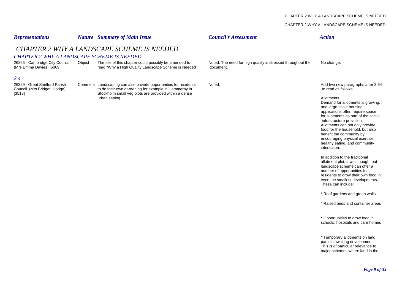### CHAPTER 2 WHY A LANDSCAPE SCHEME IS NEEDED

| <b>Representations</b>                                              |        | <b>Nature</b> Summary of Main Issue                                                                                      | <b>Council's Assessment</b>                                              | <b>Action</b>                                                                                                                                                                                                                                                                                                                                                             |
|---------------------------------------------------------------------|--------|--------------------------------------------------------------------------------------------------------------------------|--------------------------------------------------------------------------|---------------------------------------------------------------------------------------------------------------------------------------------------------------------------------------------------------------------------------------------------------------------------------------------------------------------------------------------------------------------------|
| <b>CHAPTER 2 WHY A LANDSCAPE SCHEME IS NEEDED</b>                   |        | <b>CHAPTER 2 WHY A LANDSCAPE SCHEME IS NEEDED</b>                                                                        |                                                                          |                                                                                                                                                                                                                                                                                                                                                                           |
| 26265 - Cambridge City Council<br>(Mrs Emma Davies) [6069]          | Object | The title of this chapter could possibly be amended to<br>read "Why a High Quality Landscape Scheme is Needed".          | Noted. The need for high quality is stressed throughout the<br>document. | No change.                                                                                                                                                                                                                                                                                                                                                                |
| 2.4<br>26329 - Great Shelford Parish<br>Council (Mrs Bridget Hodge) |        | Comment Landscaping can also provide opportunities for residents<br>to do their own gardening for example in Hammerby in | Noted.                                                                   | Add two new paragraphs after 3.64<br>to read as follows:                                                                                                                                                                                                                                                                                                                  |
| [3518]                                                              |        | Stockholm small veg plots are provided within a dense<br>urban setting.                                                  |                                                                          | Allotments<br>Demand for allotments is growing,<br>and large-scale housing<br>applications often require space<br>for allotments as part of the social<br>infrastructure provision.<br>Allotments can not only provide<br>food for the household, but also<br>benefit the community by<br>encouraging physical exercise,<br>healthy eating, and community<br>interaction. |
|                                                                     |        |                                                                                                                          |                                                                          | In addition to the traditional<br>allotment plot, a well thought out<br>landscape scheme can offer a<br>number of opportunities for<br>residents to grow their own food in<br>even the smallest developments.<br>These can include:                                                                                                                                       |
|                                                                     |        |                                                                                                                          |                                                                          | * Roof gardens and green walls                                                                                                                                                                                                                                                                                                                                            |
|                                                                     |        |                                                                                                                          |                                                                          | * Raised beds and container areas                                                                                                                                                                                                                                                                                                                                         |
|                                                                     |        |                                                                                                                          |                                                                          | * Opportunities to grow food in<br>schools, hospitals and care homes                                                                                                                                                                                                                                                                                                      |
|                                                                     |        |                                                                                                                          |                                                                          | * Temporary allotments on land<br>parcels awaiting development -<br>This is of particular relevance to<br>major schemes where land in the                                                                                                                                                                                                                                 |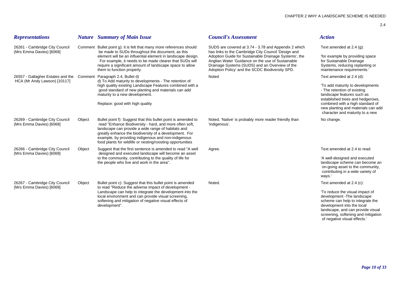| <b>Representations</b>                                                                             |        | <b>Nature</b> Summary of Main Issue                                                                                                                                                                                                                                                                                                                           | <b>Council's Assessment</b>                                                                                                                                                                                     | <b>Action</b>                                                                                                                                                         |
|----------------------------------------------------------------------------------------------------|--------|---------------------------------------------------------------------------------------------------------------------------------------------------------------------------------------------------------------------------------------------------------------------------------------------------------------------------------------------------------------|-----------------------------------------------------------------------------------------------------------------------------------------------------------------------------------------------------------------|-----------------------------------------------------------------------------------------------------------------------------------------------------------------------|
| 26261 - Cambridge City Council<br>(Mrs Emma Davies) [6069]                                         |        | Comment Bullet point g): it is felt that many more references should<br>be made to SUDs throughout the document, as this                                                                                                                                                                                                                                      | SUDS are covered at 3.74 - 3.78 and Appendix 2 which<br>has links to the Cambridge City Council 'Design and                                                                                                     | Text amended at $2.4$ (g):                                                                                                                                            |
|                                                                                                    |        | element will be an influential element in landscape design.<br>For example, it needs to be made clearer that SUDs will<br>require a significant amount of landscape space to allow<br>them to function properly.                                                                                                                                              | Adoption Guide for Sustainable Drainage Systems', the<br>Anglian Water 'Guidance on the use of Sustainable<br>Drainage Systems (SUDS) and an Overview of the<br>Adoption Policy' and the SCDC Biodiversity SPD. | 'for example by providing space<br>for Sustainable Drainage<br>Systems, reducing replanting or<br>maintenance requirements."                                          |
| 26557 - Gallagher Estates and the Comment Paragraph 2.4, Bullet d)<br>HCA (Mr Andy Lawson) [10117] |        | d) To Add maturity to developments - The retention of                                                                                                                                                                                                                                                                                                         | Noted                                                                                                                                                                                                           | Text amended at 2.4 (d):                                                                                                                                              |
|                                                                                                    |        | high quality existing Landscape Features combined with a<br>good standard of new planting and materials can add<br>maturity to a new development.                                                                                                                                                                                                             |                                                                                                                                                                                                                 | 'To add maturity to developments<br>- The retention of existing<br>landscape features such as<br>established trees and hedgerows,                                     |
|                                                                                                    |        | Replace: good with high quality                                                                                                                                                                                                                                                                                                                               |                                                                                                                                                                                                                 | combined with a high standard of<br>new planting and materials can add<br>character and maturity to a new                                                             |
| 26269 - Cambridge City Council<br>(Mrs Emma Davies) [6069]                                         | Object | Bullet point f): Suggest that this bullet point is amended to<br>read "Enhance Biodiversity - hard, and more often soft,<br>landscape can provide a wide range of habitats and<br>greatly enhance the biodiversity of a development. For<br>example, by providing indigenous and non-indigenous<br>food plants for wildlife or nesting/roosting opportunities | Noted. 'Native' is probably more reader friendly than<br>'indigenous'.                                                                                                                                          | No change.                                                                                                                                                            |
| 26266 - Cambridge City Council<br>(Mrs Emma Davies) [6069]                                         | Object | Suggest that the first sentence is amended to read "A well<br>designed and executed landscape will become an asset                                                                                                                                                                                                                                            | Agree.                                                                                                                                                                                                          | Text amended at 2.4 to read:                                                                                                                                          |
|                                                                                                    |        | to the community, contributing to the quality of life for<br>the people who live and work in the area".                                                                                                                                                                                                                                                       |                                                                                                                                                                                                                 | 'A well-designed and executed<br>landscape scheme can become an<br>on-going asset to the community,<br>contributing in a wide variety of<br>ways.'                    |
| 26267 - Cambridge City Council<br>(Mrs Emma Davies) [6069]                                         | Object | Bullet point c): Suggest that this bullet point is amended<br>to read "Reduce the adverse impact of development -                                                                                                                                                                                                                                             | Noted.                                                                                                                                                                                                          | Text amended at 2.4 (c):                                                                                                                                              |
|                                                                                                    |        | Landscape can help to integrate the development into the<br>local environment and can provide visual screening,<br>softening and mitigation of negative visual effects of<br>development".                                                                                                                                                                    |                                                                                                                                                                                                                 | 'To reduce the visual impact of<br>development - The landscape<br>scheme can help to integrate the<br>development into the local<br>landscape, and can provide visual |

screening, softening and mitigation of negative visual effects.'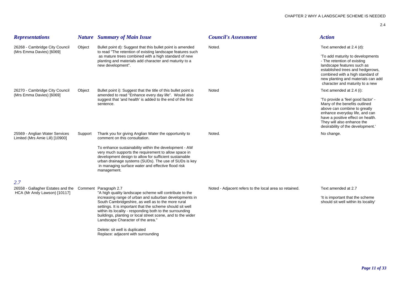| <b>Representations</b>                                                                         |         | <b>Nature</b> Summary of Main Issue                                                                                                                                                                                                                                                                                                                                                                                                                                          | <b>Council's Assessment</b>                            | <b>Action</b>                                                                                                                                                                                                                                                              |
|------------------------------------------------------------------------------------------------|---------|------------------------------------------------------------------------------------------------------------------------------------------------------------------------------------------------------------------------------------------------------------------------------------------------------------------------------------------------------------------------------------------------------------------------------------------------------------------------------|--------------------------------------------------------|----------------------------------------------------------------------------------------------------------------------------------------------------------------------------------------------------------------------------------------------------------------------------|
| 26268 - Cambridge City Council<br>(Mrs Emma Davies) [6069]                                     | Object  | Bullet point d): Suggest that this bullet point is amended<br>to read "The retention of existing landscape features such<br>as mature trees combined with a high standard of new<br>planting and materials add character and maturity to a<br>new development".                                                                                                                                                                                                              | Noted.                                                 | Text amended at 2.4 (d):<br>'To add maturity to developments<br>- The retention of existing<br>landscape features such as<br>established trees and hedgerows,<br>combined with a high standard of<br>new planting and materials can add<br>character and maturity to a new |
| 26270 - Cambridge City Council<br>(Mrs Emma Davies) [6069]                                     | Object  | Bullet point i): Suggest that the title of this bullet point is<br>amended to read "Enhance every day life". Would also<br>suggest that 'and health' is added to the end of the first<br>sentence.                                                                                                                                                                                                                                                                           | Noted                                                  | Text amended at 2.4 (i):<br>'To provide a 'feel good factor' -<br>Many of the benefits outlined<br>above can combine to greatly<br>enhance everyday life, and can<br>have a positive effect on health.<br>They will also enhance the<br>desirability of the development.'  |
| 25569 - Anglian Water Services<br>Limited (Mrs Amie Lill) [10900]                              | Support | Thank you for giving Anglian Water the opportunity to<br>comment on this consultation.<br>To enhance sustainability within the development - AW<br>very much supports the requirement to allow space in<br>development design to allow for sufficient sustainable<br>urban drainage systems (SUDs). The use of SUDs is key<br>in managing surface water and effective flood risk<br>management.                                                                              | Noted.                                                 | No change.                                                                                                                                                                                                                                                                 |
| 2.7<br>26558 - Gallagher Estates and the Comment Paragraph 2.7<br>HCA (Mr Andy Lawson) [10117] |         | "A high quality landscape scheme will contribute to the<br>increasing range of urban and suburban developments in<br>South Cambridgeshire, as well as to the more rural<br>settings. It is important that the scheme should sit well<br>within its locality - responding both to the surrounding<br>buildings, planting or local street scene, and to the wider<br>Landscape Character of the area."<br>Delete: sit well is duplicated<br>Replace: adjacent with surrounding | Noted - Adjacent refers to the local area so retained. | Text amended at 2.7<br>'It is important that the scheme<br>should sit well within its locality'                                                                                                                                                                            |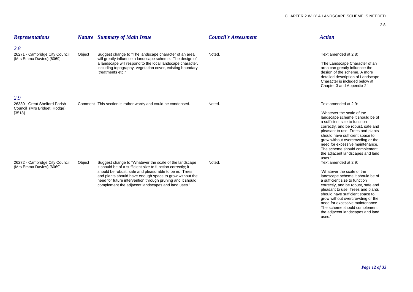| <b>Representations</b>                                                        |        | <b>Nature</b> Summary of Main Issue                                                                                                                                                                                                                                                                                                                             | <b>Council's Assessment</b> | <b>Action</b>                                                                                                                                                                                                                                                                                                                                                                              |
|-------------------------------------------------------------------------------|--------|-----------------------------------------------------------------------------------------------------------------------------------------------------------------------------------------------------------------------------------------------------------------------------------------------------------------------------------------------------------------|-----------------------------|--------------------------------------------------------------------------------------------------------------------------------------------------------------------------------------------------------------------------------------------------------------------------------------------------------------------------------------------------------------------------------------------|
| 2.8<br>26271 - Cambridge City Council<br>(Mrs Emma Davies) [6069]             | Object | Suggest change to "The landscape character of an area<br>will greatly influence a landscape scheme. The design of<br>a landscape will respond to the local landscape character,<br>including topography, vegetation cover, existing boundary<br>treatments etc."                                                                                                | Noted.                      | Text amended at 2.8:<br>'The Landscape Character of an<br>area can greatly influence the<br>design of the scheme. A more<br>detailed description of Landscape<br>Character is included below at<br>Chapter 3 and Appendix 2.                                                                                                                                                               |
| 2.9<br>26330 - Great Shelford Parish<br>Council (Mrs Bridget Hodge)<br>[3518] |        | Comment This section is rather wordy and could be condensed.                                                                                                                                                                                                                                                                                                    | Noted.                      | Text amended at 2.9:<br>'Whatever the scale of the<br>landscape scheme it should be of<br>a sufficient size to function<br>correctly, and be robust, safe and<br>pleasant to use. Trees and plants<br>should have sufficient space to<br>grow without overcrowding or the<br>need for excessive maintenance.<br>The scheme should complement<br>the adjacent landscapes and land<br>uses.' |
| 26272 - Cambridge City Council<br>(Mrs Emma Davies) [6069]                    | Object | Suggest change to "Whatever the scale of the landscape"<br>it should be of a sufficient size to function correctly; it<br>should be robust, safe and pleasurable to be in. Trees<br>and plants should have enough space to grow without the<br>need for future intervention through pruning and it should<br>complement the adjacent landscapes and land uses." | Noted.                      | Text amended at 2.9:<br>'Whatever the scale of the<br>landscape scheme it should be of<br>a sufficient size to function<br>correctly, and be robust, safe and<br>pleasant to use. Trees and plants<br>should have sufficient space to<br>grow without overcrowding or the<br>need for excessive maintenance.<br>The scheme should complement                                               |

the adjacent landscapes and land uses.'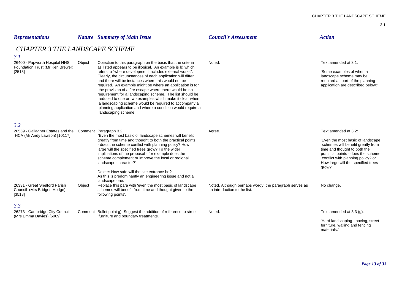| <b>Representations</b>                                                                                                                                                   |        | <b>Nature</b> Summary of Main Issue                                                                                                                                                                                                                                                                                                                                                                                                                                                                                                                                                                                                                                                                | <b>Council's Assessment</b>                                                                      | <b>Action</b>                                                                                                                                                                                                                                                           |
|--------------------------------------------------------------------------------------------------------------------------------------------------------------------------|--------|----------------------------------------------------------------------------------------------------------------------------------------------------------------------------------------------------------------------------------------------------------------------------------------------------------------------------------------------------------------------------------------------------------------------------------------------------------------------------------------------------------------------------------------------------------------------------------------------------------------------------------------------------------------------------------------------------|--------------------------------------------------------------------------------------------------|-------------------------------------------------------------------------------------------------------------------------------------------------------------------------------------------------------------------------------------------------------------------------|
| <b>CHAPTER 3 THE LANDSCAPE SCHEME</b><br>3.1                                                                                                                             |        |                                                                                                                                                                                                                                                                                                                                                                                                                                                                                                                                                                                                                                                                                                    |                                                                                                  |                                                                                                                                                                                                                                                                         |
| 26400 - Papworth Hospital NHS<br>Foundation Trust (Mr Ken Brewer)<br>[2513]                                                                                              | Object | Objection to this paragraph on the basis that the criteria<br>as listed appears to be illogical. An example is b) which<br>refers to "where development includes external works".<br>Clearly, the circumstances of each application will differ<br>and there will be instances where this would not be<br>required. An example might be where an application is for<br>the provision of a fire escape where there would be no<br>requirement for a landscaping scheme. The list should be<br>reduced to one or two examples which make it clear when<br>a landscaping scheme would be required to accompany a<br>planning application and where a condition would require a<br>landscaping scheme. | Noted.                                                                                           | Text amended at 3.1:<br>'Some examples of when a<br>landscape scheme may be<br>required as part of the planning<br>application are described below:'                                                                                                                    |
| 3.2<br>26559 - Gallagher Estates and the Comment Paragraph 3.2<br>HCA (Mr Andy Lawson) [10117]<br>26331 - Great Shelford Parish<br>Council (Mrs Bridget Hodge)<br>[3518] | Object | "Even the most basic of landscape schemes will benefit<br>greatly from time and thought to both the practical points<br>- does the scheme conflict with planning policy? How<br>large will the specified trees grow? To the wider<br>implications of the proposal - for example does the<br>scheme complement or improve the local or regional<br>landscape character?"<br>Delete: How safe will the site entrance be?<br>As this is predominantly an engineering issue and not a<br>landscape one.<br>Replace this para with 'even the most basic of landscape<br>schemes will benefit from time and thought given to the<br>following points'.                                                   | Agree.<br>Noted. Although perhaps wordy, the paragraph serves as<br>an introduction to the list. | Text amended at 3.2:<br>'Even the most basic of landscape<br>schemes will benefit greatly from<br>time and thought to both the<br>practical points - does the scheme<br>conflict with planning policy? or<br>How large will the specified trees<br>grow?'<br>No change. |
| 3.3<br>26273 - Cambridge City Council<br>(Mrs Emma Davies) [6069]                                                                                                        |        | Comment Bullet point g): Suggest the addition of reference to street<br>furniture and boundary treatments.                                                                                                                                                                                                                                                                                                                                                                                                                                                                                                                                                                                         | Noted.                                                                                           | Text amended at $3.3$ (g):<br>'Hard landscaping - paving, street                                                                                                                                                                                                        |

furniture, walling and fencing materials.'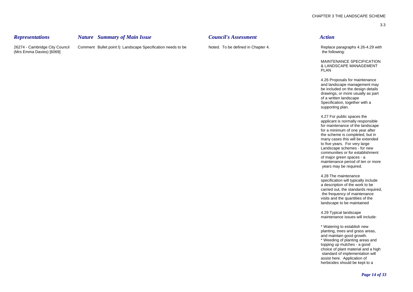# *Representations Nature Summary of Main Issue Council's Assessment Action*

26274 - Cambridge City Council Comment Bullet point l): Landscape Specification needs to be Noted. To be defined in Chapter 4. Replace paragraphs 4.26-4.29 with (Mrs Emma Davies) [6069] the following: the following: the following: the following:

MAINTENANCE SPECIFICATION & LANDSCAPE MANAGEMENT PI AN

4.26 Proposals for maintenance and landscape management may be included on the design details drawings, or more usually as part of a written landscape Specification, together with a supporting plan.

4.27 For public spaces the applicant is normally responsible for maintenance of the landscape for a minimum of one year after the scheme is completed, but in many cases this will be extended to five years. For very large Landscape schemes - for new communities or for establishment of major green spaces - a maintenance period of ten or more years may be required.

4.28 The maintenance specification will typically include a description of the work to be carried out, the standards required, the frequency of maintenance visits and the quantities of the landscape to be maintained

4.29 Typical landscape maintenance issues will include:

\* Watering to establish new planting, trees and grass areas, and maintain good growth. \* Weeding of planting areas and topping up mulches - a good choice of plant material and a high standard of implementation will assist here. Application of herbicides should be kept to a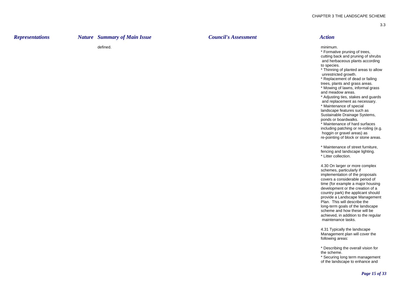# *Representations Nature Summary of Main Issue Council's Assessment Action*

defined.

minimum.

\* Formative pruning of trees, cutting back and pruning of shrubs and herbaceous plants according to species.

\* Thinning of planted areas to allow unrestricted growth.

\* Replacement of dead or failing trees, plants and grass areas.

\* Mowing of lawns, informal grass and meadow areas.

\* Adjusting ties, stakes and guards and replacement as necessary.

\* Maintenance of special landscape features such as Sustainable Drainage Systems, ponds or boardwalks.

\* Maintenance of hard surfaces including patching or re-roiling (e.g. hoggin or gravel areas) as re-pointing of block or stone areas.

\* Maintenance of street furniture, fencing and landscape lighting. \* Litter collection.

4.30 On larger or more complex schemes, particularly if implementation of the proposals covers a considerable period of time (for example a major housing development or the creation of a country park) the applicant should provide a Landscape Management Plan. This will describe the long-term goals of the landscape scheme and how these will be achieved, in addition to the regular maintenance tasks.

4.31 Typically the landscape Management plan will cover the following areas:

\* Describing the overall vision for the scheme.

\* Securing long term management of the landscape to enhance and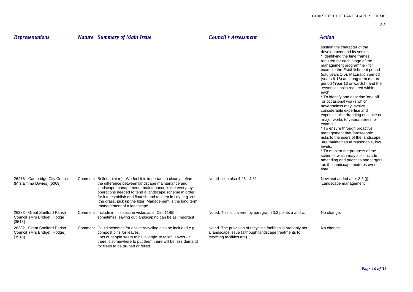| × | × |  |
|---|---|--|
|   |   |  |

| <b>Representations</b>                                                 | <b>Nature</b> Summary of Main Issue                                                                                                                                                                                                                                                                                                                                                                 | <b>Council's Assessment</b>                                                                                                                       | <b>Action</b>                                                                                                                                                                                                                                                                                                                                                                                                                                                                                                                                                                                                                                                                                                                                                                                                                                                                                      |
|------------------------------------------------------------------------|-----------------------------------------------------------------------------------------------------------------------------------------------------------------------------------------------------------------------------------------------------------------------------------------------------------------------------------------------------------------------------------------------------|---------------------------------------------------------------------------------------------------------------------------------------------------|----------------------------------------------------------------------------------------------------------------------------------------------------------------------------------------------------------------------------------------------------------------------------------------------------------------------------------------------------------------------------------------------------------------------------------------------------------------------------------------------------------------------------------------------------------------------------------------------------------------------------------------------------------------------------------------------------------------------------------------------------------------------------------------------------------------------------------------------------------------------------------------------------|
|                                                                        |                                                                                                                                                                                                                                                                                                                                                                                                     |                                                                                                                                                   | sustain the character of the<br>development and its setting.<br>* Identifying the time frames<br>required for each stage of the<br>management programme - for<br>example the Establishment period<br>(say years 1-5), Maturation period<br>(years 6-15) and long term mature<br>period (Year 16 onwards) - and the<br>essential tasks required within<br>each.<br>* To identify and describe 'one off'<br>or occasional works which<br>nevertheless may involve<br>considerable expertise and<br>expense - the dredging of a lake or<br>major works to veteran trees for<br>example.<br>* To ensure through proactive<br>management that foreseeable<br>risks to the users of the landscape<br>are maintained at reasonable, low<br>levels.<br>* To monitor the progress of the<br>scheme, which may also include<br>amending and priorities and targets<br>as the landscape matures over<br>time. |
| 26275 - Cambridge City Council<br>(Mrs Emma Davies) [6069]             | Comment Bullet point m): We feel it is important to clearly define<br>the difference between landscape maintenance and<br>landscape management - maintenance is the everyday<br>operations needed to tend a landscape scheme in order<br>for it to establish and flourish and to keep in tidy, e.g. cut<br>the grass, pick up the litter. Management is the long term<br>management of a landscape. | Noted - see also 4.26 - 4.31                                                                                                                      | New text added after 3.3 (j):<br>'Landscape management                                                                                                                                                                                                                                                                                                                                                                                                                                                                                                                                                                                                                                                                                                                                                                                                                                             |
| 26333 - Great Shelford Parish<br>Council (Mrs Bridget Hodge)<br>[3518] | Comment Include in this section vistas as in Circ 11/95 -<br>sometimes leaving out landscaping can be as important                                                                                                                                                                                                                                                                                  | Noted. This is covered by paragraph 3.3 points a and c.                                                                                           | No change.                                                                                                                                                                                                                                                                                                                                                                                                                                                                                                                                                                                                                                                                                                                                                                                                                                                                                         |
| 26332 - Great Shelford Parish<br>Council (Mrs Bridget Hodge)<br>[3518] | Comment Could schemes for onsite recycling also be included e.g.<br>compost bins for leaves.<br>Lots of people seem to be 'allergic' to fallen leaves - if<br>there is somewhere to put them there will be less demand<br>for trees to be pruned or felled.                                                                                                                                         | Noted. The provision of recycling facilities is probably not<br>a landscape issue (although landscape treatments to<br>recycling facilities are). | No change.                                                                                                                                                                                                                                                                                                                                                                                                                                                                                                                                                                                                                                                                                                                                                                                                                                                                                         |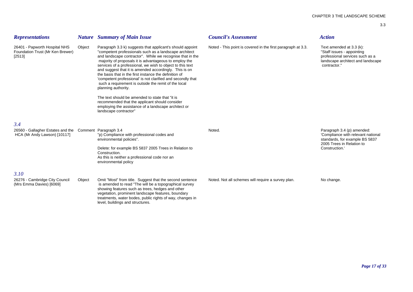| <b>Representations</b>                                                                  |        | <b>Nature</b> Summary of Main Issue                                                                                                                                                                                                                                                                                                                                                                                                                                                                                                                                                                                                                                                                                                                              | <b>Council's Assessment</b>                                  | <b>Action</b>                                                                                                                                     |
|-----------------------------------------------------------------------------------------|--------|------------------------------------------------------------------------------------------------------------------------------------------------------------------------------------------------------------------------------------------------------------------------------------------------------------------------------------------------------------------------------------------------------------------------------------------------------------------------------------------------------------------------------------------------------------------------------------------------------------------------------------------------------------------------------------------------------------------------------------------------------------------|--------------------------------------------------------------|---------------------------------------------------------------------------------------------------------------------------------------------------|
| 26401 - Papworth Hospital NHS<br>Foundation Trust (Mr Ken Brewer)<br>[2513]             | Object | Paragraph 3.3 k) suggests that applicant's should appoint<br>"competent professionals such as a landscape architect<br>and landscape contractor". While we recognise that in the<br>majority of proposals it is advantageous to employ the<br>services of a professional, we wish to object to this text<br>and suggest that it is amended accordingly. This is on<br>the basis that in the first instance the definition of<br>'competent professional' is not clarified and secondly that<br>such a requirement is outside the remit of the local<br>planning authority.<br>The text should be amended to state that "it is<br>recommended that the applicant should consider<br>employing the assistance of a landscape architect or<br>landscape contractor" | Noted - This point is covered in the first paragraph at 3.3. | Text amended at 3.3 (k):<br>"Staff issues - appointing<br>professional services such as a<br>landscape architect and landscape<br>contractor."    |
| 3.4                                                                                     |        |                                                                                                                                                                                                                                                                                                                                                                                                                                                                                                                                                                                                                                                                                                                                                                  |                                                              |                                                                                                                                                   |
| 26560 - Gallagher Estates and the Comment Paragraph 3.4<br>HCA (Mr Andy Lawson) [10117] |        | "p) Compliance with professional codes and<br>environmental policies".<br>Delete: for example BS 5837 2005 Trees in Relation to<br>Construction.<br>As this is neither a professional code nor an<br>environmental policy                                                                                                                                                                                                                                                                                                                                                                                                                                                                                                                                        | Noted.                                                       | Paragraph 3.4 (p) amended:<br>'Compliance with relevant national<br>standards, for example BS 5837<br>2005 Trees in Relation to<br>Construction.' |
| 3.10                                                                                    |        |                                                                                                                                                                                                                                                                                                                                                                                                                                                                                                                                                                                                                                                                                                                                                                  |                                                              |                                                                                                                                                   |
| 26276 - Cambridge City Council<br>(Mrs Emma Davies) [6069]                              | Object | Omit "Most" from title. Suggest that the second sentence<br>is amended to read "The will be a topographical survey<br>showing features such as trees, hedges and other<br>vegetation, prominent landscape features, boundary<br>treatments, water bodes, public rights of way, changes in<br>level, buildings and structures.                                                                                                                                                                                                                                                                                                                                                                                                                                    | Noted. Not all schemes will require a survey plan.           | No change.                                                                                                                                        |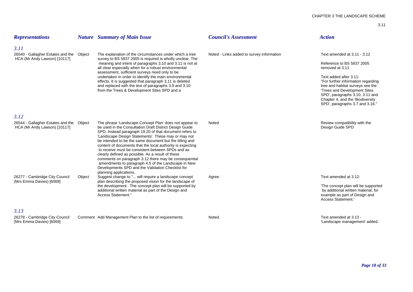| <b>Representations</b>                                            |        | <b>Nature</b> Summary of Main Issue                                                                                                                                                                                                                                                                                                                                                                               | <b>Council's Assessment</b>               | <b>Action</b>                                                                                                                                                                                                                               |
|-------------------------------------------------------------------|--------|-------------------------------------------------------------------------------------------------------------------------------------------------------------------------------------------------------------------------------------------------------------------------------------------------------------------------------------------------------------------------------------------------------------------|-------------------------------------------|---------------------------------------------------------------------------------------------------------------------------------------------------------------------------------------------------------------------------------------------|
| 3.11                                                              |        |                                                                                                                                                                                                                                                                                                                                                                                                                   |                                           |                                                                                                                                                                                                                                             |
| 26540 - Gallagher Estates and the<br>HCA (Mr Andy Lawson) [10117] | Object | The explanation of the circumstances under which a tree<br>survey to BS 5837 2005 is required is wholly unclear. The                                                                                                                                                                                                                                                                                              | Noted - Links added to survey information | Text amended at 3.11 - 3.12                                                                                                                                                                                                                 |
|                                                                   |        | meaning and intent of paragraphs 3.10 and 3.11 is not at<br>all clear especially when for a robust environmental                                                                                                                                                                                                                                                                                                  |                                           | Reference to BS 5837 2005<br>removed at 3.11                                                                                                                                                                                                |
|                                                                   |        | assessment, sufficient surveys need only to be<br>undertaken in order to identify the main environmental<br>effects. It is suggested that paragraph 3.11 is deleted<br>and replaced with the text of paragraphs 3.9 and 3.10<br>from the Trees & Development Sites SPD and a                                                                                                                                      |                                           | Text added after 3.11:<br>"For further information regarding<br>tree and habitat surveys see the<br>'Trees and Development Sites<br>SPD', paragraphs 3.10, 3.11 and<br>Chapter 4, and the 'Biodiversity'<br>SPD', paragraphs 3.7 and 3.16." |
| 3.12                                                              |        |                                                                                                                                                                                                                                                                                                                                                                                                                   |                                           |                                                                                                                                                                                                                                             |
| 26544 - Gallagher Estates and the<br>HCA (Mr Andy Lawson) [10117] | Object | The phrase 'Landscape Concept Plan' does not appear to<br>be used in the Consultation Draft District Design Guide<br>SPD. Instead paragraph 19.20 of that document refers to<br>'Landscape Design Statements'. These may or may not<br>be intended to be the same document but the titling and<br>content of documents that the local authority is expecting<br>to receive must be consistent between SPDs and as | Noted                                     | Review compatibility with the<br>Design Guide SPD                                                                                                                                                                                           |
| 26277 - Cambridge City Council                                    | Object | clearly defined as possible. As a result of these<br>comments on paragraph 3.12 there may be consequential<br>amendments to paragraph 4.5 of the Landscape in New<br>Developments SPD and the Validation Checklist for<br>planning applications.<br>Suggest change to " will require a landscape concept                                                                                                          | Agree.                                    | Text amended at 3.12:                                                                                                                                                                                                                       |
| (Mrs Emma Davies) [6069]                                          |        | plan describing the proposed vision for the landscape of<br>the development. The concept plan will be supported by<br>additional written material as part of the Design and<br>Access Statement."                                                                                                                                                                                                                 |                                           | 'The concept plan will be supported<br>by additional written material, for<br>example as part of Design and<br>Access Statement.'                                                                                                           |
| 3.13                                                              |        |                                                                                                                                                                                                                                                                                                                                                                                                                   |                                           |                                                                                                                                                                                                                                             |
| 26278 - Cambridge City Council<br>(Mrs Emma Davies) [6069]        |        | Comment Add Management Plan to the list of requirements.                                                                                                                                                                                                                                                                                                                                                          | Noted.                                    | Text amended at 3.13 -<br>'Landscape management' added.                                                                                                                                                                                     |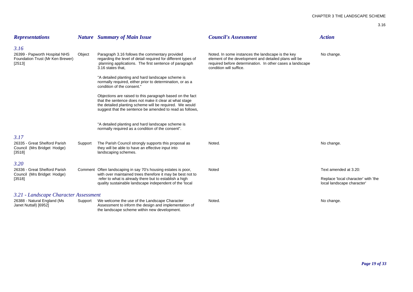| ٦       | I      |
|---------|--------|
| ×<br>۰, | ×<br>٦ |

| <b>Representations</b>                                                      |         | <b>Nature</b> Summary of Main Issue                                                                                                                                                                                                        | <b>Council's Assessment</b>                                                                                                                                                                        | <b>Action</b>                                                     |
|-----------------------------------------------------------------------------|---------|--------------------------------------------------------------------------------------------------------------------------------------------------------------------------------------------------------------------------------------------|----------------------------------------------------------------------------------------------------------------------------------------------------------------------------------------------------|-------------------------------------------------------------------|
| 3.16                                                                        |         |                                                                                                                                                                                                                                            |                                                                                                                                                                                                    |                                                                   |
| 26399 - Papworth Hospital NHS<br>Foundation Trust (Mr Ken Brewer)<br>[2513] | Object  | Paragraph 3.16 follows the commentary provided<br>regarding the level of detail required for different types of<br>planning applications. The first sentence of paragraph<br>3.16 states that.                                             | Noted. In some instances the landscape is the key<br>element of the development and detailed plans will be<br>required before determination. In other cases a landscape<br>condition will suffice. | No change.                                                        |
|                                                                             |         | "A detailed planting and hard landscape scheme is<br>normally required, either prior to determination, or as a<br>condition of the consent."                                                                                               |                                                                                                                                                                                                    |                                                                   |
|                                                                             |         | Objections are raised to this paragraph based on the fact<br>that the sentence does not make it clear at what stage<br>the detailed planting scheme will be required. We would<br>suggest that the sentence be amended to read as follows, |                                                                                                                                                                                                    |                                                                   |
|                                                                             |         | "A detailed planting and hard landscape scheme is<br>normally required as a condition of the consent".                                                                                                                                     |                                                                                                                                                                                                    |                                                                   |
| 3.17                                                                        |         |                                                                                                                                                                                                                                            |                                                                                                                                                                                                    |                                                                   |
| 26335 - Great Shelford Parish<br>Council (Mrs Bridget Hodge)<br>[3518]      | Support | The Parish Council strongly supports this proposal as<br>they will be able to have an effective input into<br>landscaping schemes.                                                                                                         | Noted.                                                                                                                                                                                             | No change.                                                        |
| 3.20                                                                        |         |                                                                                                                                                                                                                                            |                                                                                                                                                                                                    |                                                                   |
| 26336 - Great Shelford Parish                                               |         | Comment Often landscaping in say 70's housing estates is poor,                                                                                                                                                                             | Noted                                                                                                                                                                                              | Text amended at 3.20:                                             |
| Council (Mrs Bridget Hodge)<br>[3518]                                       |         | with over maintained trees therefore it may be best not to<br>refer to what is already there but to establish a high<br>quality sustainable landscape independent of the 'local                                                            |                                                                                                                                                                                                    | Replace 'local character' with 'the<br>local landscape character' |
| 3.21 - Landscape Character Assessment                                       |         |                                                                                                                                                                                                                                            |                                                                                                                                                                                                    |                                                                   |
| 26388 - Natural England (Ms<br>Janet Nuttall) [6952]                        | Support | We welcome the use of the Landscape Character<br>Assessment to inform the design and implementation of<br>the landscape scheme within new development.                                                                                     | Noted.                                                                                                                                                                                             | No change.                                                        |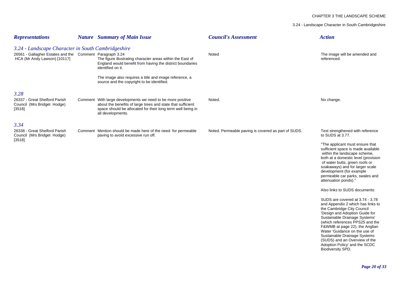### CHAPTER 3 THE LANDSCAPE SCHEME

3.24 - Landscape Character in South Cambridgeshire

| <b>Representations</b>                                                                                                                         | <b>Nature</b> Summary of Main Issue                                                                                                                                                                                                                          | <b>Council's Assessment</b>                         | <b>Action</b>                                                                                                                                                                                                                                                                                                                                                                                                                                                                                                                                                                                                                                                                                                                                                                                           |
|------------------------------------------------------------------------------------------------------------------------------------------------|--------------------------------------------------------------------------------------------------------------------------------------------------------------------------------------------------------------------------------------------------------------|-----------------------------------------------------|---------------------------------------------------------------------------------------------------------------------------------------------------------------------------------------------------------------------------------------------------------------------------------------------------------------------------------------------------------------------------------------------------------------------------------------------------------------------------------------------------------------------------------------------------------------------------------------------------------------------------------------------------------------------------------------------------------------------------------------------------------------------------------------------------------|
| 3.24 - Landscape Character in South Cambridgeshire<br>26561 - Gallagher Estates and the Comment Paragraph 3.24<br>HCA (Mr Andy Lawson) [10117] | The figure illustrating character areas within the East of<br>England would benefit from having the district boundaries<br>identified on it.<br>The image also requires a title and image reference, a                                                       | Noted                                               | The image will be amended and<br>referenced.                                                                                                                                                                                                                                                                                                                                                                                                                                                                                                                                                                                                                                                                                                                                                            |
| 3.28<br>26337 - Great Shelford Parish<br>Council (Mrs Bridget Hodge)<br>[3518]                                                                 | source and the copyright to be identified.<br>Comment With large developments we need to be more positive<br>about the benefits of large trees and state that sufficient<br>space should be allocated for their long term well being in<br>all developments. | Noted.                                              | No change.                                                                                                                                                                                                                                                                                                                                                                                                                                                                                                                                                                                                                                                                                                                                                                                              |
| 3.34<br>26338 - Great Shelford Parish<br>Council (Mrs Bridget Hodge)<br>[3518]                                                                 | Comment Mention should be made here of the need for permeable<br>paving to avoid excessive run off.                                                                                                                                                          | Noted. Permeable paving is covered as part of SUDS. | Text strengthened with reference<br>to SUDS at 3.77.<br>"The applicant must ensure that<br>sufficient space is made available<br>within the landscape scheme,<br>both at a domestic level (provision<br>of water butts, green roofs or<br>soakaways) and for larger scale<br>development (for example<br>permeable car parks, swales and<br>attenuation ponds)."<br>Also links to SUDS documents:<br>SUDS are covered at 3.74 - 3.78<br>and Appendix 2 which has links to<br>the Cambridge City Council<br>'Design and Adoption Guide for<br>Sustainable Drainage Systems'<br>(which references PPS25 and the<br>F&WMB at page 22), the Anglian<br>Water 'Guidance on the use of<br>Sustainable Drainage Systems<br>(SUDS) and an Overview of the<br>Adoption Policy' and the SCDC<br>Biodiversity SPD. |
|                                                                                                                                                |                                                                                                                                                                                                                                                              |                                                     | Page 20 of 3                                                                                                                                                                                                                                                                                                                                                                                                                                                                                                                                                                                                                                                                                                                                                                                            |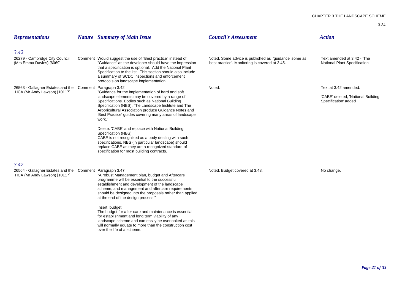| <b>Representations</b>                                                                           | <b>Nature</b> Summary of Main Issue                                                                                                                                                                                                                                                                                                                                                                                                                                                                                                                                                                                                         | <b>Council's Assessment</b>                                                                              | <b>Action</b>                                                                       |
|--------------------------------------------------------------------------------------------------|---------------------------------------------------------------------------------------------------------------------------------------------------------------------------------------------------------------------------------------------------------------------------------------------------------------------------------------------------------------------------------------------------------------------------------------------------------------------------------------------------------------------------------------------------------------------------------------------------------------------------------------------|----------------------------------------------------------------------------------------------------------|-------------------------------------------------------------------------------------|
| 3.42<br>26279 - Cambridge City Council<br>(Mrs Emma Davies) [6069]                               | Comment Would suggest the use of "Best practice" instead of<br>"Guidance" as the developer should have the impression<br>that a specification is optional. Add the National Plant<br>Specification to the list. This section should also include<br>a summary of SCDC inspections and enforcement<br>protocols on landscape implementation.                                                                                                                                                                                                                                                                                                 | Noted. Some advice is published as 'guidance' some as<br>'best practice'. Monitoring is covered at 3.45. | Text amended at 3.42 - 'The<br>National Plant Specification'                        |
| 26563 - Gallagher Estates and the Comment Paragraph 3.42<br>HCA (Mr Andy Lawson) [10117]         | "Guidance for the implementation of hard and soft<br>landscape elements may be covered by a range of<br>Specifications. Bodies such as National Building<br>Specification (NBS), The Landscape Institute and The<br>Arboricultural Association produce Guidance Notes and<br>'Best Practice' guides covering many areas of landscape<br>work."<br>Delete: 'CABE' and replace with National Building<br>Specification (NBS)<br>CABE is not recognized as a body dealing with such<br>specifications. NBS (in particular landscape) should<br>replace CABE as they are a recognized standard of<br>specification for most building contracts. | Noted.                                                                                                   | Text at 3.42 amended:<br>'CABE' deleted, 'National Building<br>Specification' added |
| 3.47<br>26564 - Gallagher Estates and the Comment Paragraph 3.47<br>HCA (Mr Andy Lawson) [10117] | "A robust Management plan, budget and Aftercare<br>programme will be essential to the successful<br>establishment and development of the landscape<br>scheme, and management and aftercare requirements<br>should be designed into the proposals rather than applied<br>at the end of the design process."<br>Insert: budget<br>The budget for after care and maintenance is essential<br>for establishment and long term viability of any<br>landscape scheme and can easily be overlooked as this<br>will normally equate to more than the construction cost<br>over the life of a scheme.                                                | Noted. Budget covered at 3.48.                                                                           | No change.                                                                          |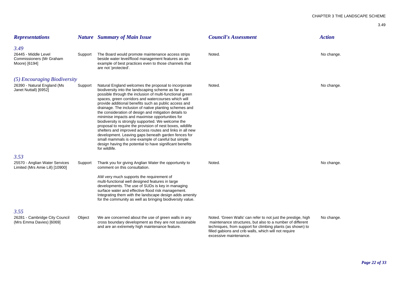| <b>Representations</b>                                                    |         | <b>Nature</b> Summary of Main Issue                                                                                                                                                                                                                                                                                                                                                                                                                                                                                                                                                                                                                                                                                                                                                                                                   | <b>Council's Assessment</b>                                                                                                                                                                                                                                                 | <b>Action</b> |
|---------------------------------------------------------------------------|---------|---------------------------------------------------------------------------------------------------------------------------------------------------------------------------------------------------------------------------------------------------------------------------------------------------------------------------------------------------------------------------------------------------------------------------------------------------------------------------------------------------------------------------------------------------------------------------------------------------------------------------------------------------------------------------------------------------------------------------------------------------------------------------------------------------------------------------------------|-----------------------------------------------------------------------------------------------------------------------------------------------------------------------------------------------------------------------------------------------------------------------------|---------------|
| 3.49<br>26445 - Middle Level<br>Commissioners (Mr Graham<br>Moore) [6194] | Support | The Board would promote maintenance access strips<br>beside water level/flood management features as an<br>example of best practices even to those channels that<br>are not 'protected'.                                                                                                                                                                                                                                                                                                                                                                                                                                                                                                                                                                                                                                              | Noted.                                                                                                                                                                                                                                                                      | No change.    |
| (5) Encouraging Biodiversity                                              |         |                                                                                                                                                                                                                                                                                                                                                                                                                                                                                                                                                                                                                                                                                                                                                                                                                                       |                                                                                                                                                                                                                                                                             |               |
| 26390 - Natural England (Ms<br>Janet Nuttall) [6952]                      | Support | Natural England welcomes the proposal to incorporate<br>biodiversity into the landscaping scheme as far as<br>possible through the inclusion of multi-functional green<br>spaces, green corridors and watercourses which will<br>provide additional benefits such as public access and<br>drainage. The inclusion of native planting schemes and<br>the consideration of design and mitigation details to<br>minimise impacts and maximise opportunities for<br>biodiversity is strongly supported. We welcome the<br>proposal to require the provision of nest boxes, wildlife<br>shelters and improved access routes and links in all new<br>development. Leaving gaps beneath garden fences for<br>small mammals is one example of careful but simple<br>design having the potential to have significant benefits<br>for wildlife. | Noted.                                                                                                                                                                                                                                                                      | No change.    |
| 3.53                                                                      |         |                                                                                                                                                                                                                                                                                                                                                                                                                                                                                                                                                                                                                                                                                                                                                                                                                                       |                                                                                                                                                                                                                                                                             |               |
| 25570 - Anglian Water Services<br>Limited (Mrs Amie Lill) [10900]         | Support | Thank you for giving Anglian Water the opportunity to<br>comment on this consultation.                                                                                                                                                                                                                                                                                                                                                                                                                                                                                                                                                                                                                                                                                                                                                | Noted.                                                                                                                                                                                                                                                                      | No change.    |
|                                                                           |         | AW very much supports the requirement of<br>multi-functional well designed features in large<br>developments. The use of SUDs is key in managing<br>surface water and effective flood risk management.<br>Integrating them with the landscape design adds amenity<br>for the community as well as bringing biodiversity value.                                                                                                                                                                                                                                                                                                                                                                                                                                                                                                        |                                                                                                                                                                                                                                                                             |               |
| 3.55                                                                      |         |                                                                                                                                                                                                                                                                                                                                                                                                                                                                                                                                                                                                                                                                                                                                                                                                                                       |                                                                                                                                                                                                                                                                             |               |
| 26281 - Cambridge City Council<br>(Mrs Emma Davies) [6069]                | Object  | We are concerned about the use of green walls in any<br>cross boundary development as they are not sustainable<br>and are an extremely high maintenance feature.                                                                                                                                                                                                                                                                                                                                                                                                                                                                                                                                                                                                                                                                      | Noted. 'Green Walls' can refer to not just the prestige, high<br>maintenance structures, but also to a number of different<br>techniques, from support for climbing plants (as shown) to<br>filled gabions and crib walls, which will not require<br>excessive maintenance. | No change.    |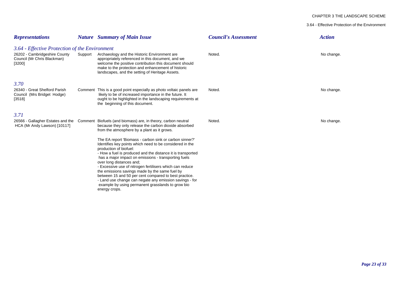### CHAPTER 3 THE LANDSCAPE SCHEME

3.64 - Effective Protection of the Environment

| <b>Representations</b>                                                 |         | <b>Nature</b> Summary of Main Issue                                                                                                                                                                                                                                                                                                                                                                                                                                                                                                                                                                      | <b>Council's Assessment</b> | <b>Action</b> |
|------------------------------------------------------------------------|---------|----------------------------------------------------------------------------------------------------------------------------------------------------------------------------------------------------------------------------------------------------------------------------------------------------------------------------------------------------------------------------------------------------------------------------------------------------------------------------------------------------------------------------------------------------------------------------------------------------------|-----------------------------|---------------|
| 3.64 - Effective Protection of the Environment                         |         |                                                                                                                                                                                                                                                                                                                                                                                                                                                                                                                                                                                                          |                             |               |
| 26202 - Cambridgeshire County<br>Council (Mr Chris Blackman)<br>[3200] | Support | Archaeology and the Historic Environment are<br>appropriately referenced in this document, and we<br>welcome the positive contribution this document should<br>make to the protection and enhancement of historic<br>landscapes, and the setting of Heritage Assets.                                                                                                                                                                                                                                                                                                                                     | Noted.                      | No change.    |
| 3.70                                                                   |         |                                                                                                                                                                                                                                                                                                                                                                                                                                                                                                                                                                                                          |                             |               |
| 26340 - Great Shelford Parish<br>Council (Mrs Bridget Hodge)<br>[3518] |         | Comment This is a good point especially as photo voltaic panels are<br>likely to be of increased importance in the future. It<br>ought to be highlighted in the landscaping requirements at<br>the beginning of this document.                                                                                                                                                                                                                                                                                                                                                                           | Noted.                      | No change.    |
| 3.71                                                                   |         |                                                                                                                                                                                                                                                                                                                                                                                                                                                                                                                                                                                                          |                             |               |
| HCA (Mr Andy Lawson) [10117]                                           |         | 26566 - Gallagher Estates and the Comment Biofuels (and biomass) are, in theory, carbon neutral<br>because they only release the carbon dioxide absorbed<br>from the atmosphere by a plant as it grows.                                                                                                                                                                                                                                                                                                                                                                                                  | Noted.                      | No change.    |
|                                                                        |         | The EA report 'Biomass - carbon sink or carbon sinner?'<br>Identifies key points which need to be considered in the<br>production of biofuel:<br>- How a fuel is produced and the distance it is transported<br>has a major impact on emissions - transporting fuels<br>over long distances and;<br>- Excessive use of nitrogen fertilisers which can reduce<br>the emissions savings made by the same fuel by<br>between 15 and 50 per cent compared to best practice.<br>- Land use change can negate any emission savings - for<br>example by using permanent grasslands to grow bio<br>energy crops. |                             |               |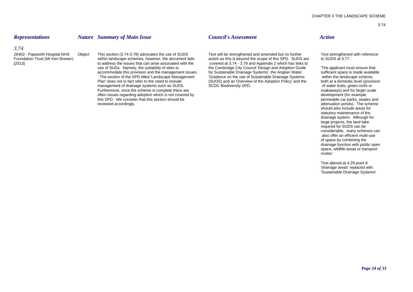# *Representations Nature Summary of Main Issue Council's Assessment Action*

*3.74*

[2513] to address the issues that can arise associated with the covered at 3.74 - 3.78 and Appendix 2 which has links to accommodate this provision and the management issues. management of drainage systems such as SUDS. Furthermore, once the scheme is complete there are soakaways) and for larger scale soakaways) and for larger scale<br>often issues regarding adoption which is not covered by often issues regarding adoption which is not covered by this SPD. We consider that this section should be permeable car parks, swales and reviewed accordingly. The scheme and the scheme and the scheme and the scheme and the scheme and the scheme and the scheme and the scheme and the scheme and the scheme and the scheme and the scheme and the scheme and the s

26402 - Papworth Hospital NHS Object This section (3.74-3.78) advocates the use of SUDS Text will be strengthened and amended but no further Text strengthened with reference<br>Foundation Trust (Mr Ken Brewer) within landscap action as this is beyond the scope of this SPD. SUDS are use of SUDs. Namely, the suitability of sites to the Cambridge City Council 'Design and Adoption Guide 'The applicant must ensure that accommodate this provision and the management issues. for Sustainable Drainage Systems' The section of the SPD titled 'Landscape Management 'Guidance on the use of Sustainable Drainage Systems within the landscape scheme,<br>Plan' does not in fact refer to the need to include (SUDS) and an Overview of the Adopti (SUDS) and an Overview of the Adoption Policy and the both at a domestic level (provision SCDC Biodiversity SPD.<br>SCDC Biodiversity SPD.

should also include areas for statutory maintenance of the drainage system. Although for large projects, the land take required for SUDS can be considerable, many schemes can also offer an efficient multi-use of space by combining the drainage function with public open space, wildlife areas or transport routes.'

Text altered at 4.29 point 8 'drainage areas' replaced with 'Sustainable Drainage Systems'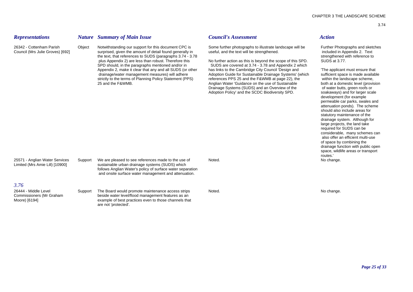# 26342 - Cottenham Parish Chiect Notwithstanding our support for this document CPC is Some further photographs to illustrate landscape will be Further Photographs and sketches Council (Mrs Julie Groves) [692] surprised, given the amount of detail found generally in useful, and the text will be strengthened. included in Appendix 2. Text

*Representations Nature Summary of Main Issue Council's Assessment Action*

are not 'protected'.

the text, that references to SUDS (paragraphs 3.74 - 3.78 strengthened with reference to<br>
plus Appendix 2) are less than robust. Therefore this **strengthened with reference to**<br>
No further action as this is beyond the scop SPD should, in the paragraphs mentioned and/or in SUDS are covered at 3.74 - 3.78 and Appendix 2 which<br>Appendix 2, make it clear that any and all SUDS (or other has links to the Cambridge City Council 'Design and Appendix 2, make it clear that any and all SUDS (or other has links to the Cambridge City Council 'Design and 'The applicant must ensure that strictly to the terms of Planning Policy Statement (PPS) 25 and the F&WMB.

No further action as this is beyond the scope of this SPD. drainage/water management measures) will adhere <br>
Strictly to the terms of Planning Policy Statement (PPS) references PPS 25 and the F&WMB at page 22), the within the landscape scheme. Anglian Water 'Guidance on the use of Sustainable both at a domestic level (provision Drainage Systems (SUDS) and an Overview of the of water butts, green roofs or Adoption Policy' and the SCDC Biodiversity SPD. soakaways) and for larger scale

development (for example permeable car parks, swales and attenuation ponds). The scheme should also include areas for statutory maintenance of the drainage system. Although for large projects, the land take required for SUDS can be considerable, many schemes can also offer an efficient multi-use of space by combining the drainage function with public open space, wildlife areas or transport routes.'

| 25571 - Anglian Water Services<br>Limited (Mrs Amie Lill) [10900] | Support | We are pleased to see references made to the use of<br>sustainable urban drainage systems (SUDS) which<br>follows Anglian Water's policy of surface water separation<br>and onsite surface water management and attenuation. | Noted. | drainage fu<br>space, wild<br>routes.<br>No change. |
|-------------------------------------------------------------------|---------|------------------------------------------------------------------------------------------------------------------------------------------------------------------------------------------------------------------------------|--------|-----------------------------------------------------|
| 3.76                                                              |         |                                                                                                                                                                                                                              |        |                                                     |
| 26444 - Middle Level<br>Commissioners (Mr Graham<br>Moore) [6194] | Support | The Board would promote maintenance access strips<br>beside water level/flood management features as an<br>example of best practices even to those channels that                                                             | Noted. | No change.                                          |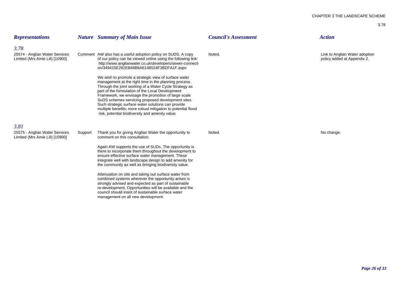| <b>Representations</b>                                                    |         | <b>Nature</b> Summary of Main Issue                                                                                                                                                                                                                                                                                                                                                                                                                                                                               | <b>Council's Assessment</b> | <b>Action</b>                                                 |
|---------------------------------------------------------------------------|---------|-------------------------------------------------------------------------------------------------------------------------------------------------------------------------------------------------------------------------------------------------------------------------------------------------------------------------------------------------------------------------------------------------------------------------------------------------------------------------------------------------------------------|-----------------------------|---------------------------------------------------------------|
| 3.78<br>25574 - Anglian Water Services<br>Limited (Mrs Amie Lill) [10900] |         | Comment AW also has a useful adoption policy on SUDS. A copy<br>of our policy can be viewed online using the following link:<br>http://www.anglianwater.co.uk/developers/sewer-connecti<br>on/349415E282EB48B6A6148024F3BDFA1F.aspx                                                                                                                                                                                                                                                                               | Noted.                      | Link to Anglian Water adoption<br>policy added at Appendix 2. |
|                                                                           |         | We wish to promote a strategic view of surface water<br>management at the right time in the planning process.<br>Through the joint working of a Water Cycle Strategy as<br>part of the formulation of the Local Development<br>Framework, we envisage the promotion of large scale<br>SuDS schemes servicing proposed development sites.<br>Such strategic surface water solutions can provide<br>multiple benefits; more robust mitigation to potential flood<br>risk, potential biodiversity and amenity value. |                             |                                                               |
| 3.81<br>25575 - Anglian Water Services<br>Limited (Mrs Amie Lill) [10900] | Support | Thank you for giving Anglian Water the opportunity to<br>comment on this consultation.                                                                                                                                                                                                                                                                                                                                                                                                                            | Noted.                      | No change.                                                    |
|                                                                           |         | Again AW supports the use of SUDs. The opportunity is<br>there to incorporate them throughout the development to<br>ensure effective surface water management. These<br>integrate well with landscape design to add amenity for<br>the community as well as bringing biodiversity value.                                                                                                                                                                                                                          |                             |                                                               |
|                                                                           |         | Attenuation on site and taking out surface water from<br>combined systems wherever the opportunity arises is<br>strongly advised and expected as part of sustainable<br>re-development. Opportunities will be available and the<br>council should insist of sustainable surface water<br>management on all new development.                                                                                                                                                                                       |                             |                                                               |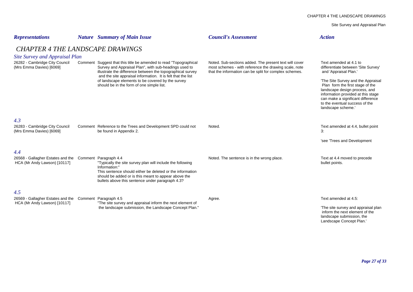Site Survey and Appraisal Plan

| <b>Representations</b>                                                                         |  | <b>Nature</b> Summary of Main Issue                                                                                                                                                                                                                                                                                                                        | <b>Council's Assessment</b>                                                                                                                                               | <b>Action</b>                                                                                                                                                                                                                                                                                                                        |  |  |  |
|------------------------------------------------------------------------------------------------|--|------------------------------------------------------------------------------------------------------------------------------------------------------------------------------------------------------------------------------------------------------------------------------------------------------------------------------------------------------------|---------------------------------------------------------------------------------------------------------------------------------------------------------------------------|--------------------------------------------------------------------------------------------------------------------------------------------------------------------------------------------------------------------------------------------------------------------------------------------------------------------------------------|--|--|--|
| <b>CHAPTER 4 THE LANDSCAPE DRAWINGS</b><br>Site Survey and Appraisal Plan                      |  |                                                                                                                                                                                                                                                                                                                                                            |                                                                                                                                                                           |                                                                                                                                                                                                                                                                                                                                      |  |  |  |
| 26282 - Cambridge City Council<br>(Mrs Emma Davies) [6069]                                     |  | Comment Suggest that this title be amended to read "Topographical<br>Survey and Appraisal Plan", with sub-headings used to<br>illustrate the difference between the topographical survey<br>and the site appraisal information. It is felt that the list<br>of landscape elements to be covered by the survey<br>should be in the form of one simple list. | Noted. Sub-sections added. The present text will cover<br>most schemes - with reference the drawing scale, note<br>that the information can be split for complex schemes. | Text amended at 4.1 to<br>differentiate between 'Site Survey'<br>and 'Appraisal Plan.'<br>'The Site Survey and the Appraisal<br>Plan form the first stage of the<br>landscape design process, and<br>information provided at this stage<br>can make a significant difference<br>to the eventual success of the<br>landscape scheme." |  |  |  |
| 4.3<br>26283 - Cambridge City Council<br>(Mrs Emma Davies) [6069]                              |  | Comment Reference to the Trees and Development SPD could not<br>be found in Appendix 2.                                                                                                                                                                                                                                                                    | Noted.                                                                                                                                                                    | Text amended at 4.4, bullet point<br>3:<br>'see 'Trees and Development                                                                                                                                                                                                                                                               |  |  |  |
| 4.4<br>26568 - Gallagher Estates and the Comment Paragraph 4.4<br>HCA (Mr Andy Lawson) [10117] |  | "Typically the site survey plan will include the following<br>Information:"<br>This sentence should either be deleted or the information<br>should be added or is this meant to appear above the<br>bullets above this sentence under paragraph 4.3?                                                                                                       | Noted. The sentence is in the wrong place.                                                                                                                                | Text at 4.4 moved to precede<br>bullet points.                                                                                                                                                                                                                                                                                       |  |  |  |
| 4.5<br>26569 - Gallagher Estates and the<br>HCA (Mr Andy Lawson) [10117]                       |  | Comment Paragraph 4.5<br>"The site survey and appraisal inform the next element of<br>the landscape submission, the Landscape Concept Plan."                                                                                                                                                                                                               | Agree.                                                                                                                                                                    | Text amended at 4.5:<br>The site survey and appraisal plan<br>inform the next element of the                                                                                                                                                                                                                                         |  |  |  |

landscape submission, the Landscape Concept Plan.'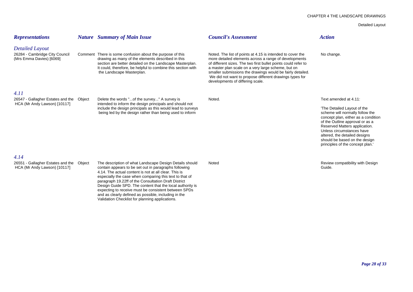### CHAPTER 4 THE LANDSCAPE DRAWINGS

# Detailed Layout

| <b>Representations</b>                                                               | <b>Nature</b> Summary of Main Issue                                                                                                                                                                                                                                                                                                                                                                                                                                                                                          | <b>Council's Assessment</b>                                                                                                                                                                                                                                                                                                                                                                              | <b>Action</b>                                                                                                                                                                                                                                                                                                |
|--------------------------------------------------------------------------------------|------------------------------------------------------------------------------------------------------------------------------------------------------------------------------------------------------------------------------------------------------------------------------------------------------------------------------------------------------------------------------------------------------------------------------------------------------------------------------------------------------------------------------|----------------------------------------------------------------------------------------------------------------------------------------------------------------------------------------------------------------------------------------------------------------------------------------------------------------------------------------------------------------------------------------------------------|--------------------------------------------------------------------------------------------------------------------------------------------------------------------------------------------------------------------------------------------------------------------------------------------------------------|
| <b>Detailed Layout</b><br>26284 - Cambridge City Council<br>(Mrs Emma Davies) [6069] | Comment There is some confusion about the purpose of this<br>drawing as many of the elements described in this<br>section are better detailed on the Landscape Masterplan.<br>It could, therefore, be helpful to combine this section with<br>the Landscape Masterplan.                                                                                                                                                                                                                                                      | Noted. The list of points at 4.15 is intended to cover the<br>more detailed elements across a range of developments<br>of different sizes. The two first bullet points could refer to<br>a master plan scale on a very large scheme, but on<br>smaller submissions the drawings would be fairly detailed.<br>We did not want to propose different drawings types for<br>developments of differing scale. | No change.                                                                                                                                                                                                                                                                                                   |
| 4.11                                                                                 |                                                                                                                                                                                                                                                                                                                                                                                                                                                                                                                              |                                                                                                                                                                                                                                                                                                                                                                                                          |                                                                                                                                                                                                                                                                                                              |
| 26547 - Gallagher Estates and the Object                                             | Delete the words " of the survey" A survey is                                                                                                                                                                                                                                                                                                                                                                                                                                                                                | Noted.                                                                                                                                                                                                                                                                                                                                                                                                   | Text amended at 4.11:                                                                                                                                                                                                                                                                                        |
| HCA (Mr Andy Lawson) [10117]                                                         | intended to inform the design principals and should not<br>include the design principals as this would lead to surveys<br>being led by the design rather than being used to inform                                                                                                                                                                                                                                                                                                                                           |                                                                                                                                                                                                                                                                                                                                                                                                          | 'The Detailed Layout of the<br>scheme will normally follow the<br>concept plan, either as a condition<br>of the Outline approval or as a<br>Reserved Matters application.<br>Unless circumstances have<br>altered, the detailed designs<br>should be based on the design<br>principles of the concept plan." |
| 4.14                                                                                 |                                                                                                                                                                                                                                                                                                                                                                                                                                                                                                                              |                                                                                                                                                                                                                                                                                                                                                                                                          |                                                                                                                                                                                                                                                                                                              |
| 26551 - Gallagher Estates and the Object<br>HCA (Mr Andy Lawson) [10117]             | The description of what Landscape Design Details should<br>contain appears to be set out in paragraphs following<br>4.14. The actual content is not at all clear. This is<br>especially the case when comparing this text to that of<br>paragraph 19.22ff of the Consultation Draft District<br>Design Guide SPD. The content that the local authority is<br>expecting to receive must be consistent between SPDs<br>and as clearly defined as possible, including in the<br>Validation Checklist for planning applications. | Noted                                                                                                                                                                                                                                                                                                                                                                                                    | Review compatibility with Design<br>Guide.                                                                                                                                                                                                                                                                   |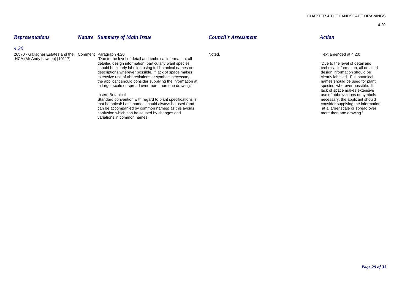## *4.20*

26570 - Gallagher Estates and the Comment Paragraph 4.20 <br>
HCA (Mr Andy Lawson) [10117] TDue to the level of detail and technical information, all Noted.<br>
HCA (Mr Andy Lawson) [10117] TDue to the level of detail and techni "Due to the level of detail and technical information, all detailed design information, particularly plant species,  $\blacksquare$  bue to the level of detail and should be clearly labelled using full botanical names or  $\blacksquare$  bue to the level of detailed should be clearly labelled using f should be clearly labelled using full botanical names or technical information, all deta<br>
descriptions wherever possible. If lack of space makes<br>
descriptions wherever possible. If lack of space makes descriptions wherever possible. If lack of space makes extensive use of abbreviations or symbols necessary,<br>
the applicant should consider supplying the information at<br>
the applicant should be used for plant the applicant should consider supplying the information at names should be used for plant at names should be used for plant at a larger scale or spread over more than one drawing." a larger scale or spread over more than one drawing."

### Insert: Botanical

Standard convention with regard to plant specifications is<br>
standard convention with regard to plant specifications is<br>
that botanical/Latin names should always be used (and<br>
that botanical/Latin names should always be use that botanical/ Latin names should always be used (and consider supplying the information of the information of the information of the information of the information of the information of the information of the information can be accompanied by common names) as this avoids at a larger scale or spread over the confusion which can be caused by changes and confusion which can be caused by changes and confusion which can be caused by changes and variations in common names.

# *Representations Nature Summary of Main Issue Council's Assessment Action*

lack of space makes extensive use of abbreviations or symbols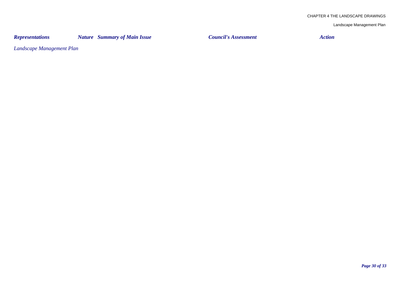*Representations Nature Summary of Main Issue Council's Assessment Action*

*Landscape Management Plan*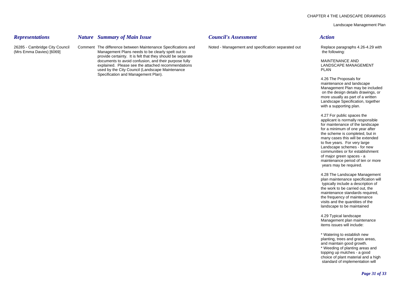# *Representations Nature Summary of Main Issue Council's Assessment Action*

26285 - Cambridge City Council Comment The difference between Maintenance Specifications and Noted - Management and specification separated out Replace paragraphs 4.26-4.29 with (Mrs Emma Davies) [6069] Management Plans needs to be clearly spelt out to the following: the following: provide certainty. It is felt that they should be separate documents to avoid confusion, and their purpose fully MAINTENANCE AND MAINTENANCE AND explained. Please see the attached recommendations and the attached recommendations control of the attached recommendations and the attached recommendations and the attached recommendations and the attached recommendations used by the City Council (Landscape Maintenance PLAN) and the City Council (Landscape Maintenance PLAN) and the PLAN Specification and Management Plan).

4.26 The Proposals for maintenance and landscape Management Plan may be included on the design details drawings, or more usually as part of a written Landscape Specification, together with a supporting plan.

4.27 For public spaces the applicant is normally responsible for maintenance of the landscape for a minimum of one year after the scheme is completed, but in many cases this will be extended to five years. For very large Landscape schemes - for new communities or for establishment of major green spaces - a maintenance period of ten or more years may be required.

4.28 The Landscape Management plan maintenance specification will typically include a description of the work to be carried out, the maintenance standards required, the frequency of maintenance visits and the quantities of the landscape to be maintained

4.29 Typical landscape Management plan maintenance items issues will include:

\* Watering to establish new planting, trees and grass areas, and maintain good growth. \* Weeding of planting areas and topping up mulches - a good choice of plant material and a high standard of implementation will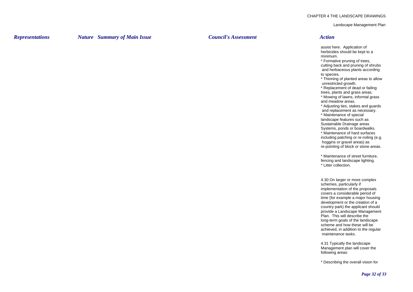*Representations Nature Summary of Main Issue Council's Assessment Action*

assist here. Application of herbicides should be kept to a minimum.

\* Formative pruning of trees, cutting back and pruning of shrubs and herbaceous plants according to species.

\* Thinning of planted areas to allow unrestricted growth.

\* Replacement of dead or failing trees, plants and grass areas.

\* Mowing of lawns, informal grass and meadow areas.

\* Adjusting ties, stakes and guards and replacement as necessary.

\* Maintenance of special landscape features such as Sustainable Drainage areas Systems, ponds or boardwalks. \* Maintenance of hard surfaces including patching or re-roiling (e.g.

 hoggins or gravel areas) as re-pointing of block or stone areas.

\* Maintenance of street furniture, fencing and landscape lighting. \* Litter collection.

4.30 On larger or more complex schemes, particularly if implementation of the proposals covers a considerable period of time (for example a major housing development or the creation of a country park) the applicant should provide a Landscape Management Plan. This will describe the long-term goals of the landscape scheme and how these will be achieved, in addition to the regular maintenance tasks.

4.31 Typically the landscape Management plan will cover the following areas:

\* Describing the overall vision for